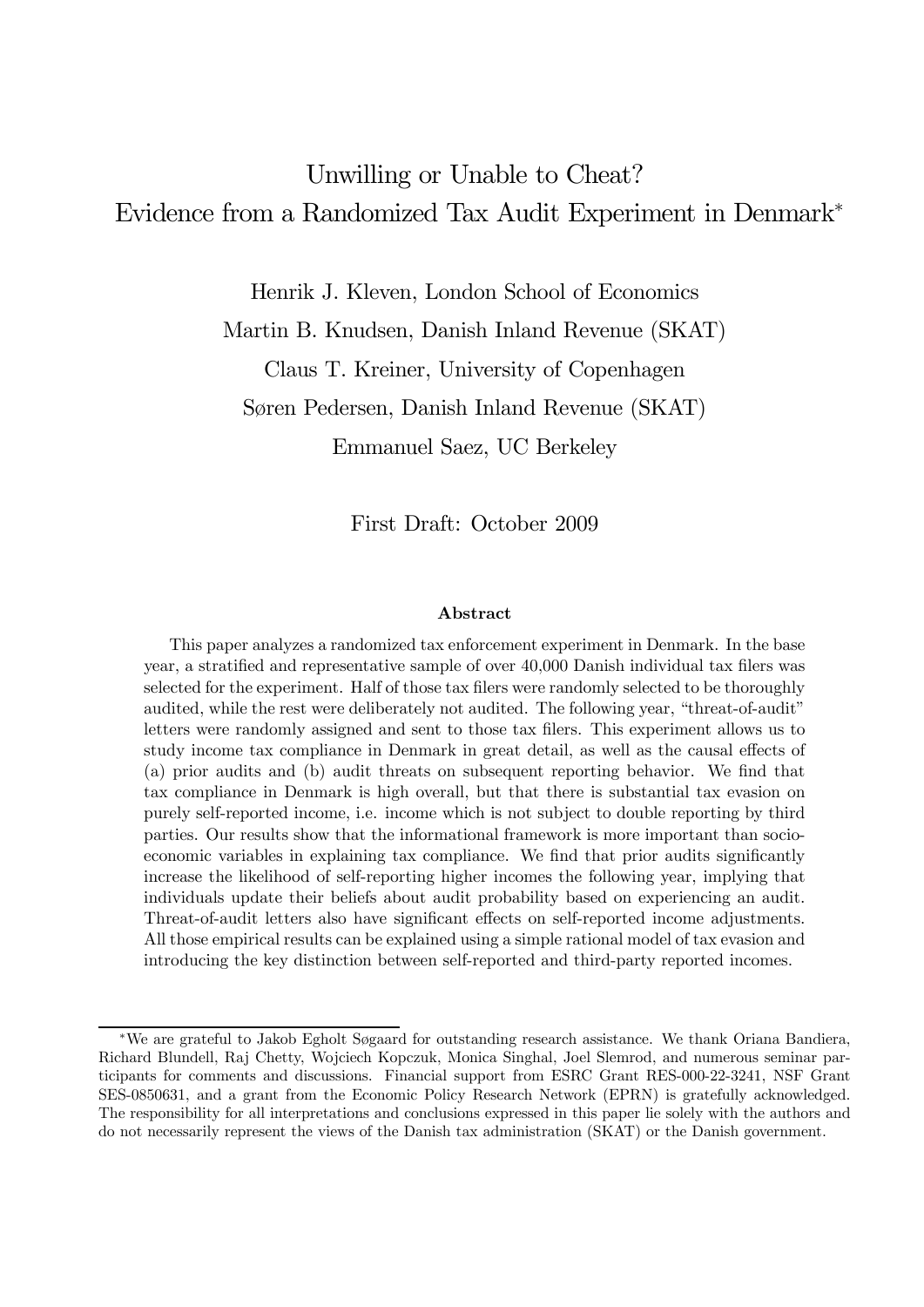# Unwilling or Unable to Cheat? Evidence from a Randomized Tax Audit Experiment in Denmark<sup>∗</sup>

Henrik J. Kleven, London School of Economics

Martin B. Knudsen, Danish Inland Revenue (SKAT)

Claus T. Kreiner, University of Copenhagen

Søren Pedersen, Danish Inland Revenue (SKAT)

Emmanuel Saez, UC Berkeley

First Draft: October 2009

#### Abstract

This paper analyzes a randomized tax enforcement experiment in Denmark. In the base year, a stratified and representative sample of over 40,000 Danish individual tax filers was selected for the experiment. Half of those tax filers were randomly selected to be thoroughly audited, while the rest were deliberately not audited. The following year, "threat-of-audit" letters were randomly assigned and sent to those tax filers. This experiment allows us to study income tax compliance in Denmark in great detail, as well as the causal effects of (a) prior audits and (b) audit threats on subsequent reporting behavior. We find that tax compliance in Denmark is high overall, but that there is substantial tax evasion on purely self-reported income, i.e. income which is not subject to double reporting by third parties. Our results show that the informational framework is more important than socioeconomic variables in explaining tax compliance. We find that prior audits significantly increase the likelihood of self-reporting higher incomes the following year, implying that individuals update their beliefs about audit probability based on experiencing an audit. Threat-of-audit letters also have significant effects on self-reported income adjustments. All those empirical results can be explained using a simple rational model of tax evasion and introducing the key distinction between self-reported and third-party reported incomes.

<sup>∗</sup>We are grateful to Jakob Egholt Søgaard for outstanding research assistance. We thank Oriana Bandiera, Richard Blundell, Raj Chetty, Wojciech Kopczuk, Monica Singhal, Joel Slemrod, and numerous seminar participants for comments and discussions. Financial support from ESRC Grant RES-000-22-3241, NSF Grant SES-0850631, and a grant from the Economic Policy Research Network (EPRN) is gratefully acknowledged. The responsibility for all interpretations and conclusions expressed in this paper lie solely with the authors and do not necessarily represent the views of the Danish tax administration (SKAT) or the Danish government.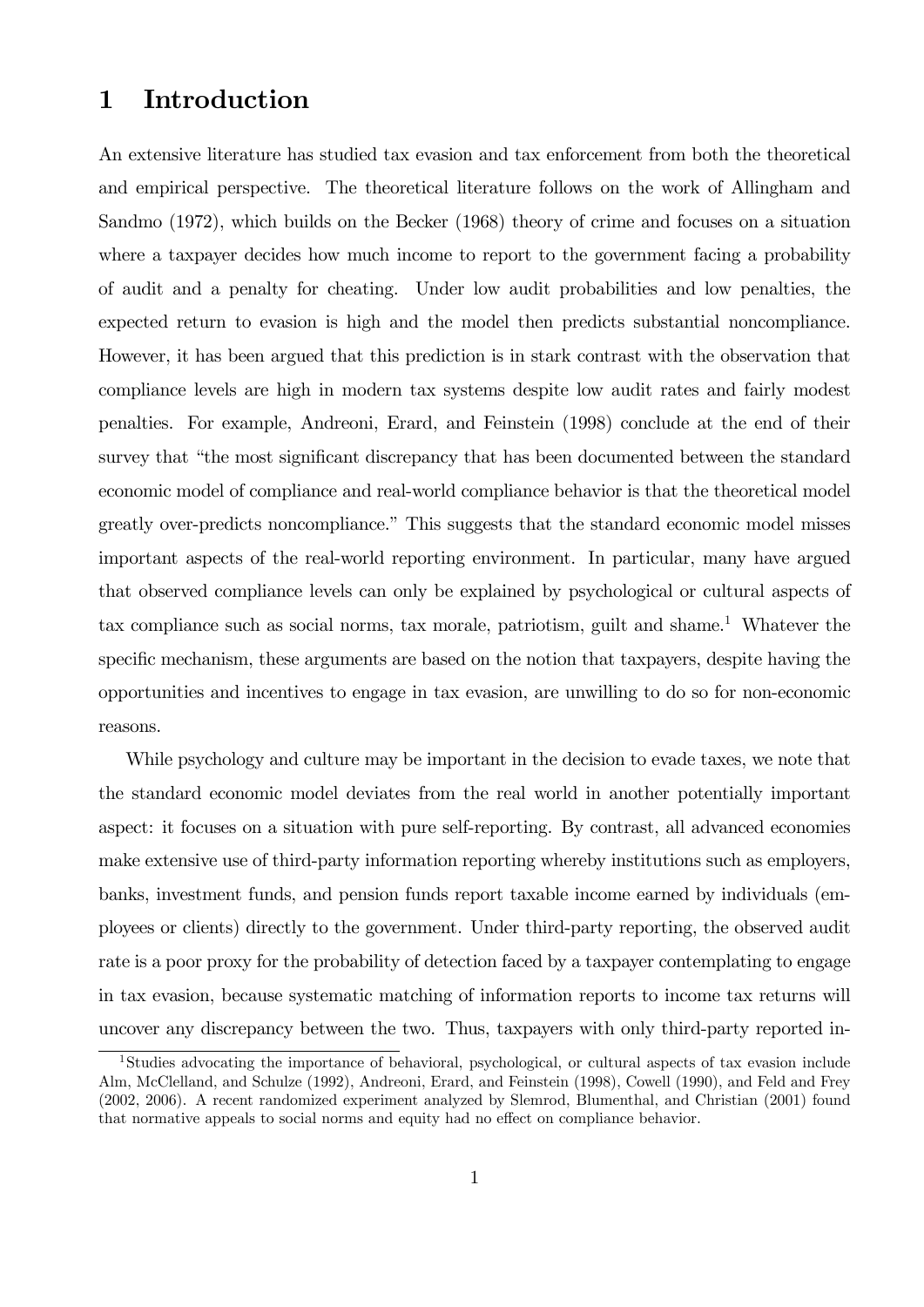## 1 Introduction

An extensive literature has studied tax evasion and tax enforcement from both the theoretical and empirical perspective. The theoretical literature follows on the work of Allingham and Sandmo (1972), which builds on the Becker (1968) theory of crime and focuses on a situation where a taxpayer decides how much income to report to the government facing a probability of audit and a penalty for cheating. Under low audit probabilities and low penalties, the expected return to evasion is high and the model then predicts substantial noncompliance. However, it has been argued that this prediction is in stark contrast with the observation that compliance levels are high in modern tax systems despite low audit rates and fairly modest penalties. For example, Andreoni, Erard, and Feinstein (1998) conclude at the end of their survey that "the most significant discrepancy that has been documented between the standard economic model of compliance and real-world compliance behavior is that the theoretical model greatly over-predicts noncompliance." This suggests that the standard economic model misses important aspects of the real-world reporting environment. In particular, many have argued that observed compliance levels can only be explained by psychological or cultural aspects of tax compliance such as social norms, tax morale, patriotism, guilt and shame.<sup>1</sup> Whatever the specific mechanism, these arguments are based on the notion that taxpayers, despite having the opportunities and incentives to engage in tax evasion, are unwilling to do so for non-economic reasons.

While psychology and culture may be important in the decision to evade taxes, we note that the standard economic model deviates from the real world in another potentially important aspect: it focuses on a situation with pure self-reporting. By contrast, all advanced economies make extensive use of third-party information reporting whereby institutions such as employers, banks, investment funds, and pension funds report taxable income earned by individuals (employees or clients) directly to the government. Under third-party reporting, the observed audit rate is a poor proxy for the probability of detection faced by a taxpayer contemplating to engage in tax evasion, because systematic matching of information reports to income tax returns will uncover any discrepancy between the two. Thus, taxpayers with only third-party reported in-

<sup>1</sup>Studies advocating the importance of behavioral, psychological, or cultural aspects of tax evasion include Alm, McClelland, and Schulze (1992), Andreoni, Erard, and Feinstein (1998), Cowell (1990), and Feld and Frey (2002, 2006). A recent randomized experiment analyzed by Slemrod, Blumenthal, and Christian (2001) found that normative appeals to social norms and equity had no effect on compliance behavior.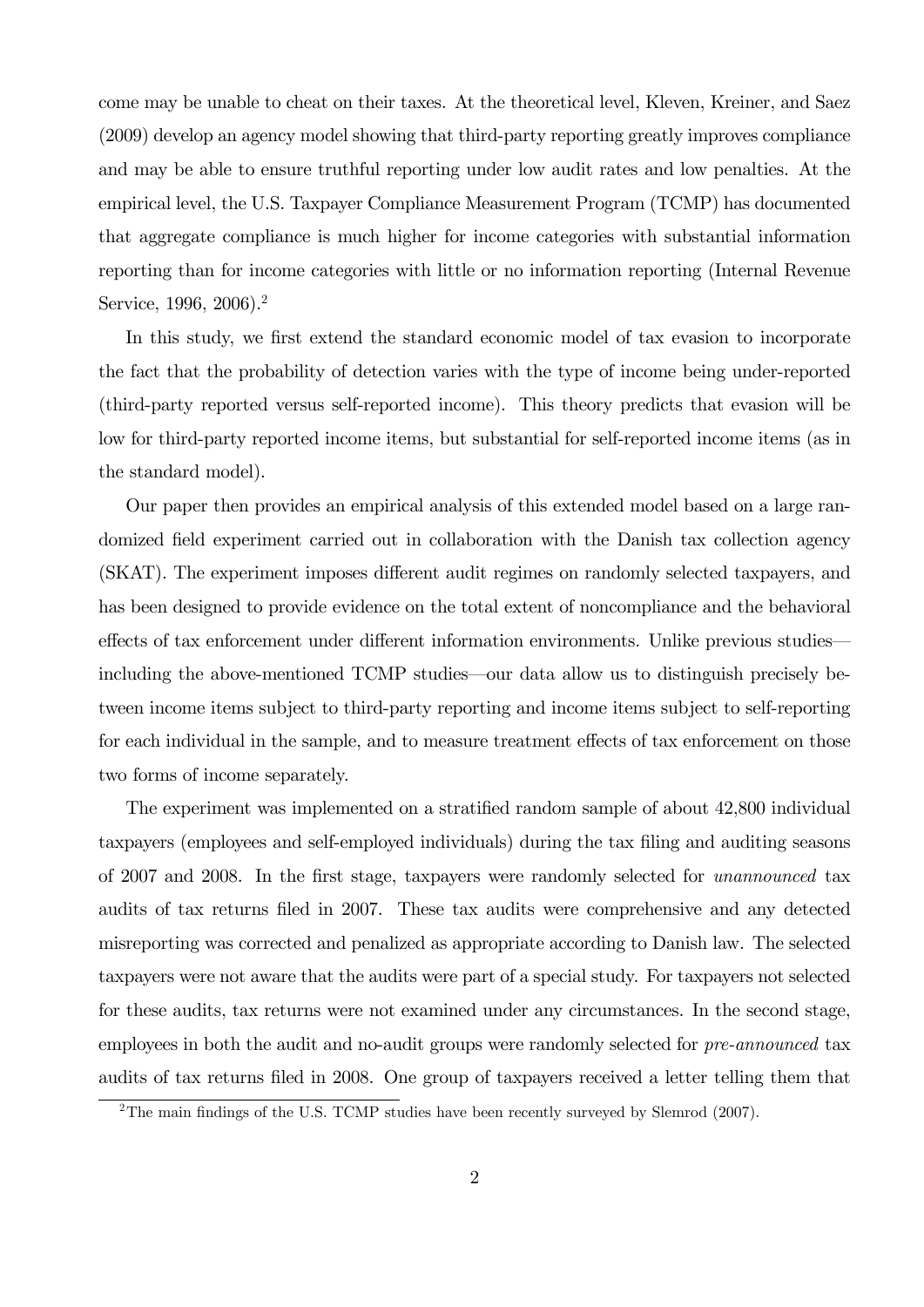come may be unable to cheat on their taxes. At the theoretical level, Kleven, Kreiner, and Saez (2009) develop an agency model showing that third-party reporting greatly improves compliance and may be able to ensure truthful reporting under low audit rates and low penalties. At the empirical level, the U.S. Taxpayer Compliance Measurement Program (TCMP) has documented that aggregate compliance is much higher for income categories with substantial information reporting than for income categories with little or no information reporting (Internal Revenue Service, 1996, 2006).<sup>2</sup>

In this study, we first extend the standard economic model of tax evasion to incorporate the fact that the probability of detection varies with the type of income being under-reported (third-party reported versus self-reported income). This theory predicts that evasion will be low for third-party reported income items, but substantial for self-reported income items (as in the standard model).

Our paper then provides an empirical analysis of this extended model based on a large randomized field experiment carried out in collaboration with the Danish tax collection agency (SKAT). The experiment imposes different audit regimes on randomly selected taxpayers, and has been designed to provide evidence on the total extent of noncompliance and the behavioral effects of tax enforcement under different information environments. Unlike previous studies– including the above-mentioned TCMP studies–our data allow us to distinguish precisely between income items subject to third-party reporting and income items subject to self-reporting for each individual in the sample, and to measure treatment effects of tax enforcement on those two forms of income separately.

The experiment was implemented on a stratified random sample of about 42,800 individual taxpayers (employees and self-employed individuals) during the tax filing and auditing seasons of 2007 and 2008. In the first stage, taxpayers were randomly selected for unannounced tax audits of tax returns filed in 2007. These tax audits were comprehensive and any detected misreporting was corrected and penalized as appropriate according to Danish law. The selected taxpayers were not aware that the audits were part of a special study. For taxpayers not selected for these audits, tax returns were not examined under any circumstances. In the second stage, employees in both the audit and no-audit groups were randomly selected for *pre-announced* tax audits of tax returns filed in 2008. One group of taxpayers received a letter telling them that

<sup>&</sup>lt;sup>2</sup>The main findings of the U.S. TCMP studies have been recently surveyed by Slemrod (2007).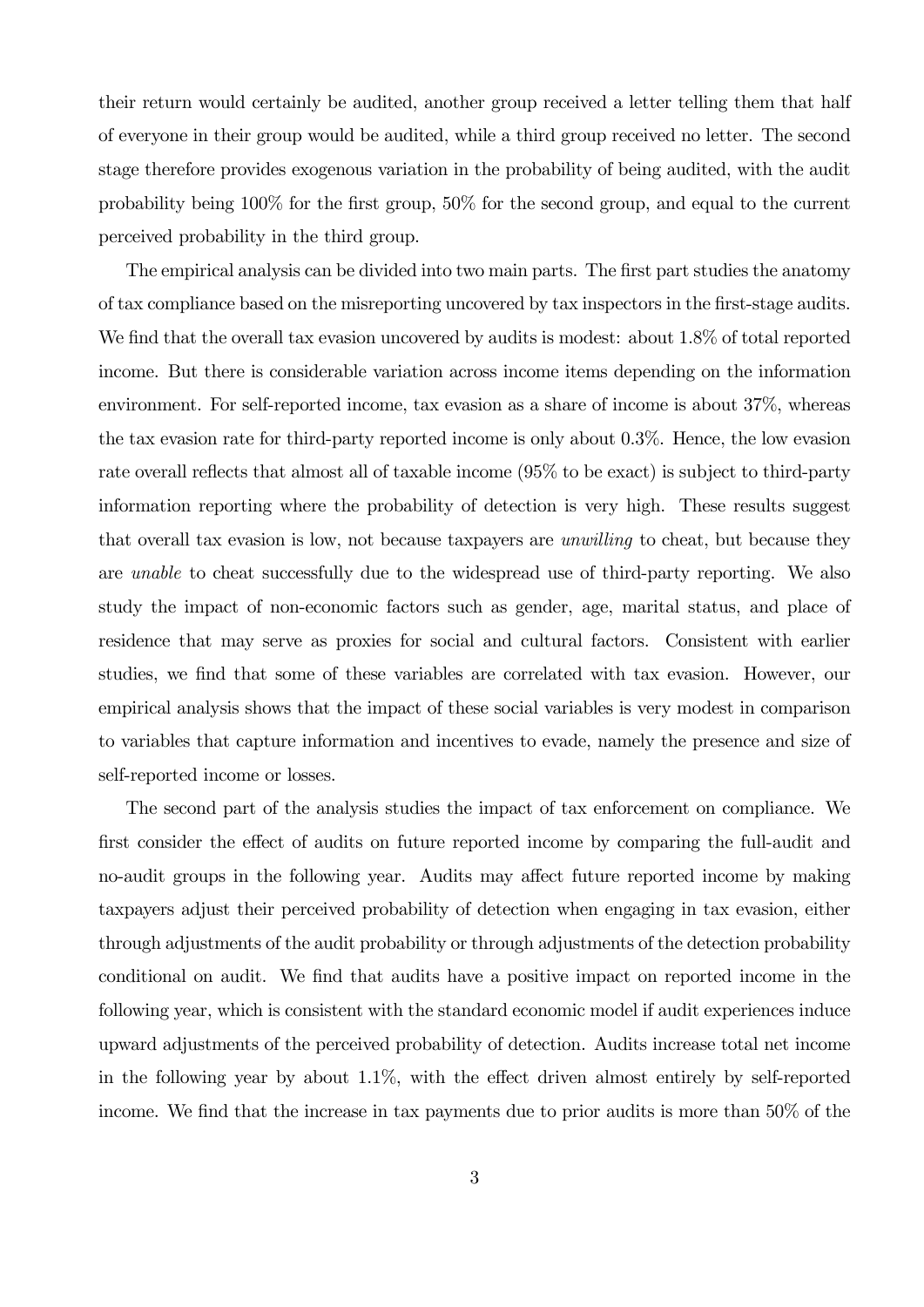their return would certainly be audited, another group received a letter telling them that half of everyone in their group would be audited, while a third group received no letter. The second stage therefore provides exogenous variation in the probability of being audited, with the audit probability being 100% for the first group, 50% for the second group, and equal to the current perceived probability in the third group.

The empirical analysis can be divided into two main parts. The first part studies the anatomy of tax compliance based on the misreporting uncovered by tax inspectors in the first-stage audits. We find that the overall tax evasion uncovered by audits is modest: about 1.8% of total reported income. But there is considerable variation across income items depending on the information environment. For self-reported income, tax evasion as a share of income is about 37%, whereas the tax evasion rate for third-party reported income is only about 0.3%. Hence, the low evasion rate overall reflects that almost all of taxable income (95% to be exact) is subject to third-party information reporting where the probability of detection is very high. These results suggest that overall tax evasion is low, not because taxpayers are unwilling to cheat, but because they are unable to cheat successfully due to the widespread use of third-party reporting. We also study the impact of non-economic factors such as gender, age, marital status, and place of residence that may serve as proxies for social and cultural factors. Consistent with earlier studies, we find that some of these variables are correlated with tax evasion. However, our empirical analysis shows that the impact of these social variables is very modest in comparison to variables that capture information and incentives to evade, namely the presence and size of self-reported income or losses.

The second part of the analysis studies the impact of tax enforcement on compliance. We first consider the effect of audits on future reported income by comparing the full-audit and no-audit groups in the following year. Audits may affect future reported income by making taxpayers adjust their perceived probability of detection when engaging in tax evasion, either through adjustments of the audit probability or through adjustments of the detection probability conditional on audit. We find that audits have a positive impact on reported income in the following year, which is consistent with the standard economic model if audit experiences induce upward adjustments of the perceived probability of detection. Audits increase total net income in the following year by about  $1.1\%$ , with the effect driven almost entirely by self-reported income. We find that the increase in tax payments due to prior audits is more than 50% of the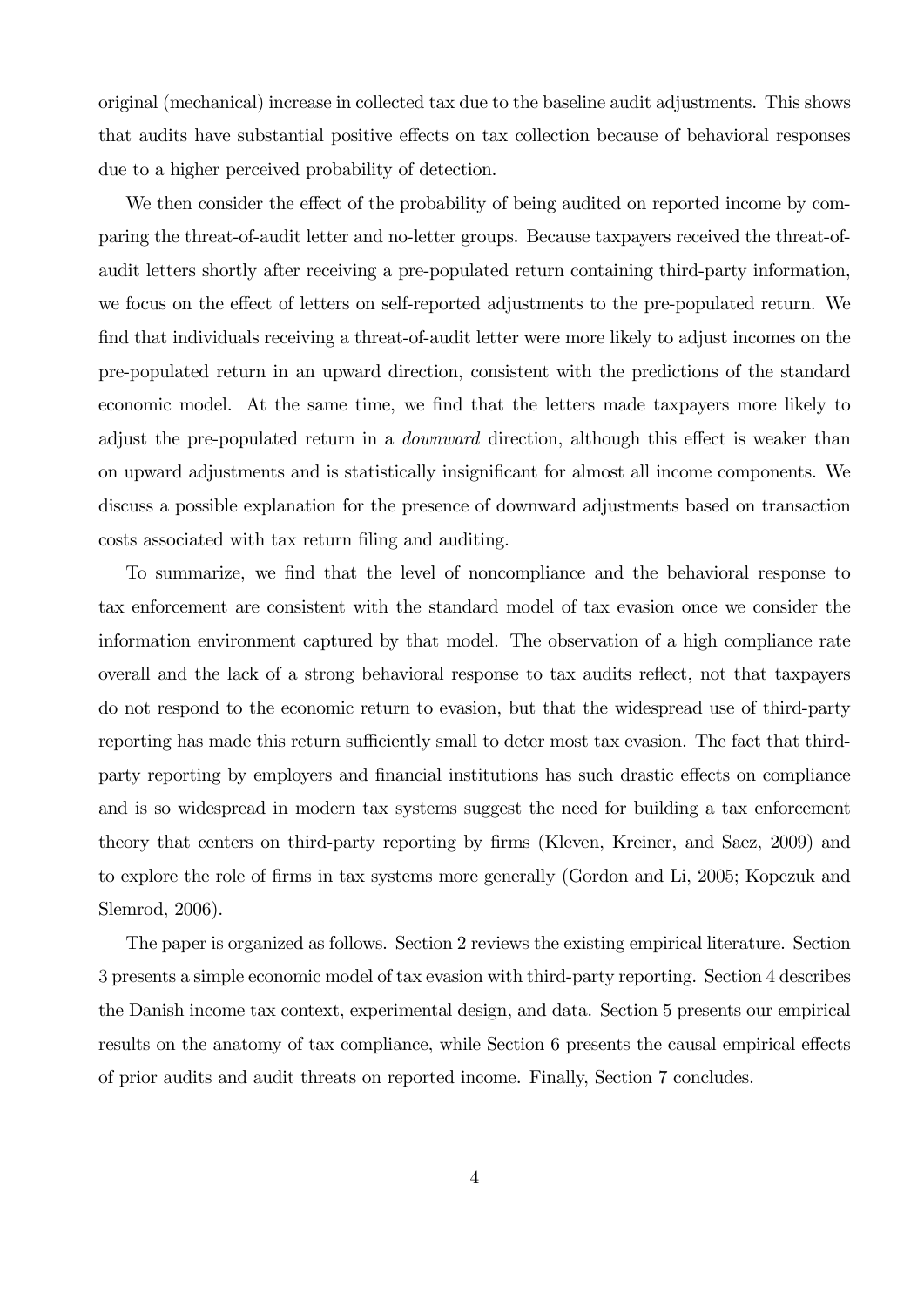original (mechanical) increase in collected tax due to the baseline audit adjustments. This shows that audits have substantial positive effects on tax collection because of behavioral responses due to a higher perceived probability of detection.

We then consider the effect of the probability of being audited on reported income by comparing the threat-of-audit letter and no-letter groups. Because taxpayers received the threat-ofaudit letters shortly after receiving a pre-populated return containing third-party information, we focus on the effect of letters on self-reported adjustments to the pre-populated return. We find that individuals receiving a threat-of-audit letter were more likely to adjust incomes on the pre-populated return in an upward direction, consistent with the predictions of the standard economic model. At the same time, we find that the letters made taxpayers more likely to adjust the pre-populated return in a downward direction, although this effect is weaker than on upward adjustments and is statistically insignificant for almost all income components. We discuss a possible explanation for the presence of downward adjustments based on transaction costs associated with tax return filing and auditing.

To summarize, we find that the level of noncompliance and the behavioral response to tax enforcement are consistent with the standard model of tax evasion once we consider the information environment captured by that model. The observation of a high compliance rate overall and the lack of a strong behavioral response to tax audits reflect, not that taxpayers do not respond to the economic return to evasion, but that the widespread use of third-party reporting has made this return sufficiently small to deter most tax evasion. The fact that thirdparty reporting by employers and financial institutions has such drastic effects on compliance and is so widespread in modern tax systems suggest the need for building a tax enforcement theory that centers on third-party reporting by firms (Kleven, Kreiner, and Saez, 2009) and to explore the role of firms in tax systems more generally (Gordon and Li, 2005; Kopczuk and Slemrod, 2006).

The paper is organized as follows. Section 2 reviews the existing empirical literature. Section 3 presents a simple economic model of tax evasion with third-party reporting. Section 4 describes the Danish income tax context, experimental design, and data. Section 5 presents our empirical results on the anatomy of tax compliance, while Section 6 presents the causal empirical effects of prior audits and audit threats on reported income. Finally, Section 7 concludes.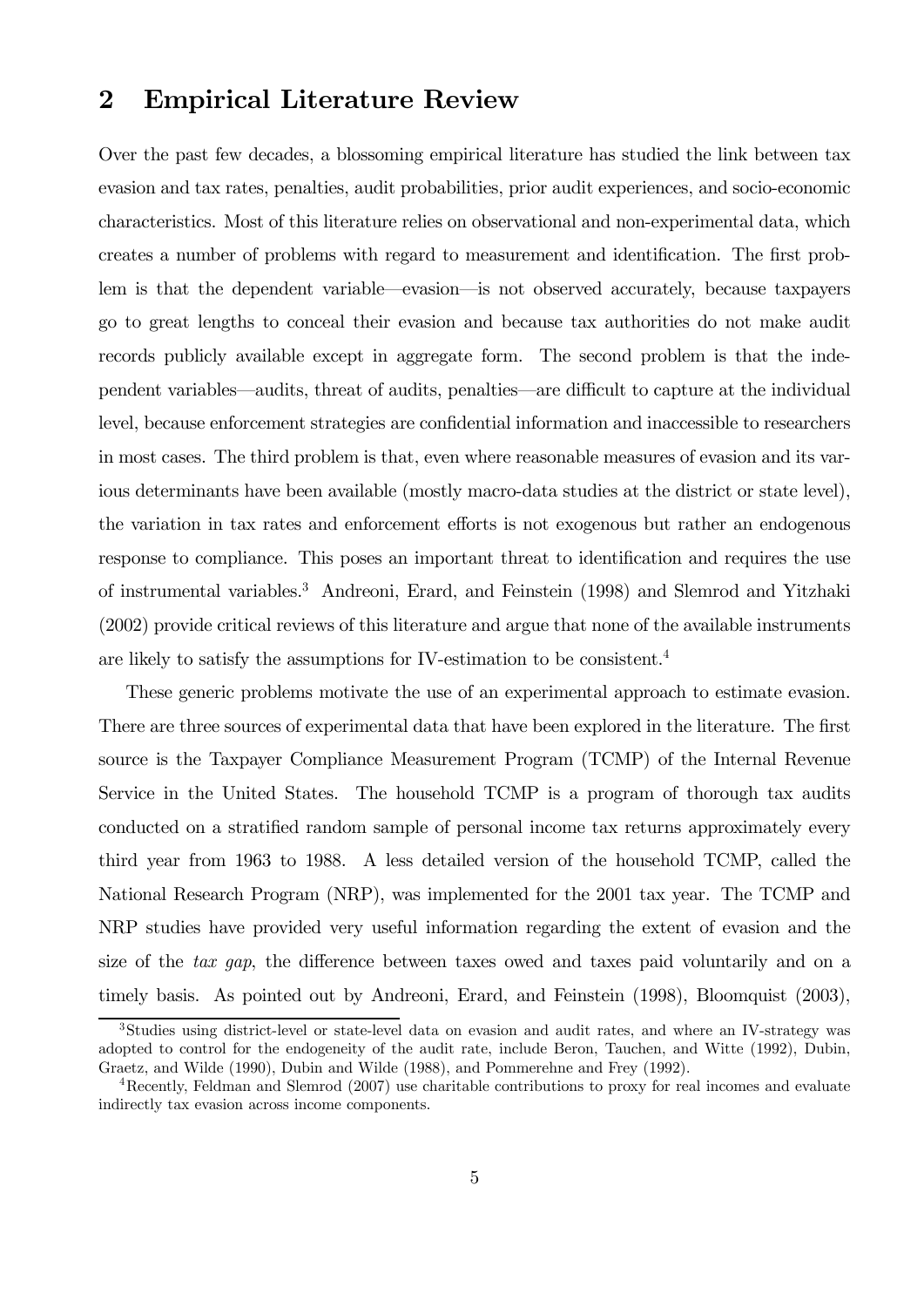## 2 Empirical Literature Review

Over the past few decades, a blossoming empirical literature has studied the link between tax evasion and tax rates, penalties, audit probabilities, prior audit experiences, and socio-economic characteristics. Most of this literature relies on observational and non-experimental data, which creates a number of problems with regard to measurement and identification. The first problem is that the dependent variable–evasion–is not observed accurately, because taxpayers go to great lengths to conceal their evasion and because tax authorities do not make audit records publicly available except in aggregate form. The second problem is that the independent variables–audits, threat of audits, penalties–are difficult to capture at the individual level, because enforcement strategies are confidential information and inaccessible to researchers in most cases. The third problem is that, even where reasonable measures of evasion and its various determinants have been available (mostly macro-data studies at the district or state level), the variation in tax rates and enforcement efforts is not exogenous but rather an endogenous response to compliance. This poses an important threat to identification and requires the use of instrumental variables.3 Andreoni, Erard, and Feinstein (1998) and Slemrod and Yitzhaki (2002) provide critical reviews of this literature and argue that none of the available instruments are likely to satisfy the assumptions for IV-estimation to be consistent.<sup>4</sup>

These generic problems motivate the use of an experimental approach to estimate evasion. There are three sources of experimental data that have been explored in the literature. The first source is the Taxpayer Compliance Measurement Program (TCMP) of the Internal Revenue Service in the United States. The household TCMP is a program of thorough tax audits conducted on a stratified random sample of personal income tax returns approximately every third year from 1963 to 1988. A less detailed version of the household TCMP, called the National Research Program (NRP), was implemented for the 2001 tax year. The TCMP and NRP studies have provided very useful information regarding the extent of evasion and the size of the tax gap, the difference between taxes owed and taxes paid voluntarily and on a timely basis. As pointed out by Andreoni, Erard, and Feinstein (1998), Bloomquist (2003),

<sup>3</sup>Studies using district-level or state-level data on evasion and audit rates, and where an IV-strategy was adopted to control for the endogeneity of the audit rate, include Beron, Tauchen, and Witte (1992), Dubin, Graetz, and Wilde (1990), Dubin and Wilde (1988), and Pommerehne and Frey (1992).

<sup>4</sup>Recently, Feldman and Slemrod (2007) use charitable contributions to proxy for real incomes and evaluate indirectly tax evasion across income components.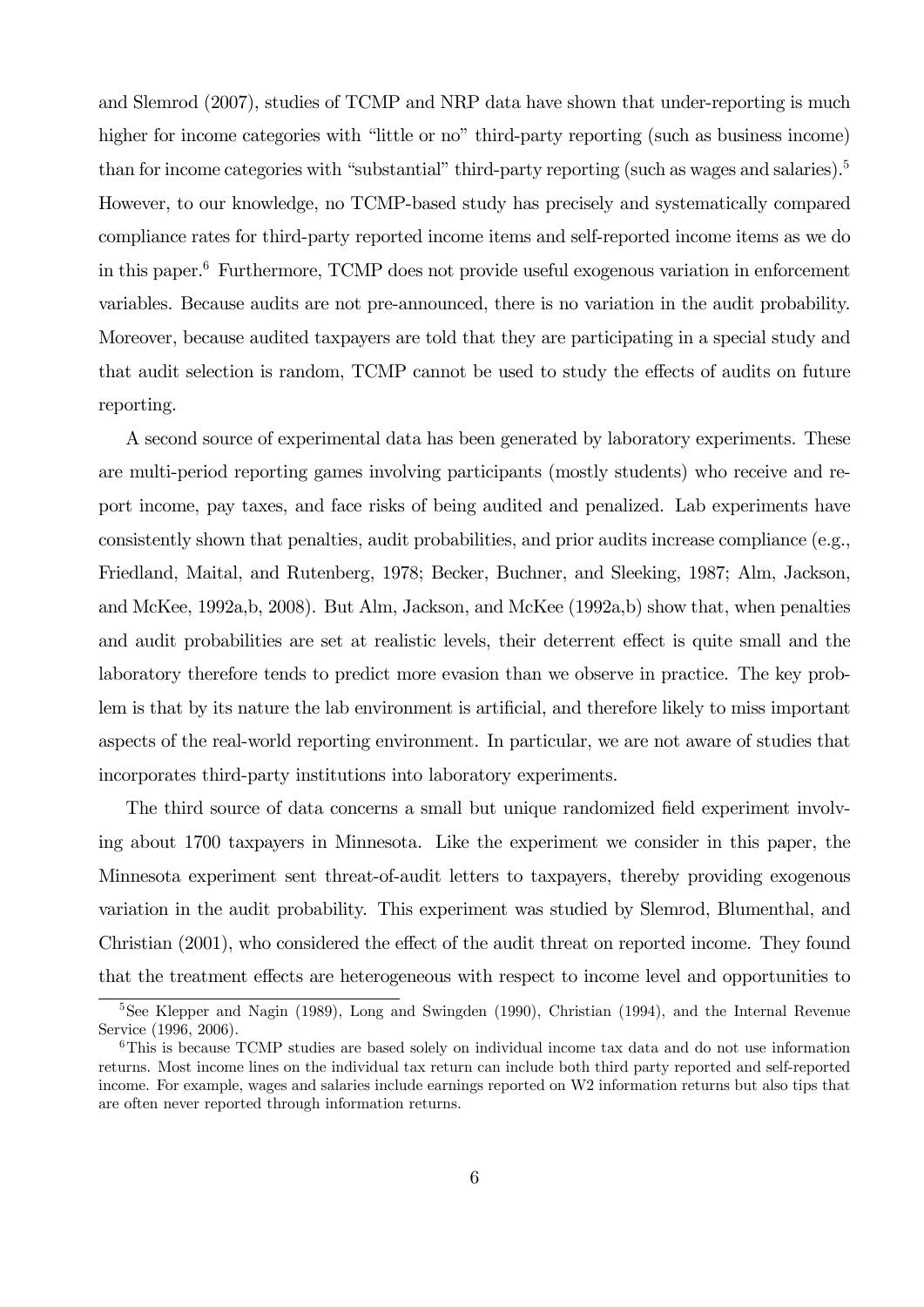and Slemrod (2007), studies of TCMP and NRP data have shown that under-reporting is much higher for income categories with "little or no" third-party reporting (such as business income) than for income categories with "substantial" third-party reporting (such as wages and salaries).<sup>5</sup> However, to our knowledge, no TCMP-based study has precisely and systematically compared compliance rates for third-party reported income items and self-reported income items as we do in this paper.6 Furthermore, TCMP does not provide useful exogenous variation in enforcement variables. Because audits are not pre-announced, there is no variation in the audit probability. Moreover, because audited taxpayers are told that they are participating in a special study and that audit selection is random, TCMP cannot be used to study the effects of audits on future reporting.

A second source of experimental data has been generated by laboratory experiments. These are multi-period reporting games involving participants (mostly students) who receive and report income, pay taxes, and face risks of being audited and penalized. Lab experiments have consistently shown that penalties, audit probabilities, and prior audits increase compliance (e.g., Friedland, Maital, and Rutenberg, 1978; Becker, Buchner, and Sleeking, 1987; Alm, Jackson, and McKee, 1992a,b, 2008). But Alm, Jackson, and McKee (1992a,b) show that, when penalties and audit probabilities are set at realistic levels, their deterrent effect is quite small and the laboratory therefore tends to predict more evasion than we observe in practice. The key problem is that by its nature the lab environment is artificial, and therefore likely to miss important aspects of the real-world reporting environment. In particular, we are not aware of studies that incorporates third-party institutions into laboratory experiments.

The third source of data concerns a small but unique randomized field experiment involving about 1700 taxpayers in Minnesota. Like the experiment we consider in this paper, the Minnesota experiment sent threat-of-audit letters to taxpayers, thereby providing exogenous variation in the audit probability. This experiment was studied by Slemrod, Blumenthal, and Christian (2001), who considered the effect of the audit threat on reported income. They found that the treatment effects are heterogeneous with respect to income level and opportunities to

<sup>&</sup>lt;sup>5</sup>See Klepper and Nagin (1989), Long and Swingden (1990), Christian (1994), and the Internal Revenue Service (1996, 2006).

<sup>6</sup>This is because TCMP studies are based solely on individual income tax data and do not use information returns. Most income lines on the individual tax return can include both third party reported and self-reported income. For example, wages and salaries include earnings reported on W2 information returns but also tips that are often never reported through information returns.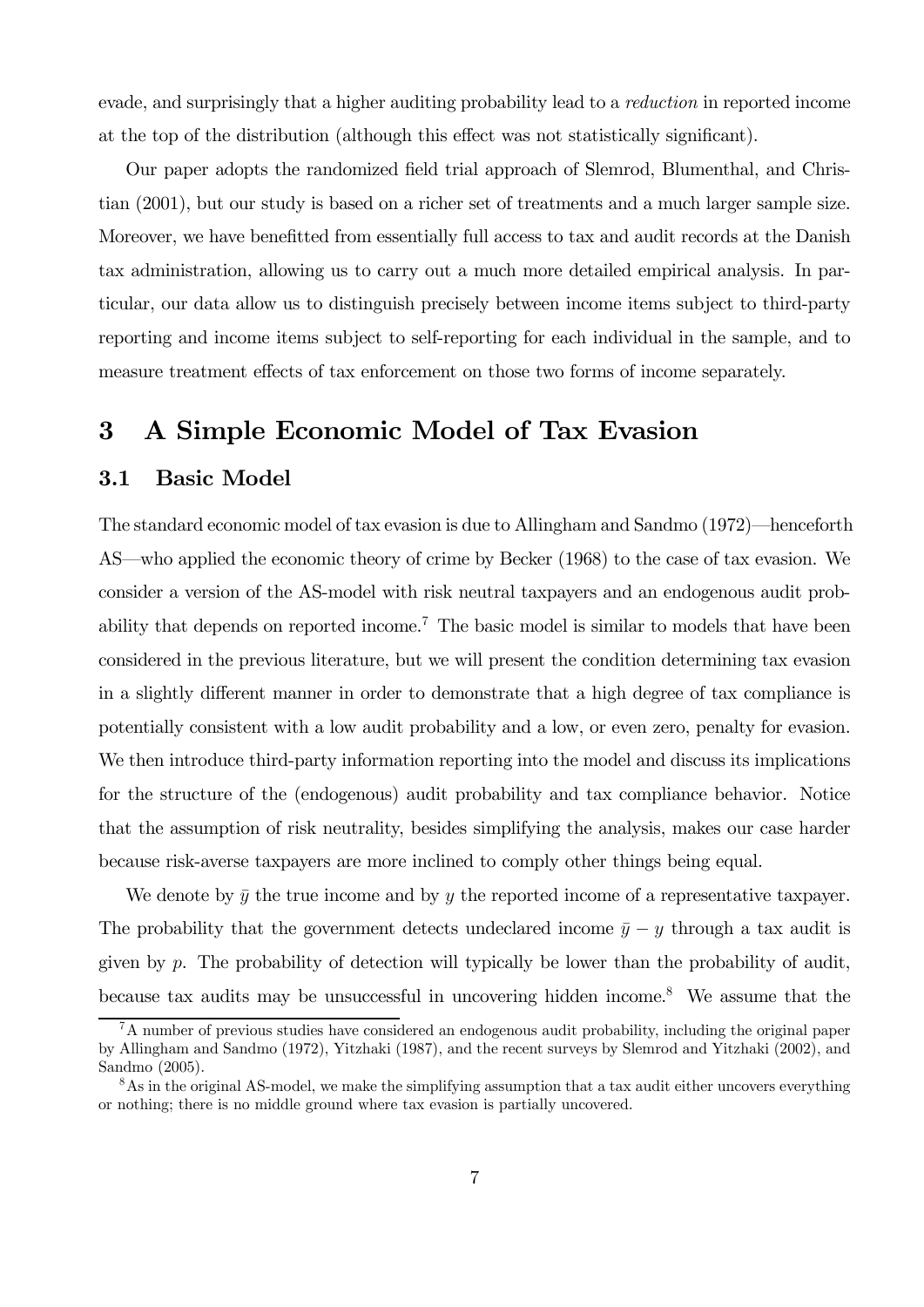evade, and surprisingly that a higher auditing probability lead to a reduction in reported income at the top of the distribution (although this effect was not statistically significant).

Our paper adopts the randomized field trial approach of Slemrod, Blumenthal, and Christian (2001), but our study is based on a richer set of treatments and a much larger sample size. Moreover, we have benefitted from essentially full access to tax and audit records at the Danish tax administration, allowing us to carry out a much more detailed empirical analysis. In particular, our data allow us to distinguish precisely between income items subject to third-party reporting and income items subject to self-reporting for each individual in the sample, and to measure treatment effects of tax enforcement on those two forms of income separately.

## 3 A Simple Economic Model of Tax Evasion

#### 3.1 Basic Model

The standard economic model of tax evasion is due to Allingham and Sandmo (1972)—henceforth AS–who applied the economic theory of crime by Becker (1968) to the case of tax evasion. We consider a version of the AS-model with risk neutral taxpayers and an endogenous audit probability that depends on reported income.<sup>7</sup> The basic model is similar to models that have been considered in the previous literature, but we will present the condition determining tax evasion in a slightly different manner in order to demonstrate that a high degree of tax compliance is potentially consistent with a low audit probability and a low, or even zero, penalty for evasion. We then introduce third-party information reporting into the model and discuss its implications for the structure of the (endogenous) audit probability and tax compliance behavior. Notice that the assumption of risk neutrality, besides simplifying the analysis, makes our case harder because risk-averse taxpayers are more inclined to comply other things being equal.

We denote by  $\bar{y}$  the true income and by y the reported income of a representative taxpayer. The probability that the government detects undeclared income  $\bar{y} - y$  through a tax audit is given by  $p$ . The probability of detection will typically be lower than the probability of audit, because tax audits may be unsuccessful in uncovering hidden income.8 We assume that the

<sup>7</sup>A number of previous studies have considered an endogenous audit probability, including the original paper by Allingham and Sandmo (1972), Yitzhaki (1987), and the recent surveys by Slemrod and Yitzhaki (2002), and Sandmo (2005).

<sup>&</sup>lt;sup>8</sup>As in the original AS-model, we make the simplifying assumption that a tax audit either uncovers everything or nothing; there is no middle ground where tax evasion is partially uncovered.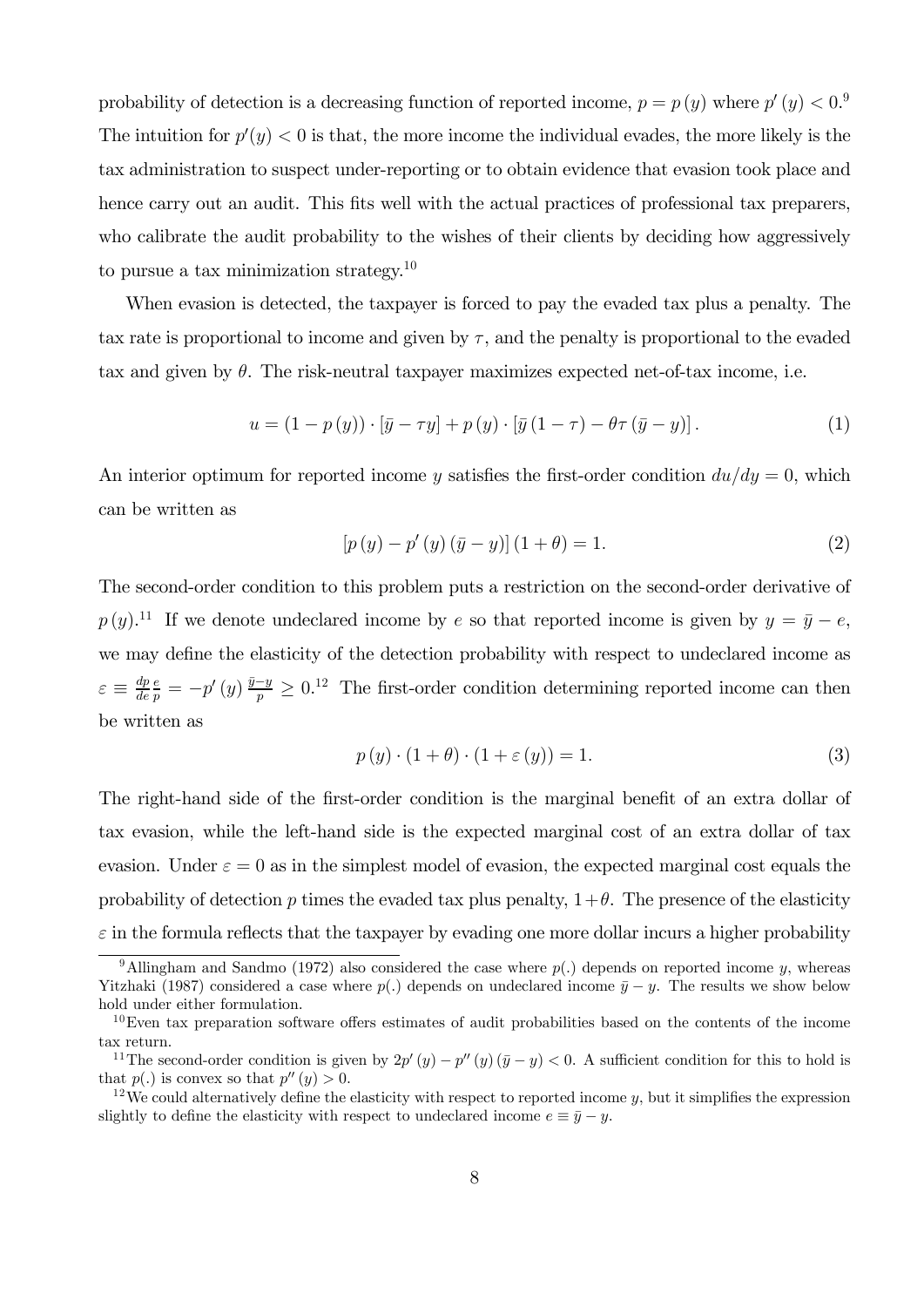probability of detection is a decreasing function of reported income,  $p = p(y)$  where  $p'(y) < 0$ . The intuition for  $p'(y) < 0$  is that, the more income the individual evades, the more likely is the tax administration to suspect under-reporting or to obtain evidence that evasion took place and hence carry out an audit. This fits well with the actual practices of professional tax preparers, who calibrate the audit probability to the wishes of their clients by deciding how aggressively to pursue a tax minimization strategy.<sup>10</sup>

When evasion is detected, the taxpayer is forced to pay the evaded tax plus a penalty. The tax rate is proportional to income and given by  $\tau$ , and the penalty is proportional to the evaded tax and given by  $\theta$ . The risk-neutral taxpayer maximizes expected net-of-tax income, i.e.

$$
u = (1 - p(y)) \cdot \left[\bar{y} - \tau y\right] + p(y) \cdot \left[\bar{y}(1 - \tau) - \theta \tau \left(\bar{y} - y\right)\right].\tag{1}
$$

An interior optimum for reported income y satisfies the first-order condition  $du/dy = 0$ , which can be written as

$$
[p(y) - p'(y) (\bar{y} - y)] (1 + \theta) = 1.
$$
 (2)

The second-order condition to this problem puts a restriction on the second-order derivative of  $p(y)$ .<sup>11</sup> If we denote undeclared income by  $e$  so that reported income is given by  $y = \bar{y} - e$ , we may define the elasticity of the detection probability with respect to undeclared income as  $\varepsilon \equiv \frac{dp}{de}$  $\frac{e}{p} = -p'(y) \frac{\bar{y}-y}{p} \geq 0.12$  The first-order condition determining reported income can then be written as

$$
p(y) \cdot (1 + \theta) \cdot (1 + \varepsilon(y)) = 1.
$$
 (3)

The right-hand side of the first-order condition is the marginal benefit of an extra dollar of tax evasion, while the left-hand side is the expected marginal cost of an extra dollar of tax evasion. Under  $\varepsilon = 0$  as in the simplest model of evasion, the expected marginal cost equals the probability of detection p times the evaded tax plus penalty,  $1+\theta$ . The presence of the elasticity  $\varepsilon$  in the formula reflects that the taxpayer by evading one more dollar incurs a higher probability

<sup>&</sup>lt;sup>9</sup>Allingham and Sandmo (1972) also considered the case where  $p(.)$  depends on reported income y, whereas Yitzhaki (1987) considered a case where  $p(.)$  depends on undeclared income  $\bar{y} - y$ . The results we show below hold under either formulation.

 $10$ Even tax preparation software offers estimates of audit probabilities based on the contents of the income tax return.

<sup>&</sup>lt;sup>11</sup>The second-order condition is given by  $2p'(y) - p''(y)(\bar{y} - y) < 0$ . A sufficient condition for this to hold is that  $p(.)$  is convex so that  $p''(y) > 0$ .

<sup>&</sup>lt;sup>12</sup>We could alternatively define the elasticity with respect to reported income  $y$ , but it simplifies the expression slightly to define the elasticity with respect to undeclared income  $e \equiv \bar{y} - y$ .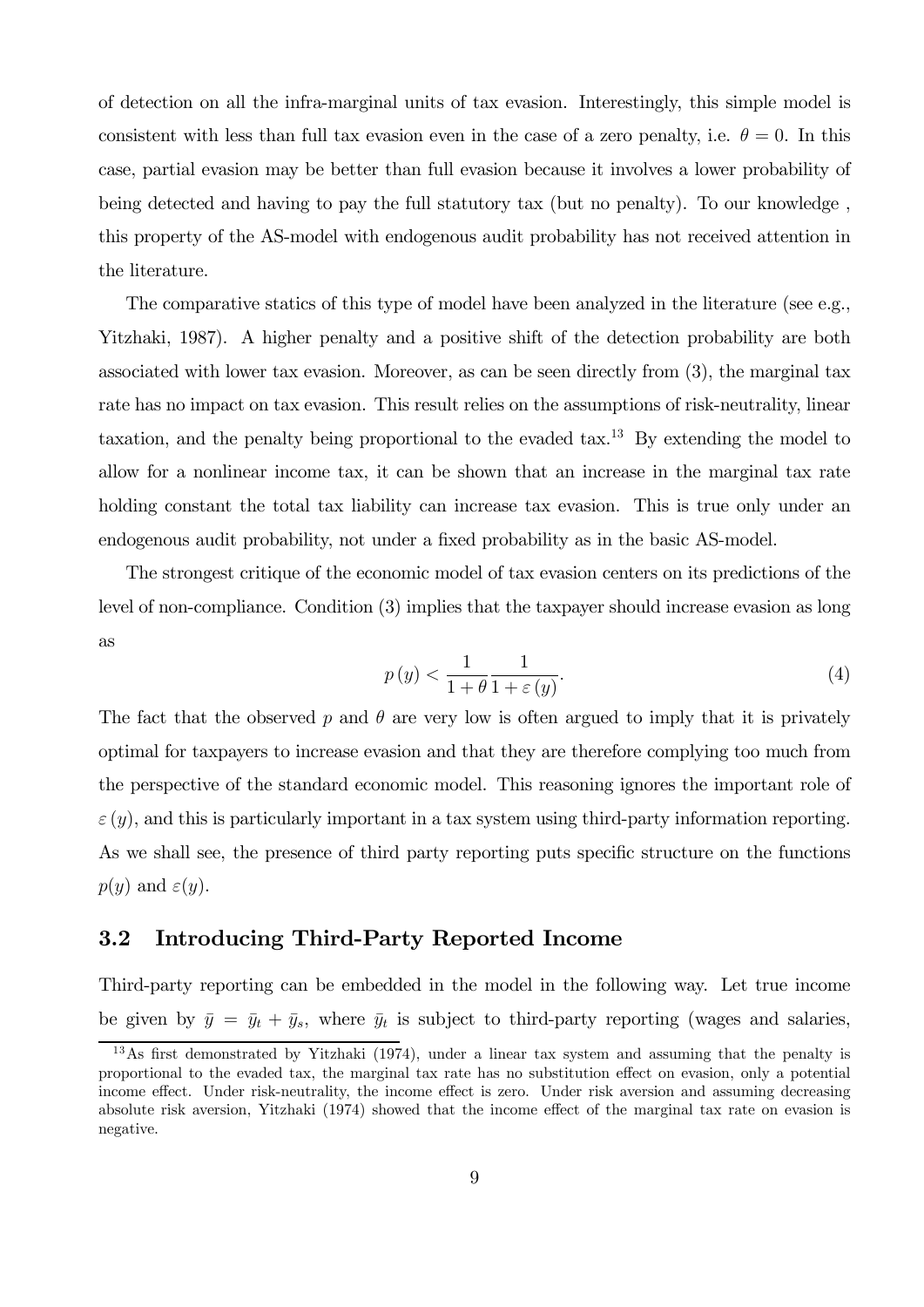of detection on all the infra-marginal units of tax evasion. Interestingly, this simple model is consistent with less than full tax evasion even in the case of a zero penalty, i.e.  $\theta = 0$ . In this case, partial evasion may be better than full evasion because it involves a lower probability of being detected and having to pay the full statutory tax (but no penalty). To our knowledge , this property of the AS-model with endogenous audit probability has not received attention in the literature.

The comparative statics of this type of model have been analyzed in the literature (see e.g., Yitzhaki, 1987). A higher penalty and a positive shift of the detection probability are both associated with lower tax evasion. Moreover, as can be seen directly from (3), the marginal tax rate has no impact on tax evasion. This result relies on the assumptions of risk-neutrality, linear taxation, and the penalty being proportional to the evaded tax.<sup>13</sup> By extending the model to allow for a nonlinear income tax, it can be shown that an increase in the marginal tax rate holding constant the total tax liability can increase tax evasion. This is true only under an endogenous audit probability, not under a fixed probability as in the basic AS-model.

The strongest critique of the economic model of tax evasion centers on its predictions of the level of non-compliance. Condition (3) implies that the taxpayer should increase evasion as long as

$$
p(y) < \frac{1}{1+\theta} \frac{1}{1+\varepsilon(y)}.\tag{4}
$$

The fact that the observed  $p$  and  $\theta$  are very low is often argued to imply that it is privately optimal for taxpayers to increase evasion and that they are therefore complying too much from the perspective of the standard economic model. This reasoning ignores the important role of  $\varepsilon(y)$ , and this is particularly important in a tax system using third-party information reporting. As we shall see, the presence of third party reporting puts specific structure on the functions  $p(y)$  and  $\varepsilon(y)$ .

#### 3.2 Introducing Third-Party Reported Income

Third-party reporting can be embedded in the model in the following way. Let true income be given by  $\bar{y} = \bar{y}_t + \bar{y}_s$ , where  $\bar{y}_t$  is subject to third-party reporting (wages and salaries,

 $13\,\mathrm{As}$  first demonstrated by Yitzhaki (1974), under a linear tax system and assuming that the penalty is proportional to the evaded tax, the marginal tax rate has no substitution effect on evasion, only a potential income effect. Under risk-neutrality, the income effect is zero. Under risk aversion and assuming decreasing absolute risk aversion, Yitzhaki (1974) showed that the income effect of the marginal tax rate on evasion is negative.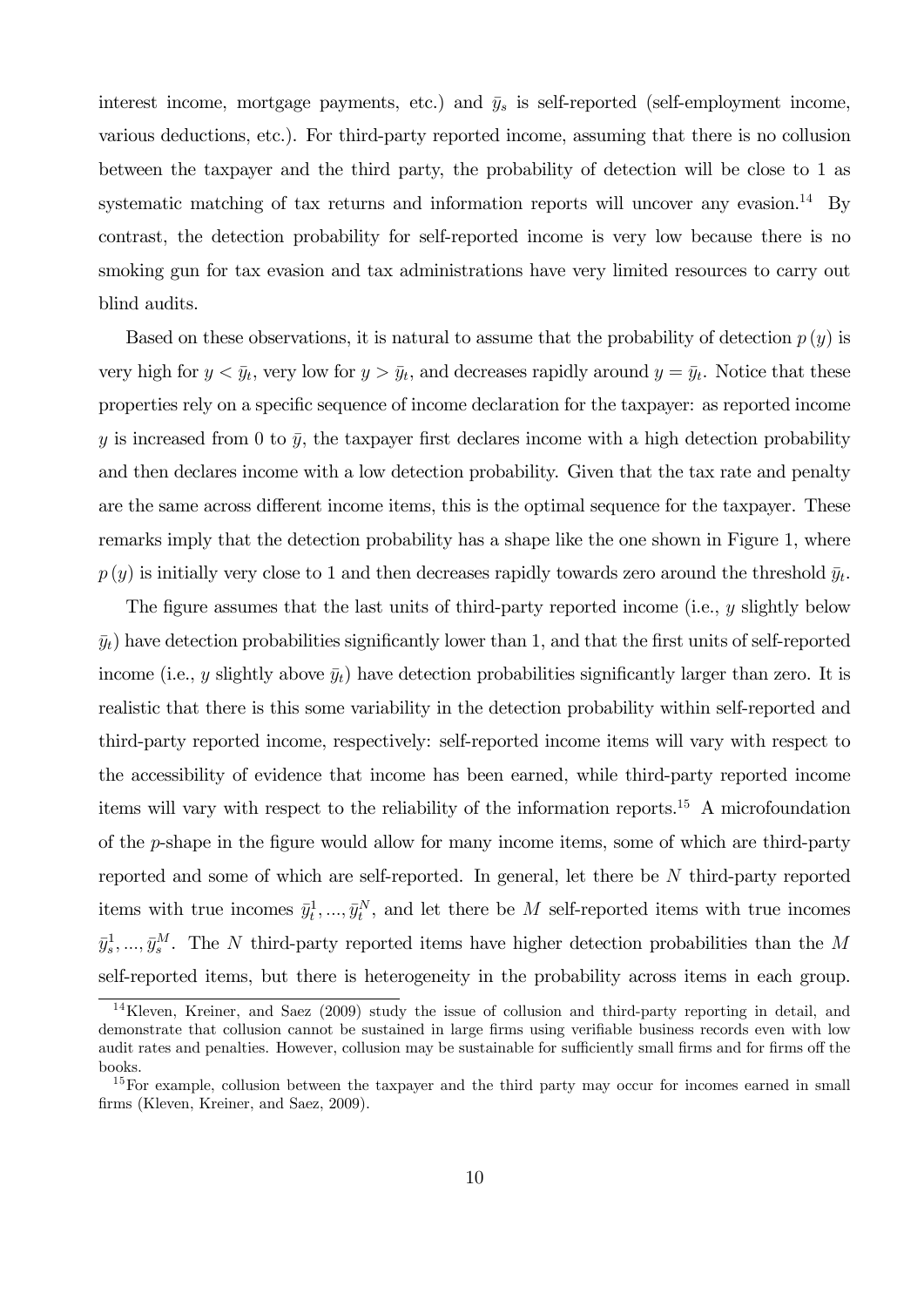interest income, mortgage payments, etc.) and  $\bar{y}_s$  is self-reported (self-employment income, various deductions, etc.). For third-party reported income, assuming that there is no collusion between the taxpayer and the third party, the probability of detection will be close to 1 as systematic matching of tax returns and information reports will uncover any evasion.<sup>14</sup> By contrast, the detection probability for self-reported income is very low because there is no smoking gun for tax evasion and tax administrations have very limited resources to carry out blind audits.

Based on these observations, it is natural to assume that the probability of detection  $p(y)$  is very high for  $y < \bar{y}_t$ , very low for  $y > \bar{y}_t$ , and decreases rapidly around  $y = \bar{y}_t$ . Notice that these properties rely on a specific sequence of income declaration for the taxpayer: as reported income y is increased from 0 to  $\bar{y}$ , the taxpayer first declares income with a high detection probability and then declares income with a low detection probability. Given that the tax rate and penalty are the same across different income items, this is the optimal sequence for the taxpayer. These remarks imply that the detection probability has a shape like the one shown in Figure 1, where  $p(y)$  is initially very close to 1 and then decreases rapidly towards zero around the threshold  $\bar{y}_t$ .

The figure assumes that the last units of third-party reported income (i.e.,  $y$  slightly below  $\bar{y}_t$ ) have detection probabilities significantly lower than 1, and that the first units of self-reported income (i.e., y slightly above  $\bar{y}_t$ ) have detection probabilities significantly larger than zero. It is realistic that there is this some variability in the detection probability within self-reported and third-party reported income, respectively: self-reported income items will vary with respect to the accessibility of evidence that income has been earned, while third-party reported income items will vary with respect to the reliability of the information reports.15 A microfoundation of the  $p$ -shape in the figure would allow for many income items, some of which are third-party reported and some of which are self-reported. In general, let there be  $N$  third-party reported items with true incomes  $\bar{y}_t^1, ..., \bar{y}_t^N$ , and let there be M self-reported items with true incomes  $\bar{y}_s^1, \ldots, \bar{y}_s^M$ . The N third-party reported items have higher detection probabilities than the M self-reported items, but there is heterogeneity in the probability across items in each group.

<sup>14</sup>Kleven, Kreiner, and Saez (2009) study the issue of collusion and third-party reporting in detail, and demonstrate that collusion cannot be sustained in large firms using verifiable business records even with low audit rates and penalties. However, collusion may be sustainable for sufficiently small firms and for firms off the books.

<sup>&</sup>lt;sup>15</sup>For example, collusion between the taxpayer and the third party may occur for incomes earned in small firms (Kleven, Kreiner, and Saez, 2009).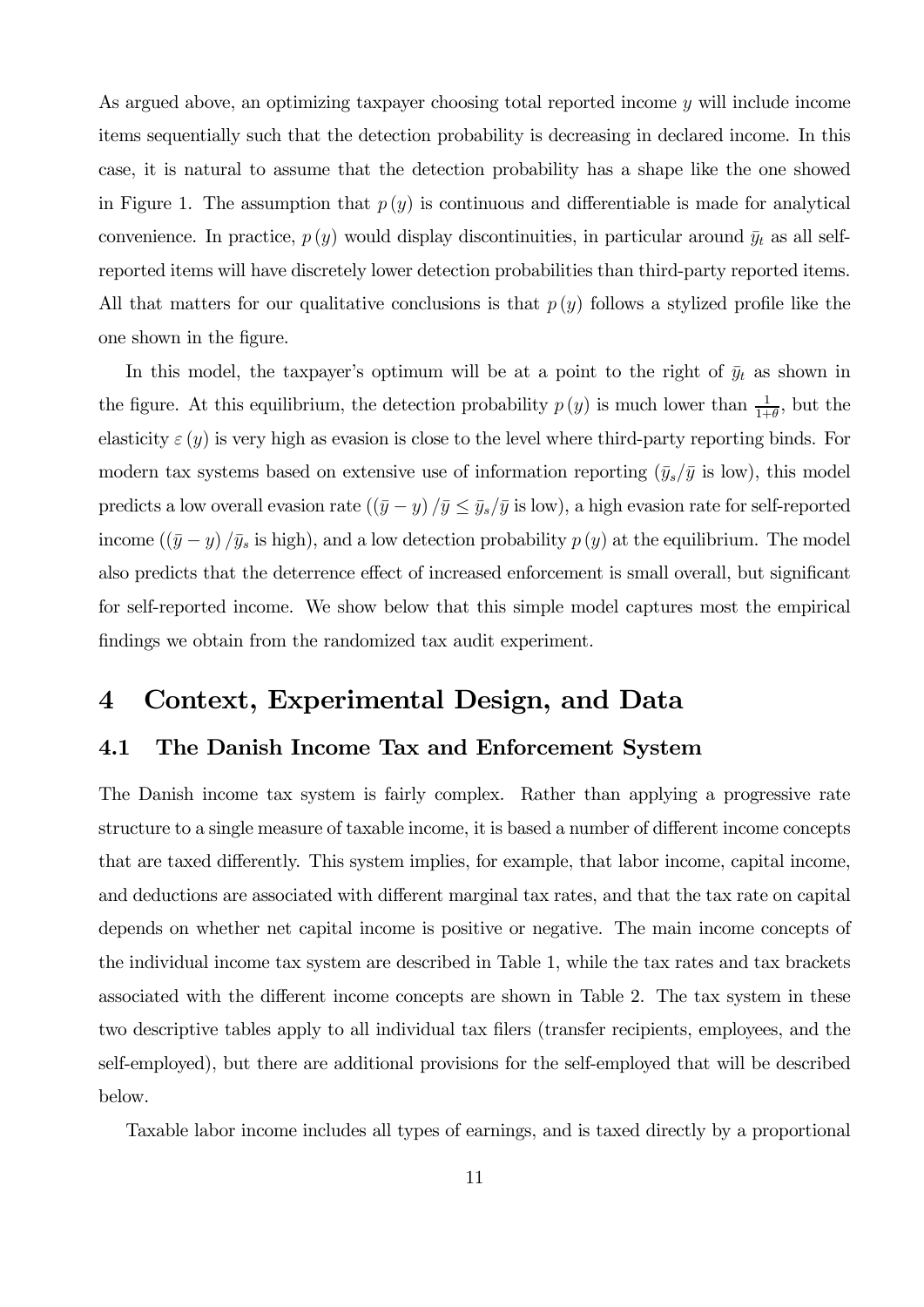As argued above, an optimizing taxpayer choosing total reported income y will include income items sequentially such that the detection probability is decreasing in declared income. In this case, it is natural to assume that the detection probability has a shape like the one showed in Figure 1. The assumption that  $p(y)$  is continuous and differentiable is made for analytical convenience. In practice,  $p(y)$  would display discontinuities, in particular around  $\bar{y}_t$  as all selfreported items will have discretely lower detection probabilities than third-party reported items. All that matters for our qualitative conclusions is that  $p(y)$  follows a stylized profile like the one shown in the figure.

In this model, the taxpayer's optimum will be at a point to the right of  $\bar{y}_t$  as shown in the figure. At this equilibrium, the detection probability  $p(y)$  is much lower than  $\frac{1}{1+\theta}$ , but the elasticity  $\varepsilon(y)$  is very high as evasion is close to the level where third-party reporting binds. For modern tax systems based on extensive use of information reporting  $(\bar{y}_s/\bar{y})$  is low), this model predicts a low overall evasion rate  $((\bar{y} - y) / \bar{y} \le \bar{y}_s / \bar{y}$  is low), a high evasion rate for self-reported income  $((\bar{y} - y)/\bar{y}_s)$  is high), and a low detection probability  $p(y)$  at the equilibrium. The model also predicts that the deterrence effect of increased enforcement is small overall, but significant for self-reported income. We show below that this simple model captures most the empirical findings we obtain from the randomized tax audit experiment.

## 4 Context, Experimental Design, and Data

#### 4.1 The Danish Income Tax and Enforcement System

The Danish income tax system is fairly complex. Rather than applying a progressive rate structure to a single measure of taxable income, it is based a number of different income concepts that are taxed differently. This system implies, for example, that labor income, capital income, and deductions are associated with different marginal tax rates, and that the tax rate on capital depends on whether net capital income is positive or negative. The main income concepts of the individual income tax system are described in Table 1, while the tax rates and tax brackets associated with the different income concepts are shown in Table 2. The tax system in these two descriptive tables apply to all individual tax filers (transfer recipients, employees, and the self-employed), but there are additional provisions for the self-employed that will be described below.

Taxable labor income includes all types of earnings, and is taxed directly by a proportional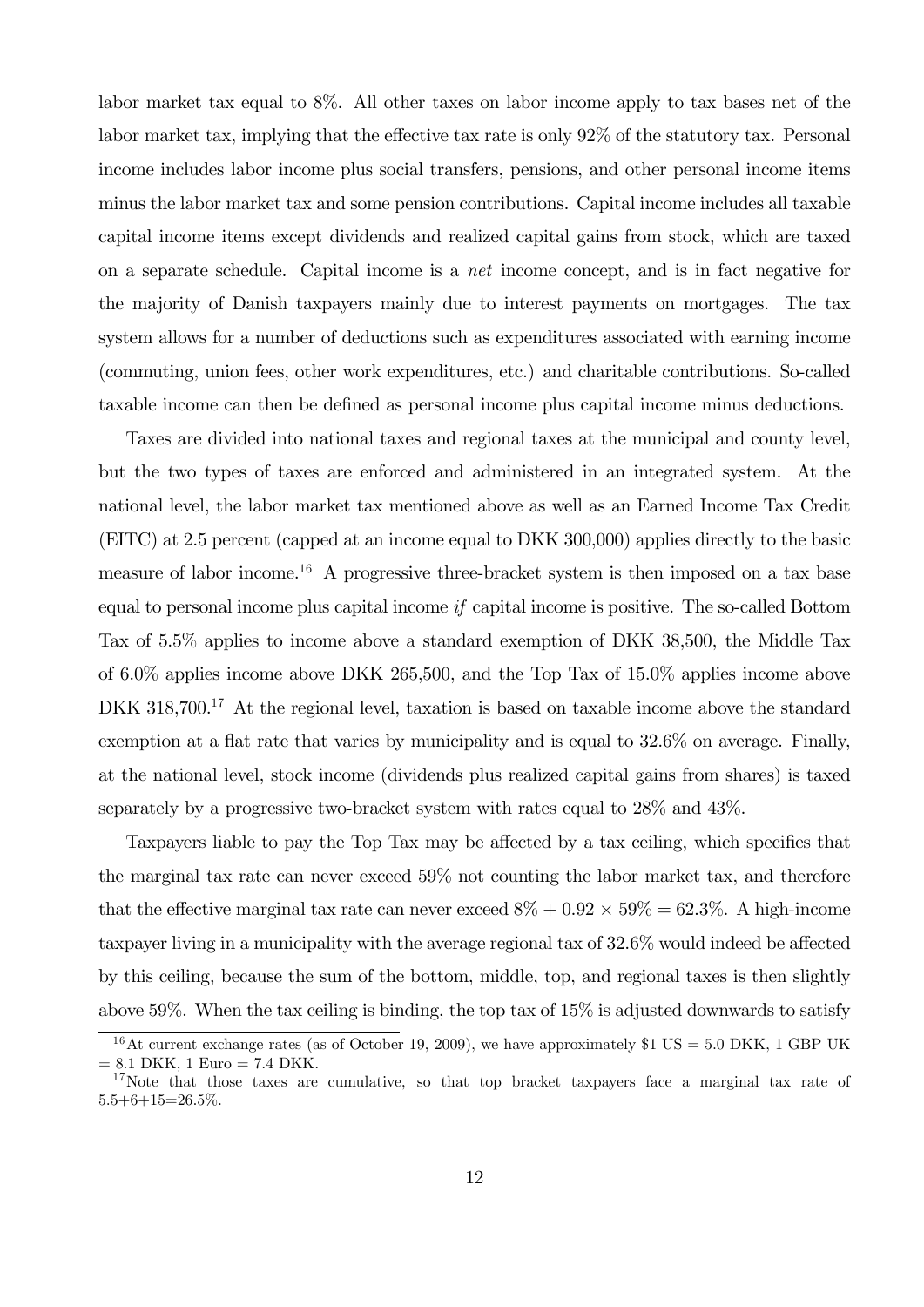labor market tax equal to 8%. All other taxes on labor income apply to tax bases net of the labor market tax, implying that the effective tax rate is only 92% of the statutory tax. Personal income includes labor income plus social transfers, pensions, and other personal income items minus the labor market tax and some pension contributions. Capital income includes all taxable capital income items except dividends and realized capital gains from stock, which are taxed on a separate schedule. Capital income is a net income concept, and is in fact negative for the majority of Danish taxpayers mainly due to interest payments on mortgages. The tax system allows for a number of deductions such as expenditures associated with earning income (commuting, union fees, other work expenditures, etc.) and charitable contributions. So-called taxable income can then be defined as personal income plus capital income minus deductions.

Taxes are divided into national taxes and regional taxes at the municipal and county level, but the two types of taxes are enforced and administered in an integrated system. At the national level, the labor market tax mentioned above as well as an Earned Income Tax Credit (EITC) at 2.5 percent (capped at an income equal to DKK 300,000) applies directly to the basic measure of labor income.16 A progressive three-bracket system is then imposed on a tax base equal to personal income plus capital income if capital income is positive. The so-called Bottom Tax of 5.5% applies to income above a standard exemption of DKK 38,500, the Middle Tax of 6.0% applies income above DKK 265,500, and the Top Tax of 15.0% applies income above DKK 318,700.<sup>17</sup> At the regional level, taxation is based on taxable income above the standard exemption at a flat rate that varies by municipality and is equal to 32.6% on average. Finally, at the national level, stock income (dividends plus realized capital gains from shares) is taxed separately by a progressive two-bracket system with rates equal to 28% and 43%.

Taxpayers liable to pay the Top Tax may be affected by a tax ceiling, which specifies that the marginal tax rate can never exceed 59% not counting the labor market tax, and therefore that the effective marginal tax rate can never exceed  $8\% + 0.92 \times 59\% = 62.3\%$ . A high-income taxpayer living in a municipality with the average regional tax of 32.6% would indeed be affected by this ceiling, because the sum of the bottom, middle, top, and regional taxes is then slightly above 59%. When the tax ceiling is binding, the top tax of 15% is adjusted downwards to satisfy

<sup>&</sup>lt;sup>16</sup>At current exchange rates (as of October 19, 2009), we have approximately \$1 US = 5.0 DKK, 1 GBP UK  $= 8.1$  DKK, 1 Euro  $= 7.4$  DKK.

<sup>&</sup>lt;sup>17</sup>Note that those taxes are cumulative, so that top bracket taxpayers face a marginal tax rate of  $5.5+6+15=26.5\%$ .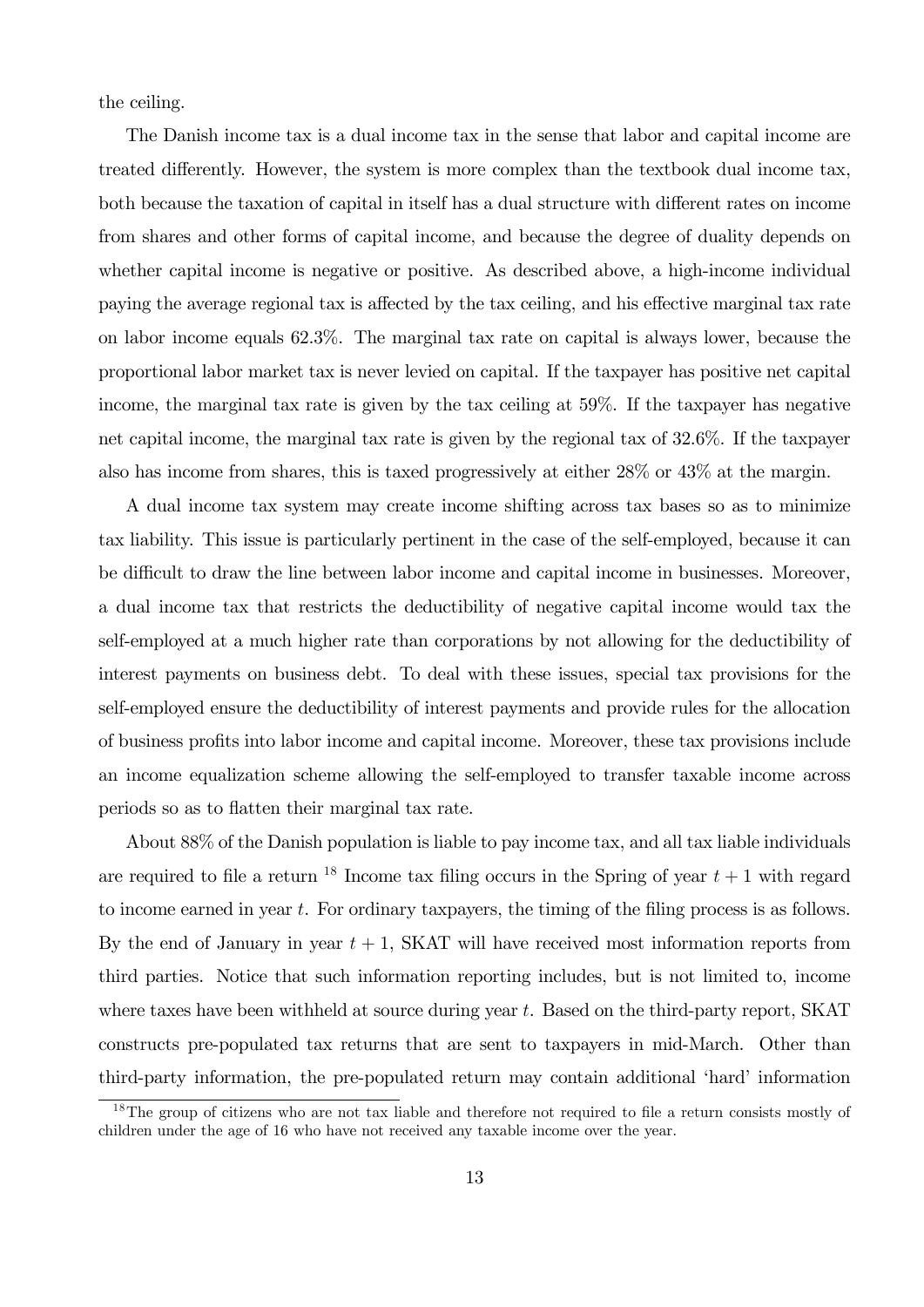the ceiling.

The Danish income tax is a dual income tax in the sense that labor and capital income are treated differently. However, the system is more complex than the textbook dual income tax, both because the taxation of capital in itself has a dual structure with different rates on income from shares and other forms of capital income, and because the degree of duality depends on whether capital income is negative or positive. As described above, a high-income individual paying the average regional tax is affected by the tax ceiling, and his effective marginal tax rate on labor income equals 62.3%. The marginal tax rate on capital is always lower, because the proportional labor market tax is never levied on capital. If the taxpayer has positive net capital income, the marginal tax rate is given by the tax ceiling at 59%. If the taxpayer has negative net capital income, the marginal tax rate is given by the regional tax of 32.6%. If the taxpayer also has income from shares, this is taxed progressively at either 28% or 43% at the margin.

A dual income tax system may create income shifting across tax bases so as to minimize tax liability. This issue is particularly pertinent in the case of the self-employed, because it can be difficult to draw the line between labor income and capital income in businesses. Moreover, a dual income tax that restricts the deductibility of negative capital income would tax the self-employed at a much higher rate than corporations by not allowing for the deductibility of interest payments on business debt. To deal with these issues, special tax provisions for the self-employed ensure the deductibility of interest payments and provide rules for the allocation of business profits into labor income and capital income. Moreover, these tax provisions include an income equalization scheme allowing the self-employed to transfer taxable income across periods so as to flatten their marginal tax rate.

About 88% of the Danish population is liable to pay income tax, and all tax liable individuals are required to file a return <sup>18</sup> Income tax filing occurs in the Spring of year  $t + 1$  with regard to income earned in year  $t$ . For ordinary taxpayers, the timing of the filing process is as follows. By the end of January in year  $t + 1$ , SKAT will have received most information reports from third parties. Notice that such information reporting includes, but is not limited to, income where taxes have been withheld at source during year  $t$ . Based on the third-party report, SKAT constructs pre-populated tax returns that are sent to taxpayers in mid-March. Other than third-party information, the pre-populated return may contain additional 'hard' information

<sup>&</sup>lt;sup>18</sup>The group of citizens who are not tax liable and therefore not required to file a return consists mostly of children under the age of 16 who have not received any taxable income over the year.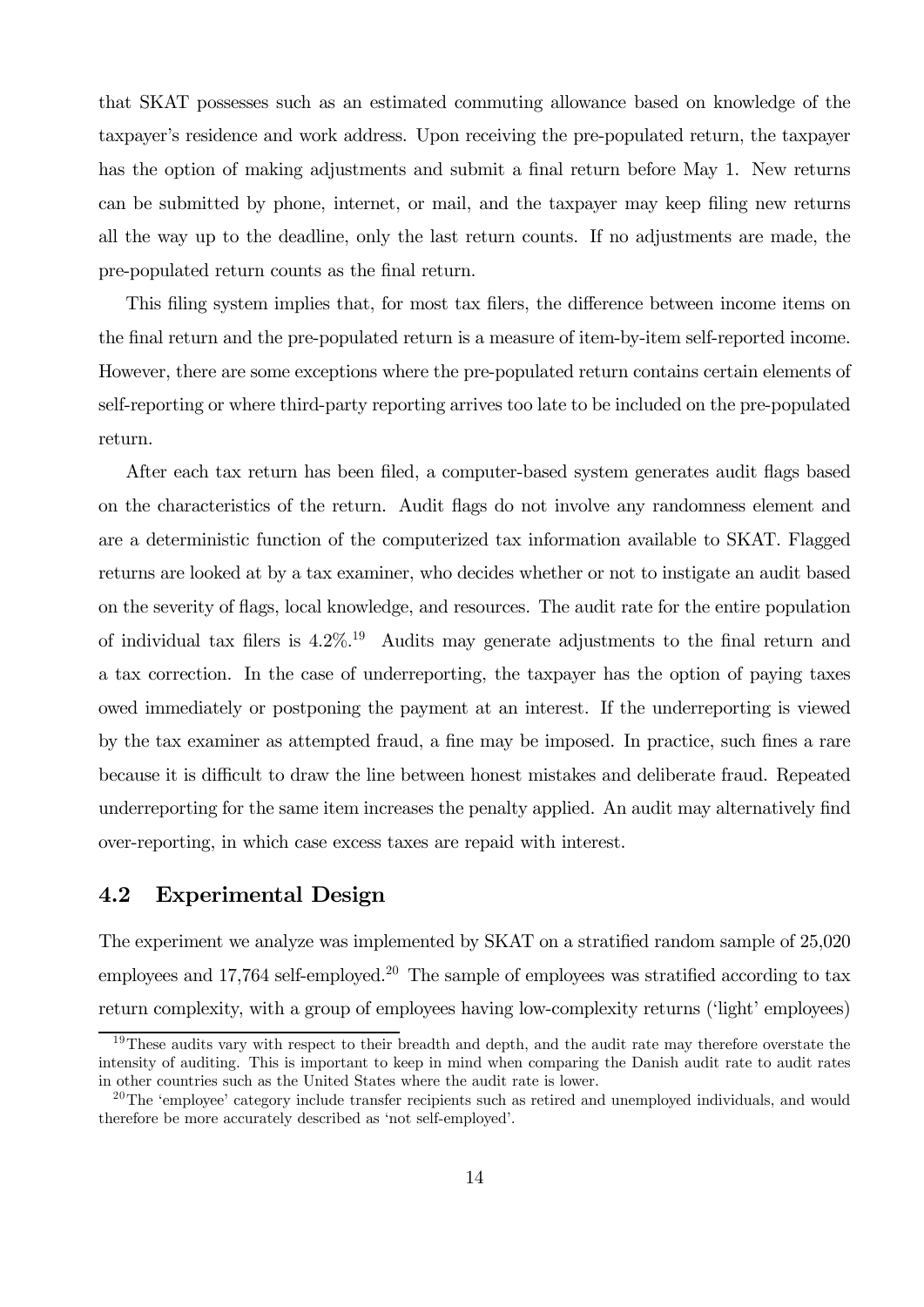that SKAT possesses such as an estimated commuting allowance based on knowledge of the taxpayer's residence and work address. Upon receiving the pre-populated return, the taxpayer has the option of making adjustments and submit a final return before May 1. New returns can be submitted by phone, internet, or mail, and the taxpayer may keep filing new returns all the way up to the deadline, only the last return counts. If no adjustments are made, the pre-populated return counts as the final return.

This filing system implies that, for most tax filers, the difference between income items on the final return and the pre-populated return is a measure of item-by-item self-reported income. However, there are some exceptions where the pre-populated return contains certain elements of self-reporting or where third-party reporting arrives too late to be included on the pre-populated return.

After each tax return has been filed, a computer-based system generates audit flags based on the characteristics of the return. Audit flags do not involve any randomness element and are a deterministic function of the computerized tax information available to SKAT. Flagged returns are looked at by a tax examiner, who decides whether or not to instigate an audit based on the severity of flags, local knowledge, and resources. The audit rate for the entire population of individual tax filers is  $4.2\%$ <sup>19</sup> Audits may generate adjustments to the final return and a tax correction. In the case of underreporting, the taxpayer has the option of paying taxes owed immediately or postponing the payment at an interest. If the underreporting is viewed by the tax examiner as attempted fraud, a fine may be imposed. In practice, such fines a rare because it is difficult to draw the line between honest mistakes and deliberate fraud. Repeated underreporting for the same item increases the penalty applied. An audit may alternatively find over-reporting, in which case excess taxes are repaid with interest.

### 4.2 Experimental Design

The experiment we analyze was implemented by SKAT on a stratified random sample of 25,020 employees and 17,764 self-employed.<sup>20</sup> The sample of employees was stratified according to tax return complexity, with a group of employees having low-complexity returns ('light' employees)

<sup>&</sup>lt;sup>19</sup>These audits vary with respect to their breadth and depth, and the audit rate may therefore overstate the intensity of auditing. This is important to keep in mind when comparing the Danish audit rate to audit rates in other countries such as the United States where the audit rate is lower.

 $^{20}$ The 'employee' category include transfer recipients such as retired and unemployed individuals, and would therefore be more accurately described as 'not self-employed'.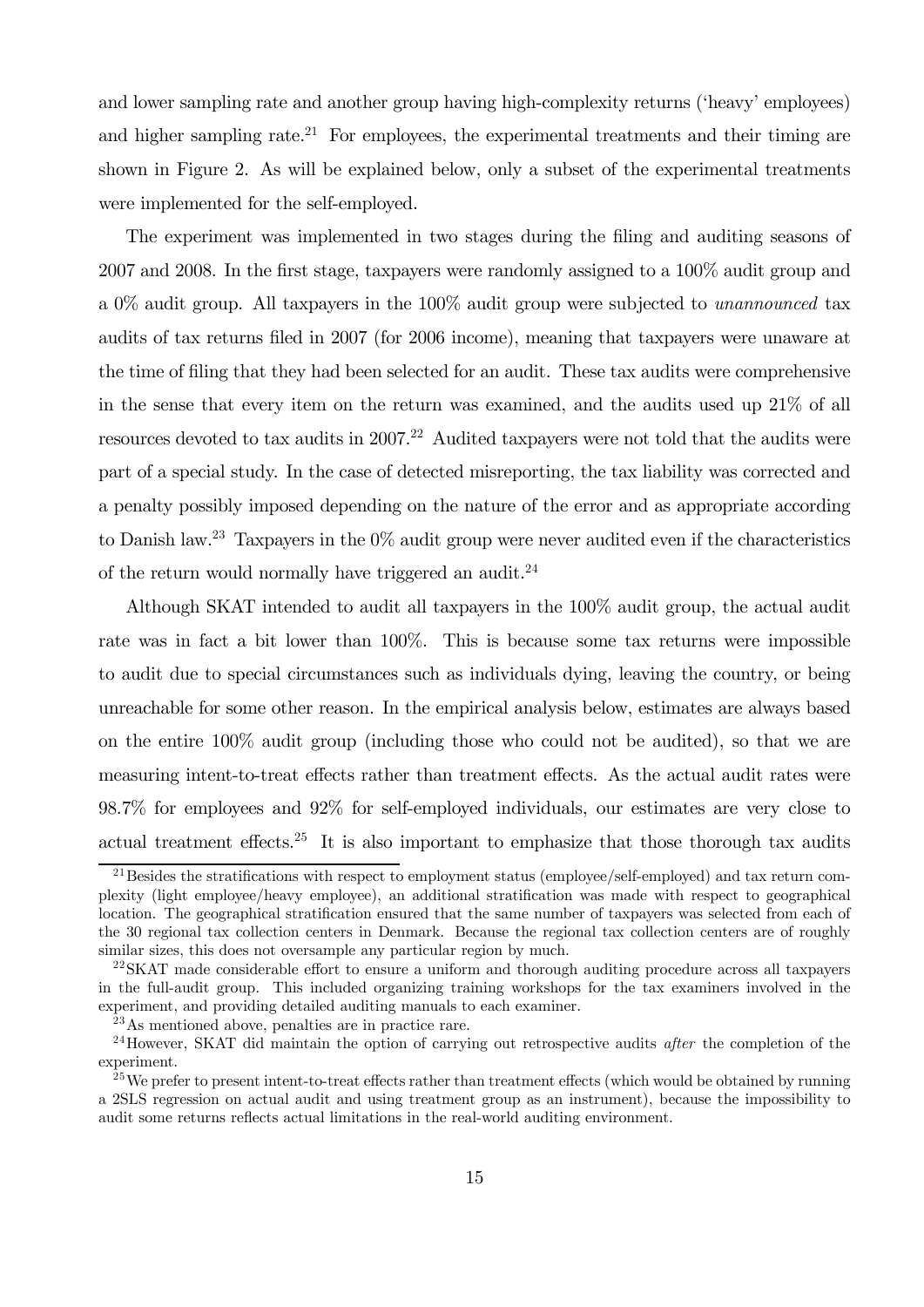and lower sampling rate and another group having high-complexity returns ('heavy' employees) and higher sampling rate.<sup>21</sup> For employees, the experimental treatments and their timing are shown in Figure 2. As will be explained below, only a subset of the experimental treatments were implemented for the self-employed.

The experiment was implemented in two stages during the filing and auditing seasons of 2007 and 2008. In the first stage, taxpayers were randomly assigned to a 100% audit group and a 0% audit group. All taxpayers in the 100% audit group were subjected to unannounced tax audits of tax returns filed in 2007 (for 2006 income), meaning that taxpayers were unaware at the time of filing that they had been selected for an audit. These tax audits were comprehensive in the sense that every item on the return was examined, and the audits used up 21% of all resources devoted to tax audits in  $2007<sup>22</sup>$  Audited taxpayers were not told that the audits were part of a special study. In the case of detected misreporting, the tax liability was corrected and a penalty possibly imposed depending on the nature of the error and as appropriate according to Danish law.<sup>23</sup> Taxpayers in the  $0\%$  audit group were never audited even if the characteristics of the return would normally have triggered an audit.<sup>24</sup>

Although SKAT intended to audit all taxpayers in the 100% audit group, the actual audit rate was in fact a bit lower than 100%. This is because some tax returns were impossible to audit due to special circumstances such as individuals dying, leaving the country, or being unreachable for some other reason. In the empirical analysis below, estimates are always based on the entire 100% audit group (including those who could not be audited), so that we are measuring intent-to-treat effects rather than treatment effects. As the actual audit rates were 98.7% for employees and 92% for self-employed individuals, our estimates are very close to actual treatment effects.<sup>25</sup> It is also important to emphasize that those thorough tax audits

<sup>&</sup>lt;sup>21</sup>Besides the stratifications with respect to employment status (employee/self-employed) and tax return complexity (light employee/heavy employee), an additional stratification was made with respect to geographical location. The geographical stratification ensured that the same number of taxpayers was selected from each of the 30 regional tax collection centers in Denmark. Because the regional tax collection centers are of roughly similar sizes, this does not oversample any particular region by much.

<sup>&</sup>lt;sup>22</sup>SKAT made considerable effort to ensure a uniform and thorough auditing procedure across all taxpayers in the full-audit group. This included organizing training workshops for the tax examiners involved in the experiment, and providing detailed auditing manuals to each examiner.

<sup>23</sup>As mentioned above, penalties are in practice rare.

<sup>&</sup>lt;sup>24</sup>However, SKAT did maintain the option of carrying out retrospective audits *after* the completion of the experiment.

<sup>&</sup>lt;sup>25</sup>We prefer to present intent-to-treat effects rather than treatment effects (which would be obtained by running a 2SLS regression on actual audit and using treatment group as an instrument), because the impossibility to audit some returns reflects actual limitations in the real-world auditing environment.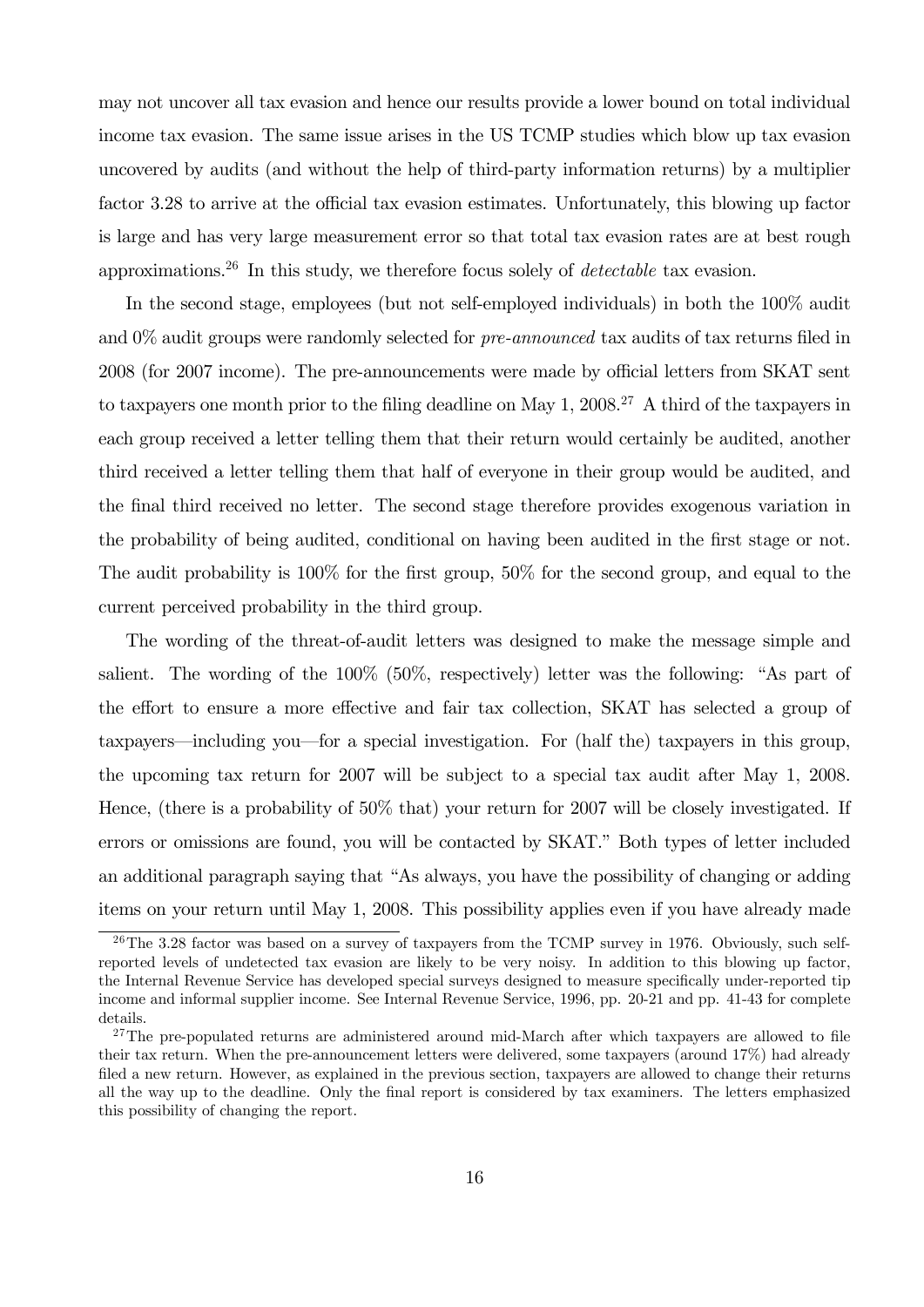may not uncover all tax evasion and hence our results provide a lower bound on total individual income tax evasion. The same issue arises in the US TCMP studies which blow up tax evasion uncovered by audits (and without the help of third-party information returns) by a multiplier factor 3.28 to arrive at the official tax evasion estimates. Unfortunately, this blowing up factor is large and has very large measurement error so that total tax evasion rates are at best rough approximations.<sup>26</sup> In this study, we therefore focus solely of *detectable* tax evasion.

In the second stage, employees (but not self-employed individuals) in both the 100% audit and  $0\%$  audit groups were randomly selected for *pre-announced* tax audits of tax returns filed in 2008 (for 2007 income). The pre-announcements were made by official letters from SKAT sent to taxpayers one month prior to the filing deadline on May 1,  $2008<sup>27</sup>$  A third of the taxpayers in each group received a letter telling them that their return would certainly be audited, another third received a letter telling them that half of everyone in their group would be audited, and the final third received no letter. The second stage therefore provides exogenous variation in the probability of being audited, conditional on having been audited in the first stage or not. The audit probability is 100% for the first group, 50% for the second group, and equal to the current perceived probability in the third group.

The wording of the threat-of-audit letters was designed to make the message simple and salient. The wording of the 100% (50%, respectively) letter was the following: "As part of the effort to ensure a more effective and fair tax collection, SKAT has selected a group of taxpayers–including you–for a special investigation. For (half the) taxpayers in this group, the upcoming tax return for 2007 will be subject to a special tax audit after May 1, 2008. Hence, (there is a probability of 50% that) your return for 2007 will be closely investigated. If errors or omissions are found, you will be contacted by SKAT." Both types of letter included an additional paragraph saying that "As always, you have the possibility of changing or adding items on your return until May 1, 2008. This possibility applies even if you have already made

<sup>&</sup>lt;sup>26</sup>The 3.28 factor was based on a survey of taxpayers from the TCMP survey in 1976. Obviously, such selfreported levels of undetected tax evasion are likely to be very noisy. In addition to this blowing up factor, the Internal Revenue Service has developed special surveys designed to measure specifically under-reported tip income and informal supplier income. See Internal Revenue Service, 1996, pp. 20-21 and pp. 41-43 for complete details.

 $27$ The pre-populated returns are administered around mid-March after which taxpayers are allowed to file their tax return. When the pre-announcement letters were delivered, some taxpayers (around 17%) had already filed a new return. However, as explained in the previous section, taxpayers are allowed to change their returns all the way up to the deadline. Only the final report is considered by tax examiners. The letters emphasized this possibility of changing the report.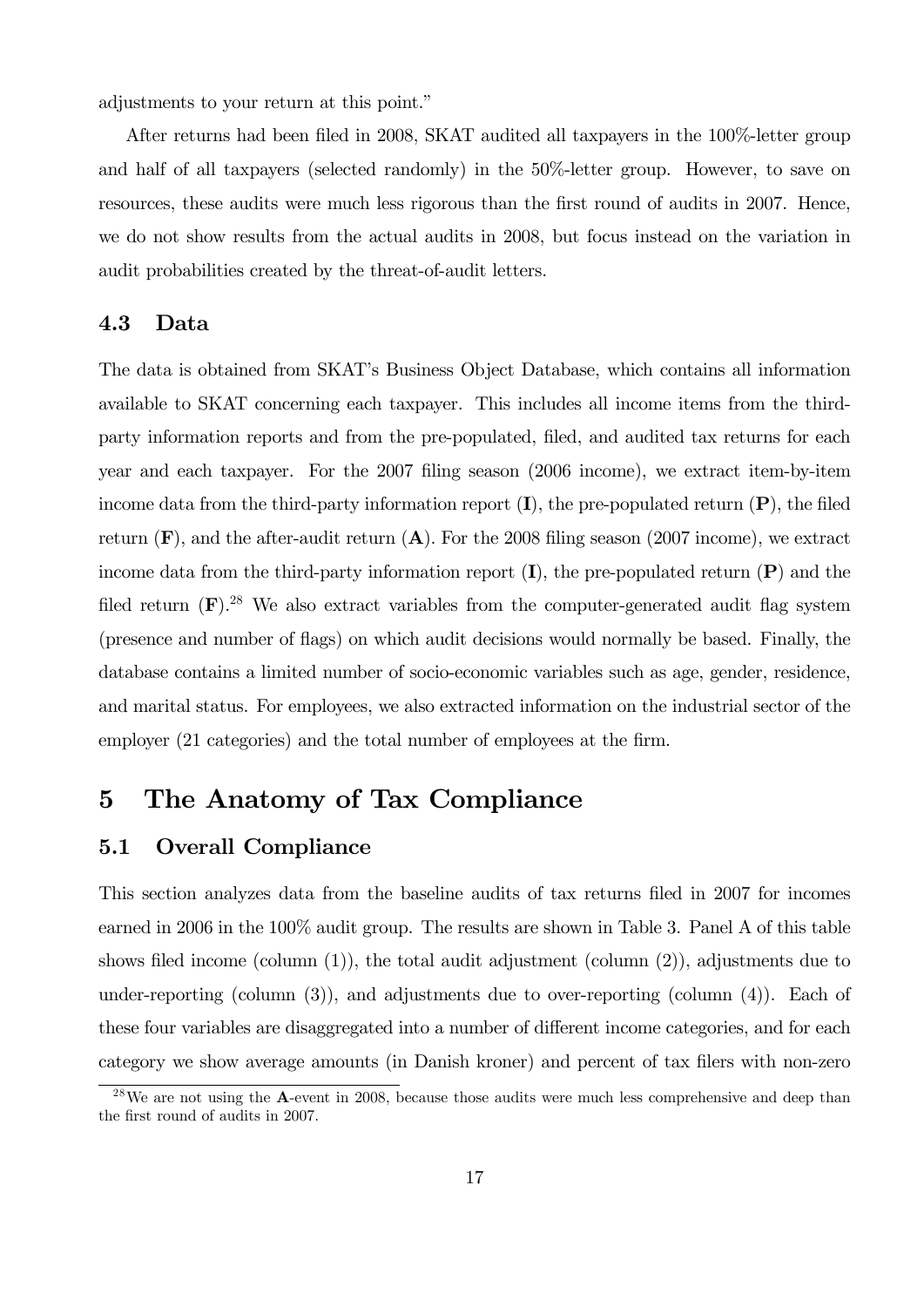adjustments to your return at this point."

After returns had been filed in 2008, SKAT audited all taxpayers in the 100%-letter group and half of all taxpayers (selected randomly) in the 50%-letter group. However, to save on resources, these audits were much less rigorous than the first round of audits in 2007. Hence, we do not show results from the actual audits in 2008, but focus instead on the variation in audit probabilities created by the threat-of-audit letters.

#### 4.3 Data

The data is obtained from SKAT's Business Object Database, which contains all information available to SKAT concerning each taxpayer. This includes all income items from the thirdparty information reports and from the pre-populated, filed, and audited tax returns for each year and each taxpayer. For the 2007 filing season (2006 income), we extract item-by-item income data from the third-party information report  $(I)$ , the pre-populated return  $(P)$ , the filed return  $(F)$ , and the after-audit return  $(A)$ . For the 2008 filing season (2007 income), we extract income data from the third-party information report  $(I)$ , the pre-populated return  $(P)$  and the filed return  $(F)$ <sup>28</sup>. We also extract variables from the computer-generated audit flag system (presence and number of flags) on which audit decisions would normally be based. Finally, the database contains a limited number of socio-economic variables such as age, gender, residence, and marital status. For employees, we also extracted information on the industrial sector of the employer (21 categories) and the total number of employees at the firm.

## 5 The Anatomy of Tax Compliance

#### 5.1 Overall Compliance

This section analyzes data from the baseline audits of tax returns filed in 2007 for incomes earned in 2006 in the 100% audit group. The results are shown in Table 3. Panel A of this table shows filed income (column (1)), the total audit adjustment (column (2)), adjustments due to under-reporting (column (3)), and adjustments due to over-reporting (column (4)). Each of these four variables are disaggregated into a number of different income categories, and for each category we show average amounts (in Danish kroner) and percent of tax filers with non-zero

 $^{28}$ We are not using the **A**-event in 2008, because those audits were much less comprehensive and deep than the first round of audits in 2007.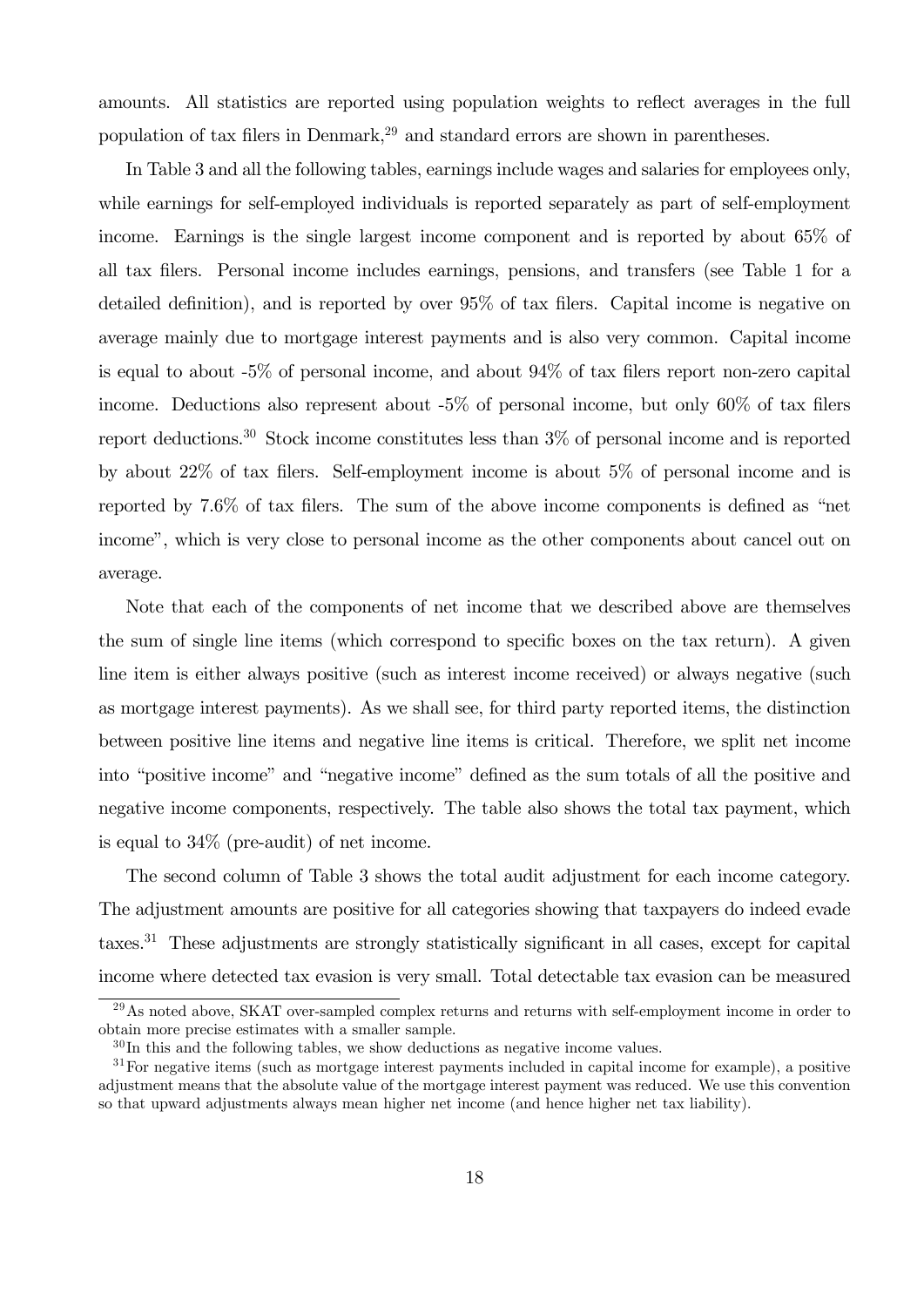amounts. All statistics are reported using population weights to reflect averages in the full population of tax filers in Denmark,29 and standard errors are shown in parentheses.

In Table 3 and all the following tables, earnings include wages and salaries for employees only, while earnings for self-employed individuals is reported separately as part of self-employment income. Earnings is the single largest income component and is reported by about 65% of all tax filers. Personal income includes earnings, pensions, and transfers (see Table 1 for a detailed definition), and is reported by over 95% of tax filers. Capital income is negative on average mainly due to mortgage interest payments and is also very common. Capital income is equal to about -5% of personal income, and about 94% of tax filers report non-zero capital income. Deductions also represent about -5% of personal income, but only 60% of tax filers report deductions.<sup>30</sup> Stock income constitutes less than  $3\%$  of personal income and is reported by about 22% of tax filers. Self-employment income is about 5% of personal income and is reported by 7.6% of tax filers. The sum of the above income components is defined as "net income", which is very close to personal income as the other components about cancel out on average.

Note that each of the components of net income that we described above are themselves the sum of single line items (which correspond to specific boxes on the tax return). A given line item is either always positive (such as interest income received) or always negative (such as mortgage interest payments). As we shall see, for third party reported items, the distinction between positive line items and negative line items is critical. Therefore, we split net income into "positive income" and "negative income" defined as the sum totals of all the positive and negative income components, respectively. The table also shows the total tax payment, which is equal to 34% (pre-audit) of net income.

The second column of Table 3 shows the total audit adjustment for each income category. The adjustment amounts are positive for all categories showing that taxpayers do indeed evade taxes.31 These adjustments are strongly statistically significant in all cases, except for capital income where detected tax evasion is very small. Total detectable tax evasion can be measured

<sup>29</sup>As noted above, SKAT over-sampled complex returns and returns with self-employment income in order to obtain more precise estimates with a smaller sample.

 $30$ In this and the following tables, we show deductions as negative income values.

<sup>&</sup>lt;sup>31</sup>For negative items (such as mortgage interest payments included in capital income for example), a positive adjustment means that the absolute value of the mortgage interest payment was reduced. We use this convention so that upward adjustments always mean higher net income (and hence higher net tax liability).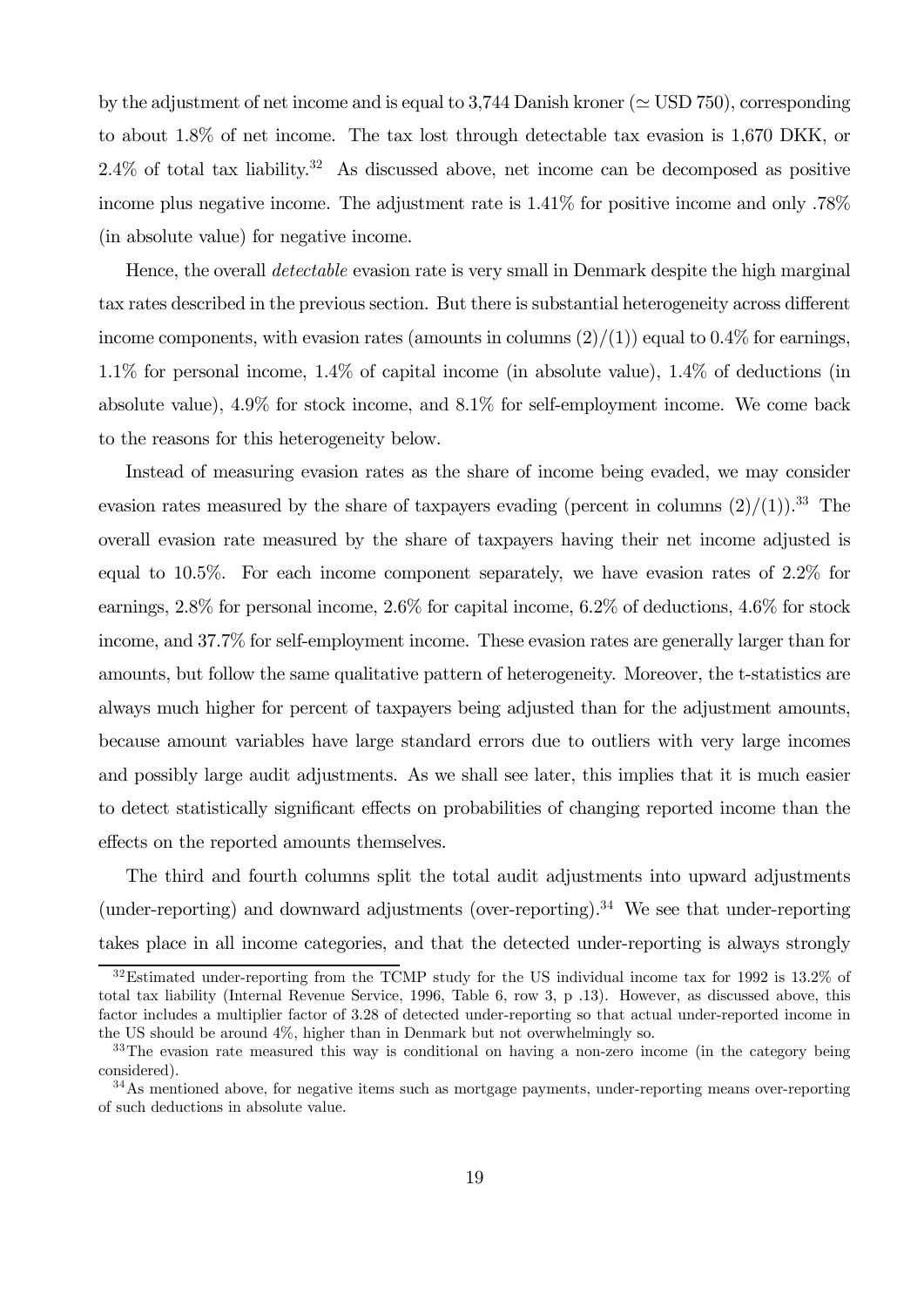by the adjustment of net income and is equal to 3,744 Danish kroner ( $\simeq$  USD 750), corresponding to about 1.8% of net income. The tax lost through detectable tax evasion is 1,670 DKK, or  $2.4\%$  of total tax liability.<sup>32</sup> As discussed above, net income can be decomposed as positive income plus negative income. The adjustment rate is 1.41% for positive income and only .78% (in absolute value) for negative income.

Hence, the overall *detectable* evasion rate is very small in Denmark despite the high marginal tax rates described in the previous section. But there is substantial heterogeneity across different income components, with evasion rates (amounts in columns  $(2)/(1)$ ) equal to 0.4% for earnings, 1.1% for personal income, 1.4% of capital income (in absolute value), 1.4% of deductions (in absolute value), 4.9% for stock income, and 8.1% for self-employment income. We come back to the reasons for this heterogeneity below.

Instead of measuring evasion rates as the share of income being evaded, we may consider evasion rates measured by the share of taxpayers evading (percent in columns  $(2)/(1)$ ).<sup>33</sup> The overall evasion rate measured by the share of taxpayers having their net income adjusted is equal to 10.5%. For each income component separately, we have evasion rates of 2.2% for earnings, 2.8% for personal income, 2.6% for capital income, 6.2% of deductions, 4.6% for stock income, and 37.7% for self-employment income. These evasion rates are generally larger than for amounts, but follow the same qualitative pattern of heterogeneity. Moreover, the t-statistics are always much higher for percent of taxpayers being adjusted than for the adjustment amounts, because amount variables have large standard errors due to outliers with very large incomes and possibly large audit adjustments. As we shall see later, this implies that it is much easier to detect statistically significant effects on probabilities of changing reported income than the effects on the reported amounts themselves.

The third and fourth columns split the total audit adjustments into upward adjustments (under-reporting) and downward adjustments (over-reporting).<sup>34</sup> We see that under-reporting takes place in all income categories, and that the detected under-reporting is always strongly

<sup>32</sup>Estimated under-reporting from the TCMP study for the US individual income tax for 1992 is 13.2% of total tax liability (Internal Revenue Service, 1996, Table 6, row 3, p .13). However, as discussed above, this factor includes a multiplier factor of 3.28 of detected under-reporting so that actual under-reported income in the US should be around 4%, higher than in Denmark but not overwhelmingly so.

<sup>&</sup>lt;sup>33</sup>The evasion rate measured this way is conditional on having a non-zero income (in the category being considered).

<sup>&</sup>lt;sup>34</sup>As mentioned above, for negative items such as mortgage payments, under-reporting means over-reporting of such deductions in absolute value.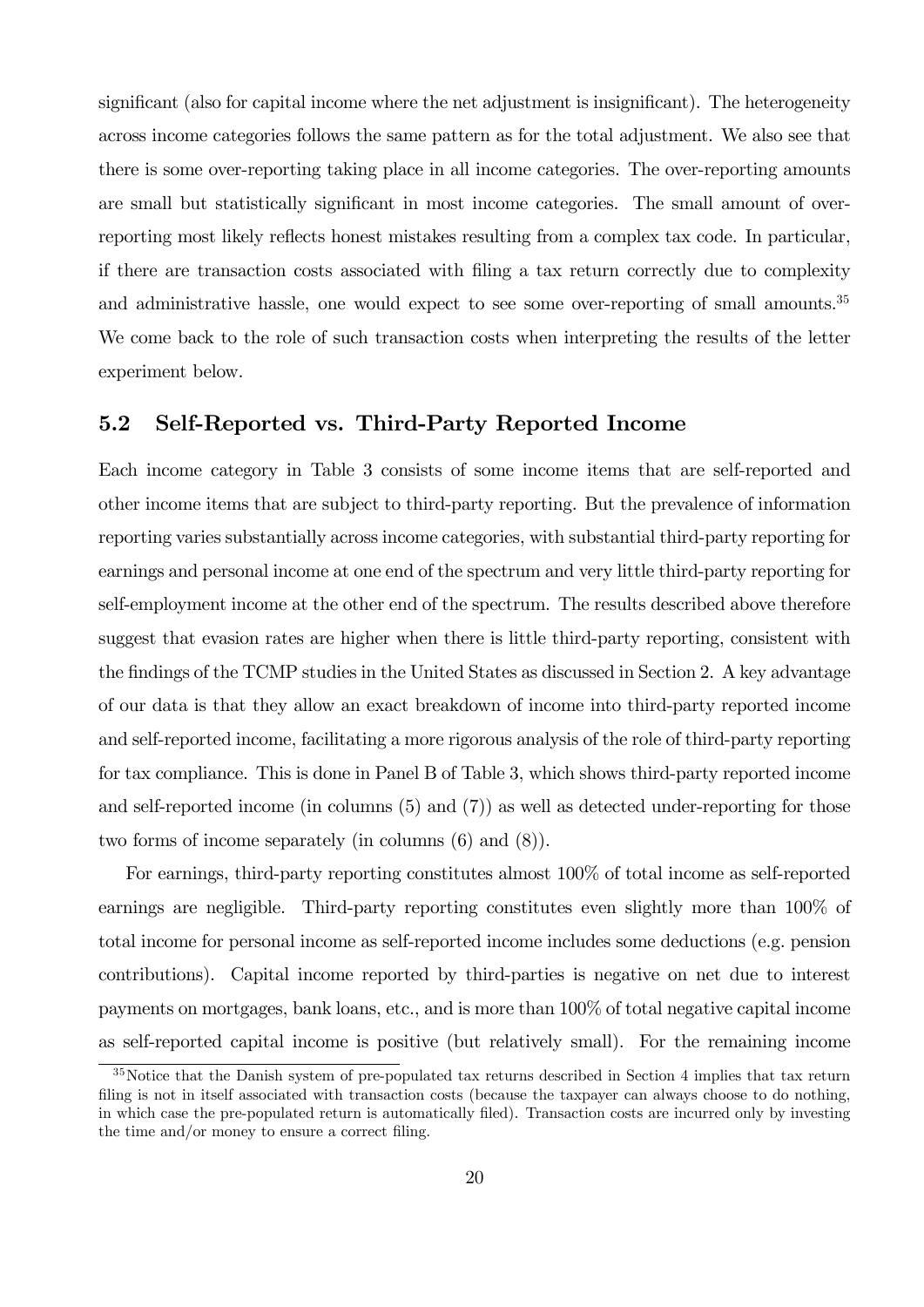significant (also for capital income where the net adjustment is insignificant). The heterogeneity across income categories follows the same pattern as for the total adjustment. We also see that there is some over-reporting taking place in all income categories. The over-reporting amounts are small but statistically significant in most income categories. The small amount of overreporting most likely reflects honest mistakes resulting from a complex tax code. In particular, if there are transaction costs associated with filing a tax return correctly due to complexity and administrative hassle, one would expect to see some over-reporting of small amounts.<sup>35</sup> We come back to the role of such transaction costs when interpreting the results of the letter experiment below.

#### 5.2 Self-Reported vs. Third-Party Reported Income

Each income category in Table 3 consists of some income items that are self-reported and other income items that are subject to third-party reporting. But the prevalence of information reporting varies substantially across income categories, with substantial third-party reporting for earnings and personal income at one end of the spectrum and very little third-party reporting for self-employment income at the other end of the spectrum. The results described above therefore suggest that evasion rates are higher when there is little third-party reporting, consistent with the findings of the TCMP studies in the United States as discussed in Section 2. A key advantage of our data is that they allow an exact breakdown of income into third-party reported income and self-reported income, facilitating a more rigorous analysis of the role of third-party reporting for tax compliance. This is done in Panel B of Table 3, which shows third-party reported income and self-reported income (in columns (5) and (7)) as well as detected under-reporting for those two forms of income separately (in columns (6) and (8)).

For earnings, third-party reporting constitutes almost 100% of total income as self-reported earnings are negligible. Third-party reporting constitutes even slightly more than 100% of total income for personal income as self-reported income includes some deductions (e.g. pension contributions). Capital income reported by third-parties is negative on net due to interest payments on mortgages, bank loans, etc., and is more than 100% of total negative capital income as self-reported capital income is positive (but relatively small). For the remaining income

<sup>&</sup>lt;sup>35</sup>Notice that the Danish system of pre-populated tax returns described in Section 4 implies that tax return filing is not in itself associated with transaction costs (because the taxpayer can always choose to do nothing, in which case the pre-populated return is automatically filed). Transaction costs are incurred only by investing the time and/or money to ensure a correct filing.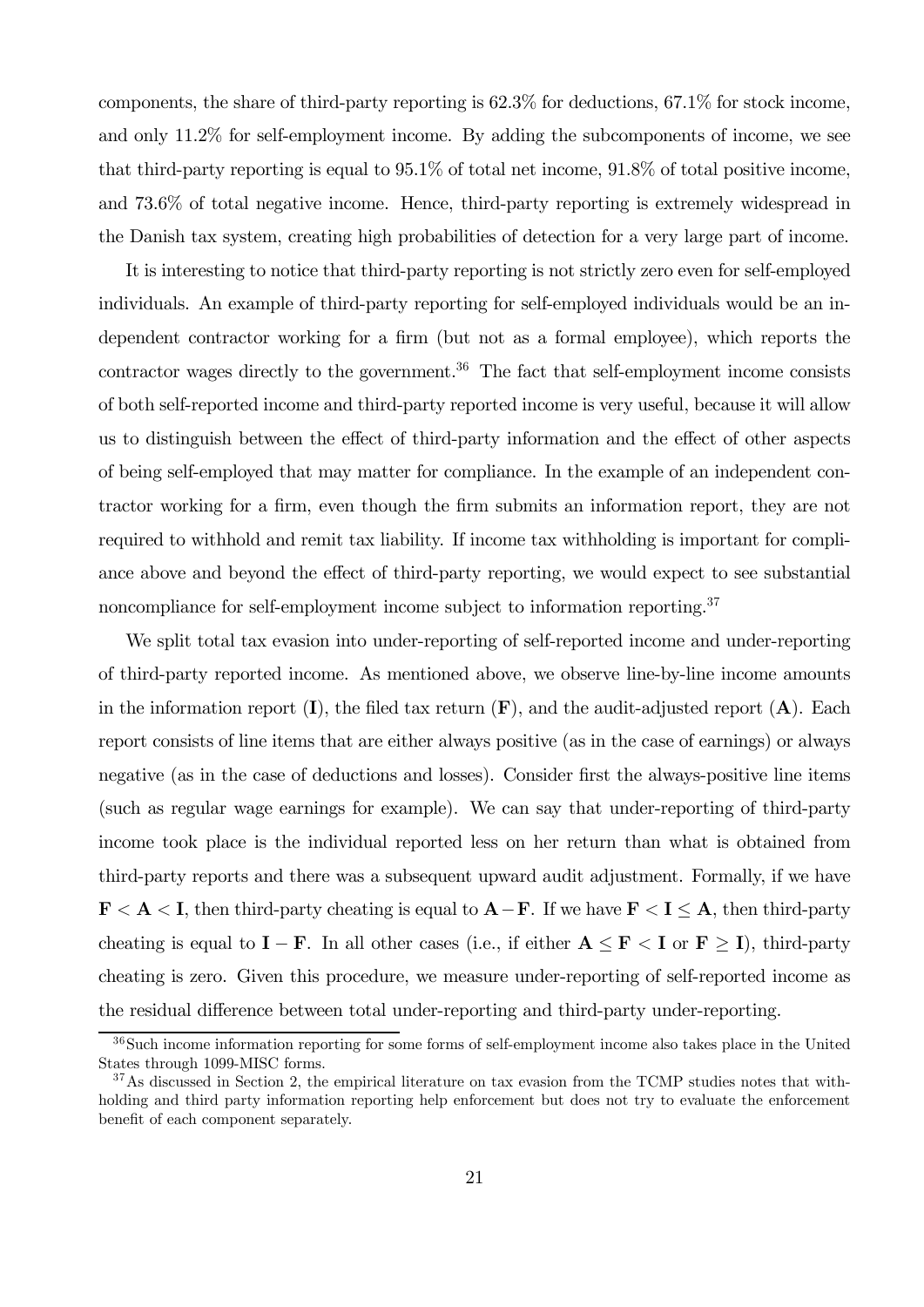components, the share of third-party reporting is 62.3% for deductions, 67.1% for stock income, and only 11.2% for self-employment income. By adding the subcomponents of income, we see that third-party reporting is equal to 95.1% of total net income, 91.8% of total positive income, and 73.6% of total negative income. Hence, third-party reporting is extremely widespread in the Danish tax system, creating high probabilities of detection for a very large part of income.

It is interesting to notice that third-party reporting is not strictly zero even for self-employed individuals. An example of third-party reporting for self-employed individuals would be an independent contractor working for a firm (but not as a formal employee), which reports the contractor wages directly to the government.<sup>36</sup> The fact that self-employment income consists of both self-reported income and third-party reported income is very useful, because it will allow us to distinguish between the effect of third-party information and the effect of other aspects of being self-employed that may matter for compliance. In the example of an independent contractor working for a firm, even though the firm submits an information report, they are not required to withhold and remit tax liability. If income tax withholding is important for compliance above and beyond the effect of third-party reporting, we would expect to see substantial noncompliance for self-employment income subject to information reporting.<sup>37</sup>

We split total tax evasion into under-reporting of self-reported income and under-reporting of third-party reported income. As mentioned above, we observe line-by-line income amounts in the information report  $(I)$ , the filed tax return  $(F)$ , and the audit-adjusted report  $(A)$ . Each report consists of line items that are either always positive (as in the case of earnings) or always negative (as in the case of deductions and losses). Consider first the always-positive line items (such as regular wage earnings for example). We can say that under-reporting of third-party income took place is the individual reported less on her return than what is obtained from third-party reports and there was a subsequent upward audit adjustment. Formally, if we have  $\mathbf{F} < \mathbf{A} < \mathbf{I}$ , then third-party cheating is equal to  $\mathbf{A} - \mathbf{F}$ . If we have  $\mathbf{F} < \mathbf{I} \leq \mathbf{A}$ , then third-party cheating is equal to  $I - F$ . In all other cases (i.e., if either  $A \leq F < I$  or  $F \geq I$ ), third-party cheating is zero. Given this procedure, we measure under-reporting of self-reported income as the residual difference between total under-reporting and third-party under-reporting.

<sup>36</sup>Such income information reporting for some forms of self-employment income also takes place in the United States through 1099-MISC forms.

<sup>&</sup>lt;sup>37</sup>As discussed in Section 2, the empirical literature on tax evasion from the TCMP studies notes that withholding and third party information reporting help enforcement but does not try to evaluate the enforcement benefit of each component separately.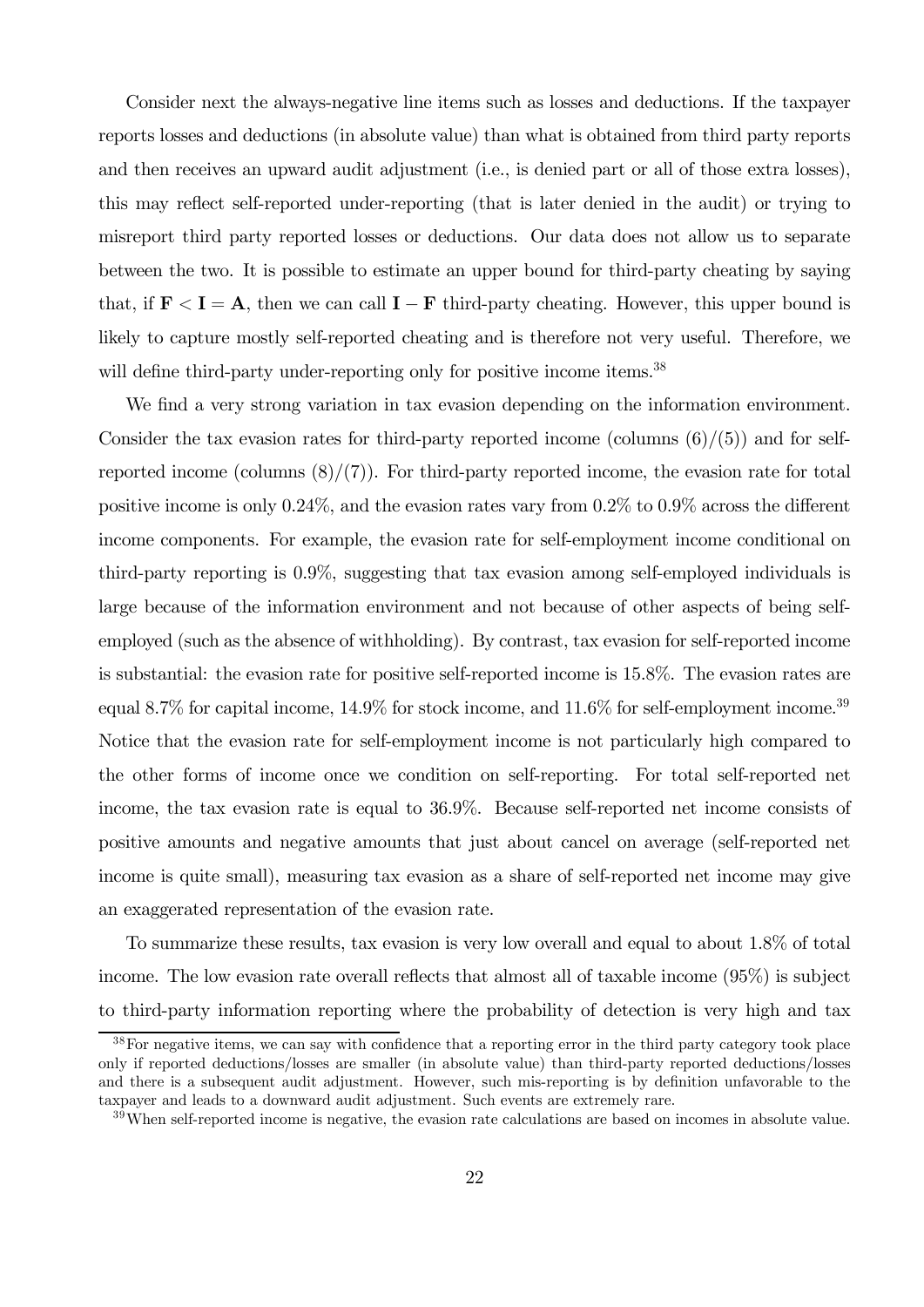Consider next the always-negative line items such as losses and deductions. If the taxpayer reports losses and deductions (in absolute value) than what is obtained from third party reports and then receives an upward audit adjustment (i.e., is denied part or all of those extra losses), this may reflect self-reported under-reporting (that is later denied in the audit) or trying to misreport third party reported losses or deductions. Our data does not allow us to separate between the two. It is possible to estimate an upper bound for third-party cheating by saying that, if  $\mathbf{F} < \mathbf{I} = \mathbf{A}$ , then we can call  $\mathbf{I} - \mathbf{F}$  third-party cheating. However, this upper bound is likely to capture mostly self-reported cheating and is therefore not very useful. Therefore, we will define third-party under-reporting only for positive income items.<sup>38</sup>

We find a very strong variation in tax evasion depending on the information environment. Consider the tax evasion rates for third-party reported income (columns  $(6)/(5)$ ) and for selfreported income (columns  $(8)/(7)$ ). For third-party reported income, the evasion rate for total positive income is only 0.24%, and the evasion rates vary from 0.2% to 0.9% across the different income components. For example, the evasion rate for self-employment income conditional on third-party reporting is 0.9%, suggesting that tax evasion among self-employed individuals is large because of the information environment and not because of other aspects of being selfemployed (such as the absence of withholding). By contrast, tax evasion for self-reported income is substantial: the evasion rate for positive self-reported income is 15.8%. The evasion rates are equal 8.7% for capital income,  $14.9\%$  for stock income, and  $11.6\%$  for self-employment income.<sup>39</sup> Notice that the evasion rate for self-employment income is not particularly high compared to the other forms of income once we condition on self-reporting. For total self-reported net income, the tax evasion rate is equal to 36.9%. Because self-reported net income consists of positive amounts and negative amounts that just about cancel on average (self-reported net income is quite small), measuring tax evasion as a share of self-reported net income may give an exaggerated representation of the evasion rate.

To summarize these results, tax evasion is very low overall and equal to about 1.8% of total income. The low evasion rate overall reflects that almost all of taxable income (95%) is subject to third-party information reporting where the probability of detection is very high and tax

<sup>&</sup>lt;sup>38</sup>For negative items, we can say with confidence that a reporting error in the third party category took place only if reported deductions/losses are smaller (in absolute value) than third-party reported deductions/losses and there is a subsequent audit adjustment. However, such mis-reporting is by definition unfavorable to the taxpayer and leads to a downward audit adjustment. Such events are extremely rare.

<sup>39</sup>When self-reported income is negative, the evasion rate calculations are based on incomes in absolute value.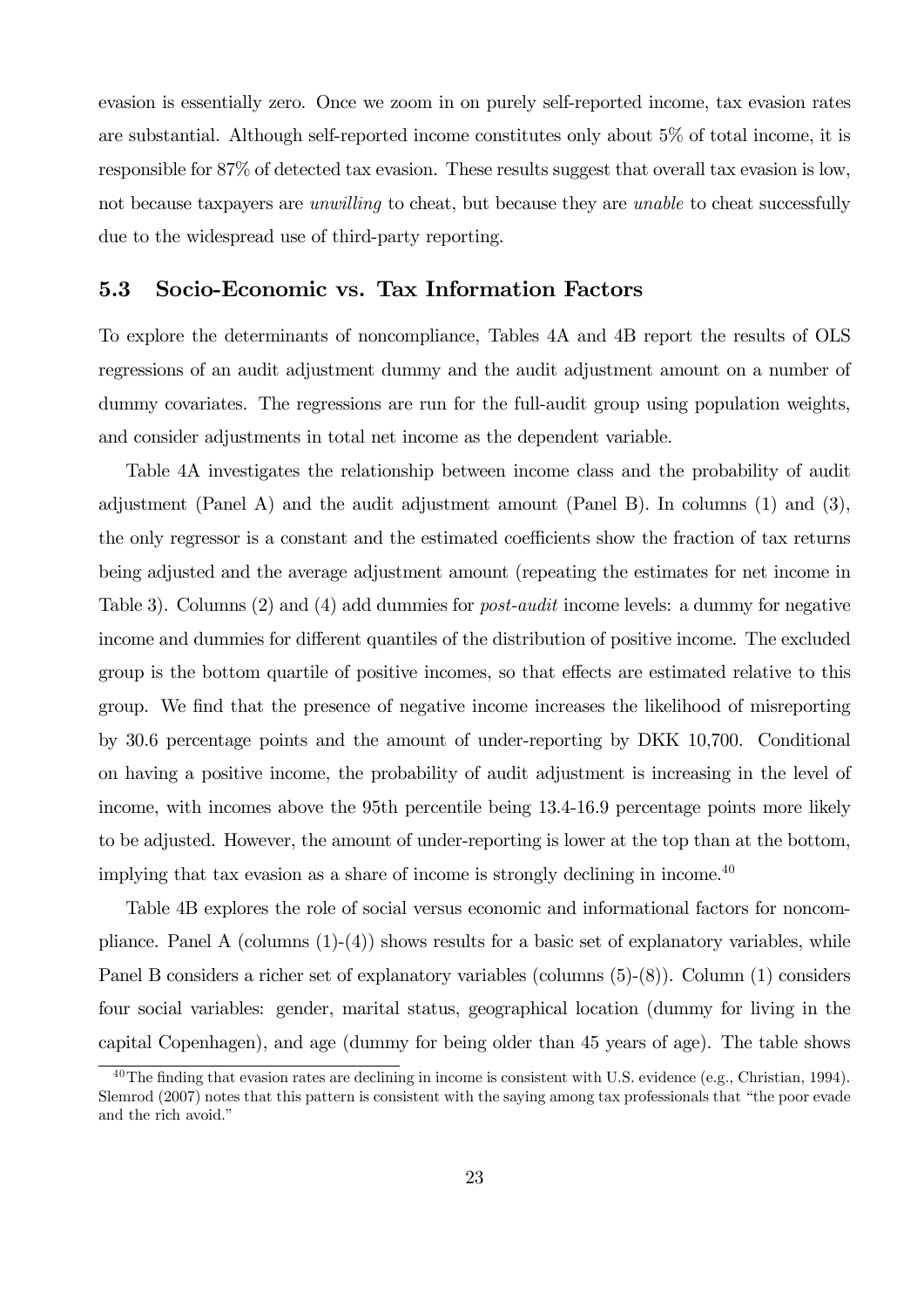evasion is essentially zero. Once we zoom in on purely self-reported income, tax evasion rates are substantial. Although self-reported income constitutes only about 5% of total income, it is responsible for 87% of detected tax evasion. These results suggest that overall tax evasion is low, not because taxpayers are *unwilling* to cheat, but because they are *unable* to cheat successfully due to the widespread use of third-party reporting.

### 5.3 Socio-Economic vs. Tax Information Factors

To explore the determinants of noncompliance, Tables 4A and 4B report the results of OLS regressions of an audit adjustment dummy and the audit adjustment amount on a number of dummy covariates. The regressions are run for the full-audit group using population weights, and consider adjustments in total net income as the dependent variable.

Table 4A investigates the relationship between income class and the probability of audit adjustment (Panel A) and the audit adjustment amount (Panel B). In columns (1) and (3), the only regressor is a constant and the estimated coefficients show the fraction of tax returns being adjusted and the average adjustment amount (repeating the estimates for net income in Table 3). Columns (2) and (4) add dummies for post-audit income levels: a dummy for negative income and dummies for different quantiles of the distribution of positive income. The excluded group is the bottom quartile of positive incomes, so that effects are estimated relative to this group. We find that the presence of negative income increases the likelihood of misreporting by 30.6 percentage points and the amount of under-reporting by DKK 10,700. Conditional on having a positive income, the probability of audit adjustment is increasing in the level of income, with incomes above the 95th percentile being 13.4-16.9 percentage points more likely to be adjusted. However, the amount of under-reporting is lower at the top than at the bottom, implying that tax evasion as a share of income is strongly declining in income.<sup>40</sup>

Table 4B explores the role of social versus economic and informational factors for noncompliance. Panel A (columns  $(1)-(4)$ ) shows results for a basic set of explanatory variables, while Panel B considers a richer set of explanatory variables (columns (5)-(8)). Column (1) considers four social variables: gender, marital status, geographical location (dummy for living in the capital Copenhagen), and age (dummy for being older than 45 years of age). The table shows

 $^{40}$ The finding that evasion rates are declining in income is consistent with U.S. evidence (e.g., Christian, 1994). Slemrod (2007) notes that this pattern is consistent with the saying among tax professionals that "the poor evade and the rich avoid."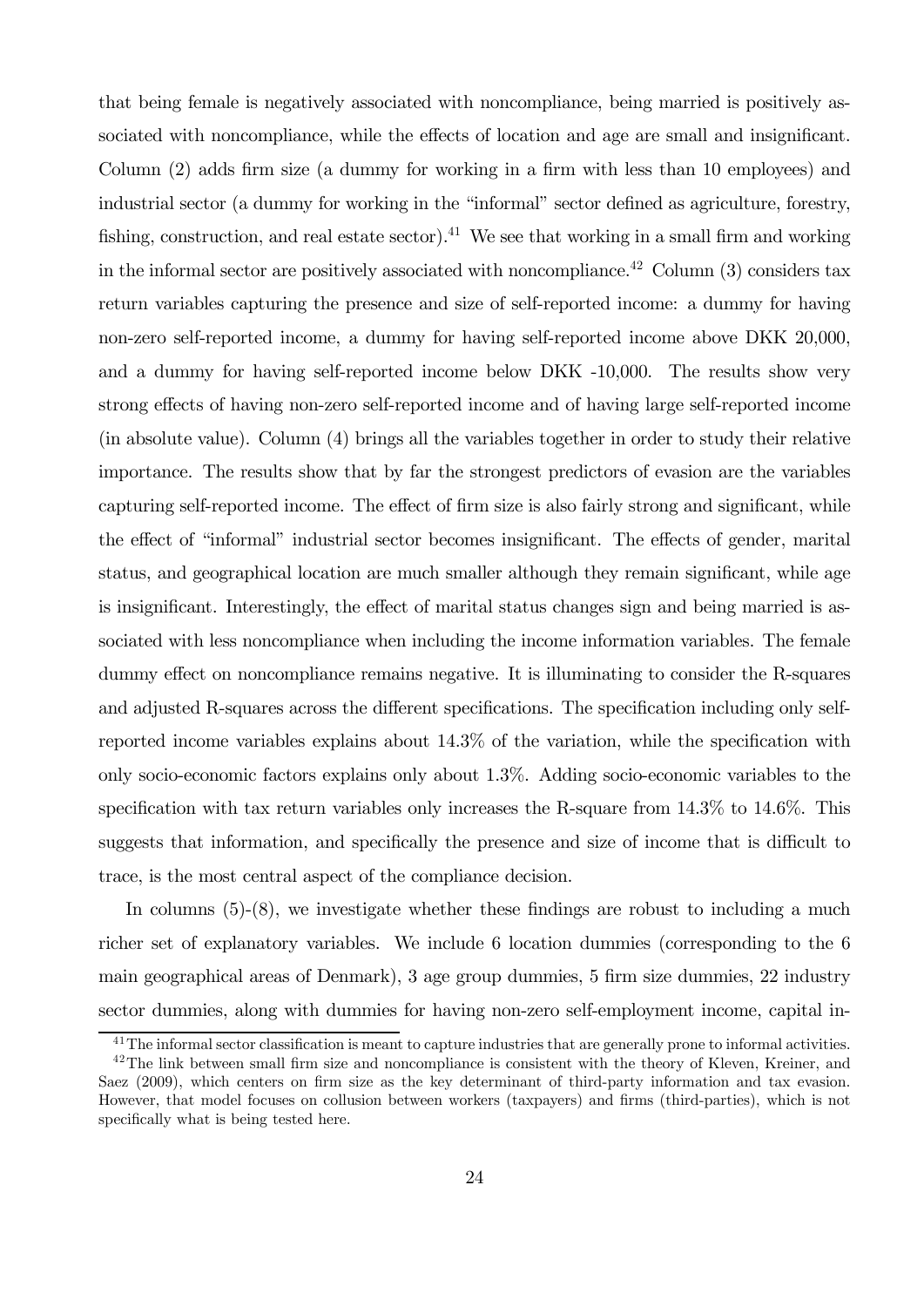that being female is negatively associated with noncompliance, being married is positively associated with noncompliance, while the effects of location and age are small and insignificant. Column (2) adds firm size (a dummy for working in a firm with less than 10 employees) and industrial sector (a dummy for working in the "informal" sector defined as agriculture, forestry, fishing, construction, and real estate sector).<sup>41</sup> We see that working in a small firm and working in the informal sector are positively associated with noncompliance.<sup>42</sup> Column  $(3)$  considers tax return variables capturing the presence and size of self-reported income: a dummy for having non-zero self-reported income, a dummy for having self-reported income above DKK 20,000, and a dummy for having self-reported income below DKK -10,000. The results show very strong effects of having non-zero self-reported income and of having large self-reported income (in absolute value). Column (4) brings all the variables together in order to study their relative importance. The results show that by far the strongest predictors of evasion are the variables capturing self-reported income. The effect of firm size is also fairly strong and significant, while the effect of "informal" industrial sector becomes insignificant. The effects of gender, marital status, and geographical location are much smaller although they remain significant, while age is insignificant. Interestingly, the effect of marital status changes sign and being married is associated with less noncompliance when including the income information variables. The female dummy effect on noncompliance remains negative. It is illuminating to consider the R-squares and adjusted R-squares across the different specifications. The specification including only selfreported income variables explains about 14.3% of the variation, while the specification with only socio-economic factors explains only about 1.3%. Adding socio-economic variables to the specification with tax return variables only increases the R-square from  $14.3\%$  to  $14.6\%$ . This suggests that information, and specifically the presence and size of income that is difficult to trace, is the most central aspect of the compliance decision.

In columns  $(5)-(8)$ , we investigate whether these findings are robust to including a much richer set of explanatory variables. We include 6 location dummies (corresponding to the 6 main geographical areas of Denmark), 3 age group dummies, 5 firm size dummies, 22 industry sector dummies, along with dummies for having non-zero self-employment income, capital in-

<sup>&</sup>lt;sup>41</sup>The informal sector classification is meant to capture industries that are generally prone to informal activities.

 $42$ The link between small firm size and noncompliance is consistent with the theory of Kleven, Kreiner, and Saez (2009), which centers on firm size as the key determinant of third-party information and tax evasion. However, that model focuses on collusion between workers (taxpayers) and firms (third-parties), which is not specifically what is being tested here.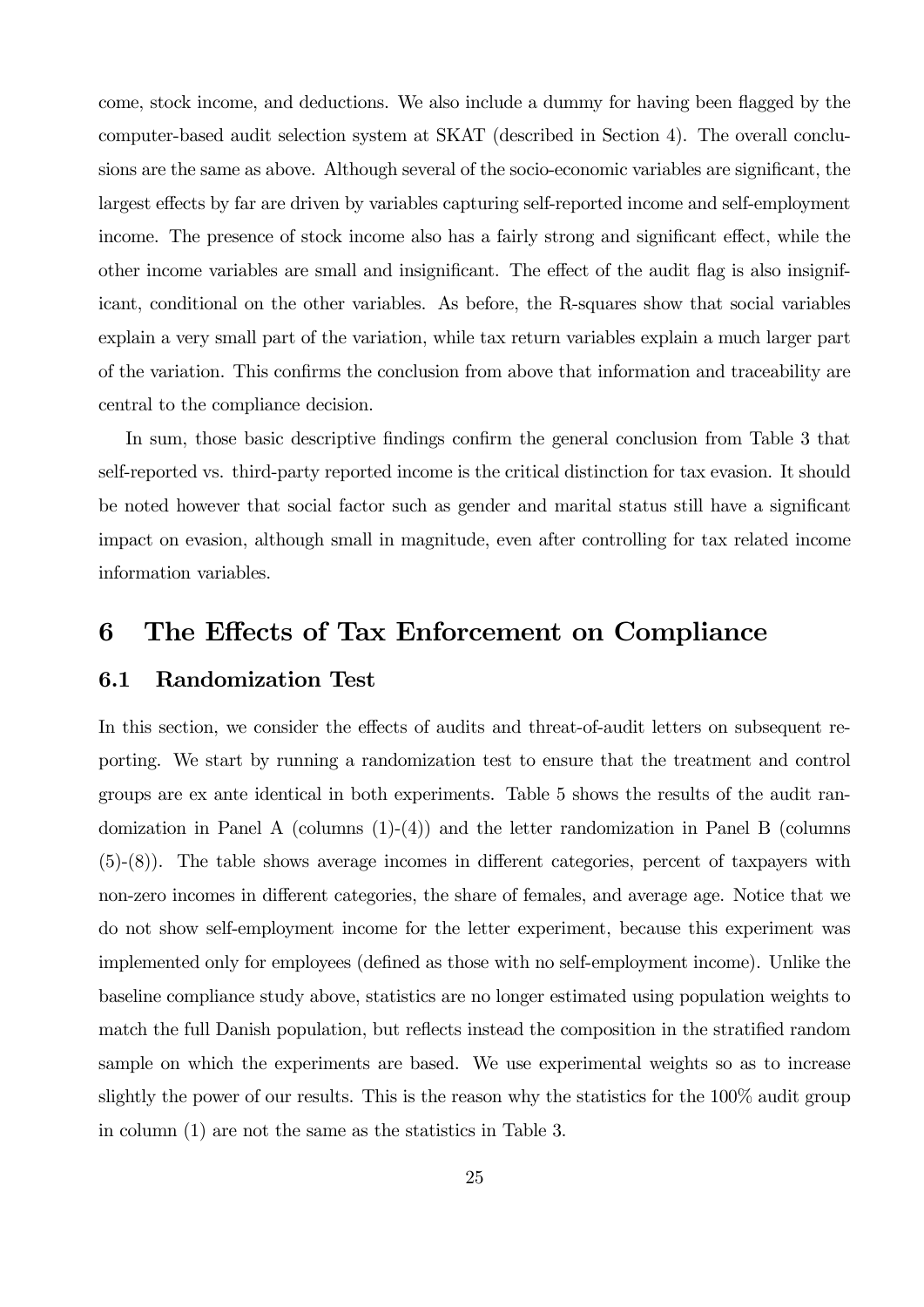come, stock income, and deductions. We also include a dummy for having been flagged by the computer-based audit selection system at SKAT (described in Section 4). The overall conclusions are the same as above. Although several of the socio-economic variables are significant, the largest effects by far are driven by variables capturing self-reported income and self-employment income. The presence of stock income also has a fairly strong and significant effect, while the other income variables are small and insignificant. The effect of the audit flag is also insignificant, conditional on the other variables. As before, the R-squares show that social variables explain a very small part of the variation, while tax return variables explain a much larger part of the variation. This confirms the conclusion from above that information and traceability are central to the compliance decision.

In sum, those basic descriptive findings confirm the general conclusion from Table 3 that self-reported vs. third-party reported income is the critical distinction for tax evasion. It should be noted however that social factor such as gender and marital status still have a significant impact on evasion, although small in magnitude, even after controlling for tax related income information variables.

## 6 The Effects of Tax Enforcement on Compliance

#### 6.1 Randomization Test

In this section, we consider the effects of audits and threat-of-audit letters on subsequent reporting. We start by running a randomization test to ensure that the treatment and control groups are ex ante identical in both experiments. Table 5 shows the results of the audit randomization in Panel A (columns  $(1)-(4)$ ) and the letter randomization in Panel B (columns (5)-(8)). The table shows average incomes in different categories, percent of taxpayers with non-zero incomes in different categories, the share of females, and average age. Notice that we do not show self-employment income for the letter experiment, because this experiment was implemented only for employees (defined as those with no self-employment income). Unlike the baseline compliance study above, statistics are no longer estimated using population weights to match the full Danish population, but reflects instead the composition in the stratified random sample on which the experiments are based. We use experimental weights so as to increase slightly the power of our results. This is the reason why the statistics for the 100% audit group in column (1) are not the same as the statistics in Table 3.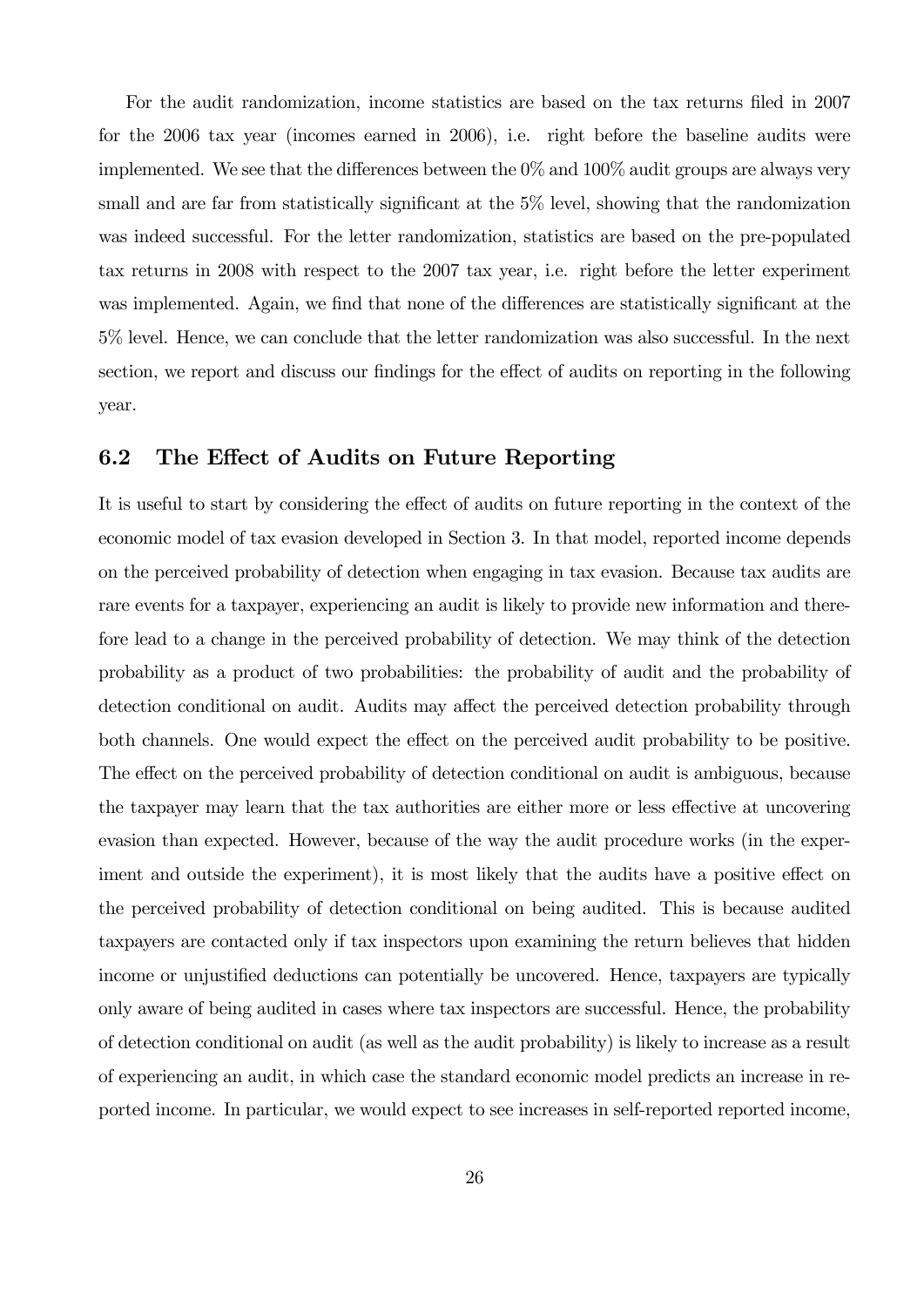For the audit randomization, income statistics are based on the tax returns filed in 2007 for the 2006 tax year (incomes earned in 2006), i.e. right before the baseline audits were implemented. We see that the differences between the  $0\%$  and  $100\%$  audit groups are always very small and are far from statistically significant at the 5% level, showing that the randomization was indeed successful. For the letter randomization, statistics are based on the pre-populated tax returns in 2008 with respect to the 2007 tax year, i.e. right before the letter experiment was implemented. Again, we find that none of the differences are statistically significant at the 5% level. Hence, we can conclude that the letter randomization was also successful. In the next section, we report and discuss our findings for the effect of audits on reporting in the following year.

#### 6.2 The Effect of Audits on Future Reporting

It is useful to start by considering the effect of audits on future reporting in the context of the economic model of tax evasion developed in Section 3. In that model, reported income depends on the perceived probability of detection when engaging in tax evasion. Because tax audits are rare events for a taxpayer, experiencing an audit is likely to provide new information and therefore lead to a change in the perceived probability of detection. We may think of the detection probability as a product of two probabilities: the probability of audit and the probability of detection conditional on audit. Audits may affect the perceived detection probability through both channels. One would expect the effect on the perceived audit probability to be positive. The effect on the perceived probability of detection conditional on audit is ambiguous, because the taxpayer may learn that the tax authorities are either more or less effective at uncovering evasion than expected. However, because of the way the audit procedure works (in the experiment and outside the experiment), it is most likely that the audits have a positive effect on the perceived probability of detection conditional on being audited. This is because audited taxpayers are contacted only if tax inspectors upon examining the return believes that hidden income or unjustified deductions can potentially be uncovered. Hence, taxpayers are typically only aware of being audited in cases where tax inspectors are successful. Hence, the probability of detection conditional on audit (as well as the audit probability) is likely to increase as a result of experiencing an audit, in which case the standard economic model predicts an increase in reported income. In particular, we would expect to see increases in self-reported reported income,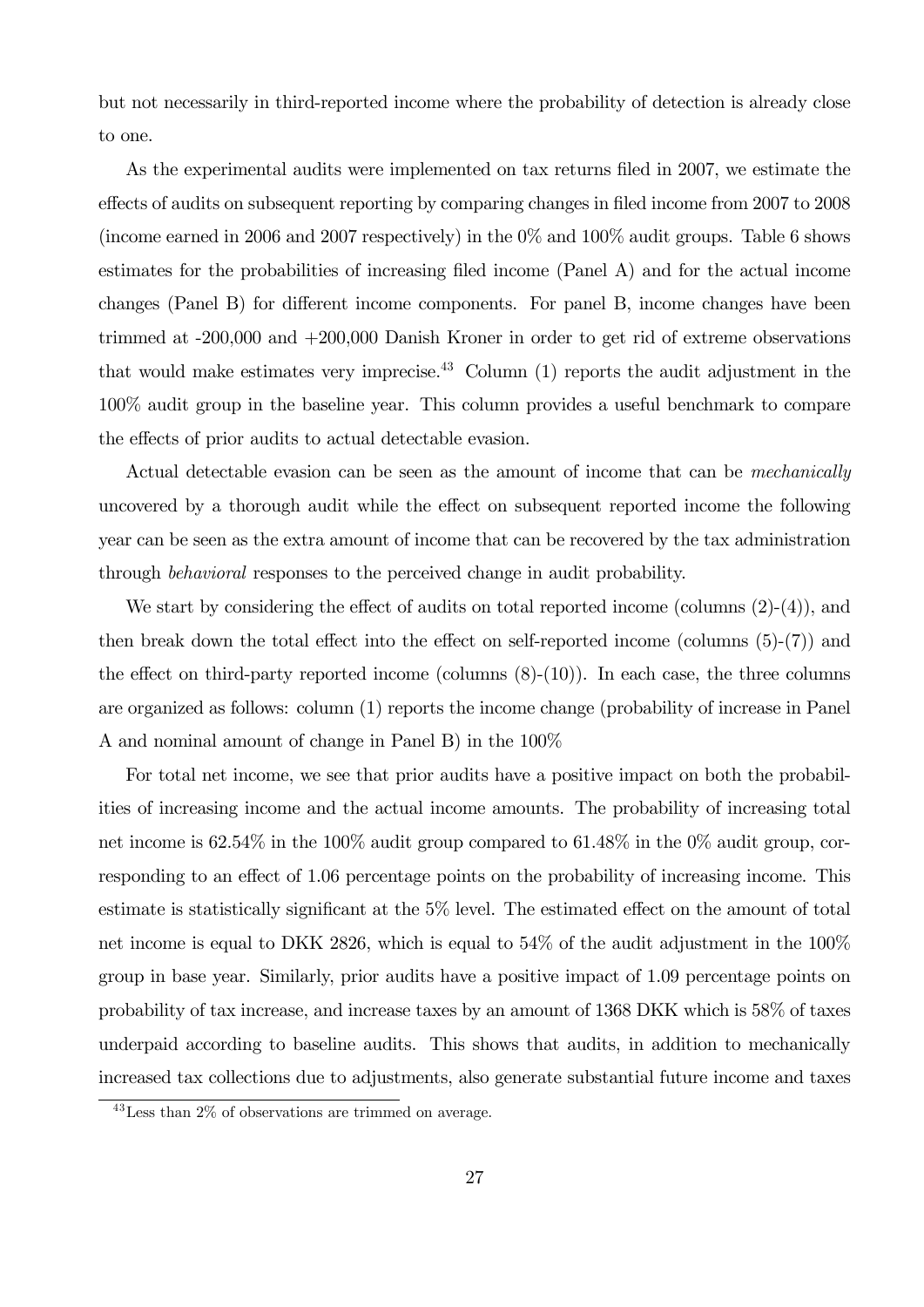but not necessarily in third-reported income where the probability of detection is already close to one.

As the experimental audits were implemented on tax returns filed in 2007, we estimate the effects of audits on subsequent reporting by comparing changes in filed income from 2007 to 2008 (income earned in 2006 and 2007 respectively) in the 0% and 100% audit groups. Table 6 shows estimates for the probabilities of increasing filed income (Panel A) and for the actual income changes (Panel B) for different income components. For panel B, income changes have been trimmed at -200,000 and +200,000 Danish Kroner in order to get rid of extreme observations that would make estimates very imprecise.<sup>43</sup> Column  $(1)$  reports the audit adjustment in the 100% audit group in the baseline year. This column provides a useful benchmark to compare the effects of prior audits to actual detectable evasion.

Actual detectable evasion can be seen as the amount of income that can be *mechanically* uncovered by a thorough audit while the effect on subsequent reported income the following year can be seen as the extra amount of income that can be recovered by the tax administration through behavioral responses to the perceived change in audit probability.

We start by considering the effect of audits on total reported income (columns  $(2)-(4)$ ), and then break down the total effect into the effect on self-reported income (columns (5)-(7)) and the effect on third-party reported income (columns  $(8)-(10)$ ). In each case, the three columns are organized as follows: column (1) reports the income change (probability of increase in Panel A and nominal amount of change in Panel B) in the 100%

For total net income, we see that prior audits have a positive impact on both the probabilities of increasing income and the actual income amounts. The probability of increasing total net income is 62.54% in the 100% audit group compared to 61.48% in the 0% audit group, corresponding to an effect of 1.06 percentage points on the probability of increasing income. This estimate is statistically significant at the 5% level. The estimated effect on the amount of total net income is equal to DKK 2826, which is equal to 54% of the audit adjustment in the 100% group in base year. Similarly, prior audits have a positive impact of 1.09 percentage points on probability of tax increase, and increase taxes by an amount of 1368 DKK which is 58% of taxes underpaid according to baseline audits. This shows that audits, in addition to mechanically increased tax collections due to adjustments, also generate substantial future income and taxes

<sup>43</sup>Less than 2% of observations are trimmed on average.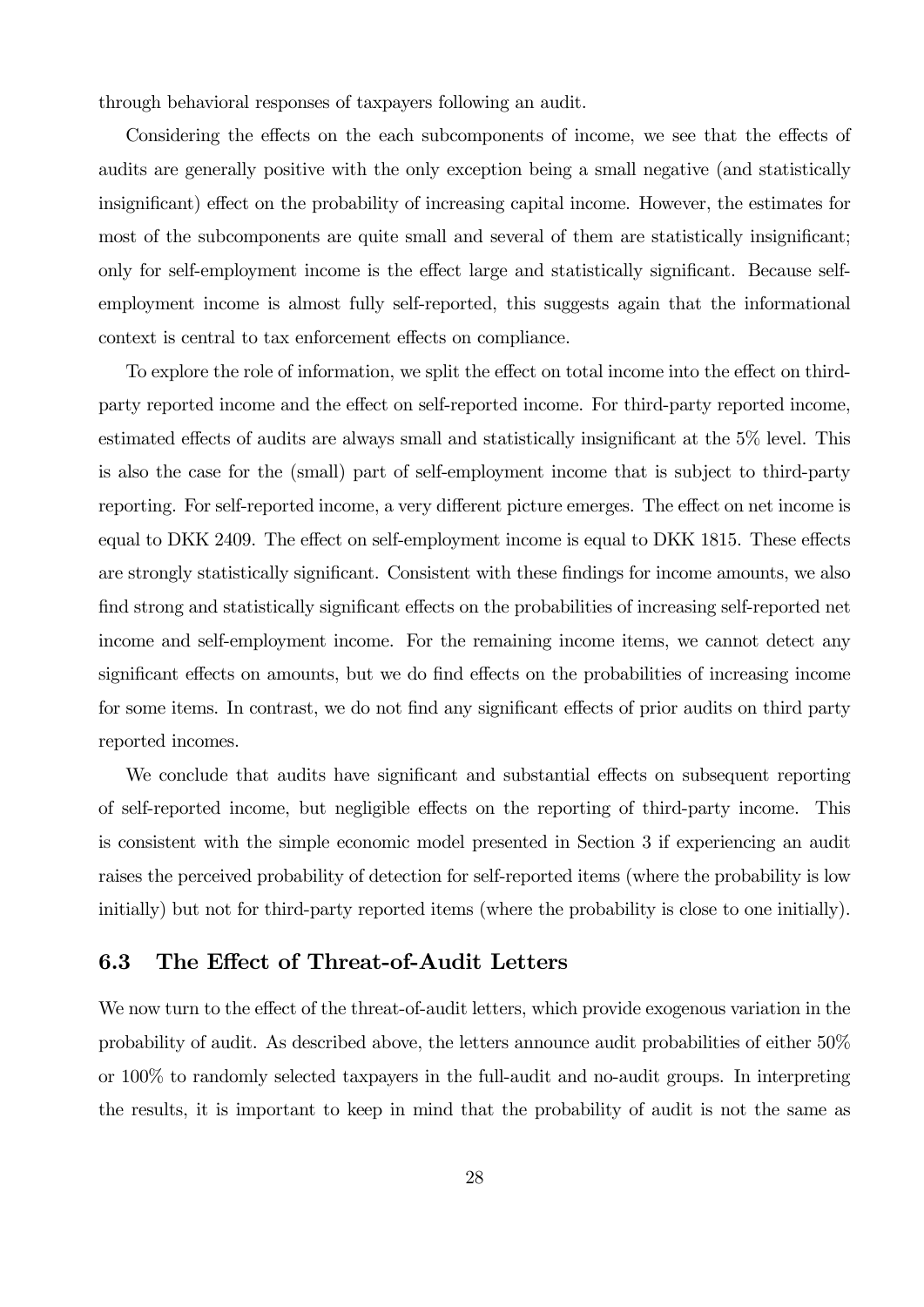through behavioral responses of taxpayers following an audit.

Considering the effects on the each subcomponents of income, we see that the effects of audits are generally positive with the only exception being a small negative (and statistically insignificant) effect on the probability of increasing capital income. However, the estimates for most of the subcomponents are quite small and several of them are statistically insignificant; only for self-employment income is the effect large and statistically significant. Because selfemployment income is almost fully self-reported, this suggests again that the informational context is central to tax enforcement effects on compliance.

To explore the role of information, we split the effect on total income into the effect on thirdparty reported income and the effect on self-reported income. For third-party reported income, estimated effects of audits are always small and statistically insignificant at the 5% level. This is also the case for the (small) part of self-employment income that is subject to third-party reporting. For self-reported income, a very different picture emerges. The effect on net income is equal to DKK 2409. The effect on self-employment income is equal to DKK 1815. These effects are strongly statistically significant. Consistent with these findings for income amounts, we also find strong and statistically significant effects on the probabilities of increasing self-reported net income and self-employment income. For the remaining income items, we cannot detect any significant effects on amounts, but we do find effects on the probabilities of increasing income for some items. In contrast, we do not find any significant effects of prior audits on third party reported incomes.

We conclude that audits have significant and substantial effects on subsequent reporting of self-reported income, but negligible effects on the reporting of third-party income. This is consistent with the simple economic model presented in Section 3 if experiencing an audit raises the perceived probability of detection for self-reported items (where the probability is low initially) but not for third-party reported items (where the probability is close to one initially).

#### 6.3 The Effect of Threat-of-Audit Letters

We now turn to the effect of the threat-of-audit letters, which provide exogenous variation in the probability of audit. As described above, the letters announce audit probabilities of either 50% or 100% to randomly selected taxpayers in the full-audit and no-audit groups. In interpreting the results, it is important to keep in mind that the probability of audit is not the same as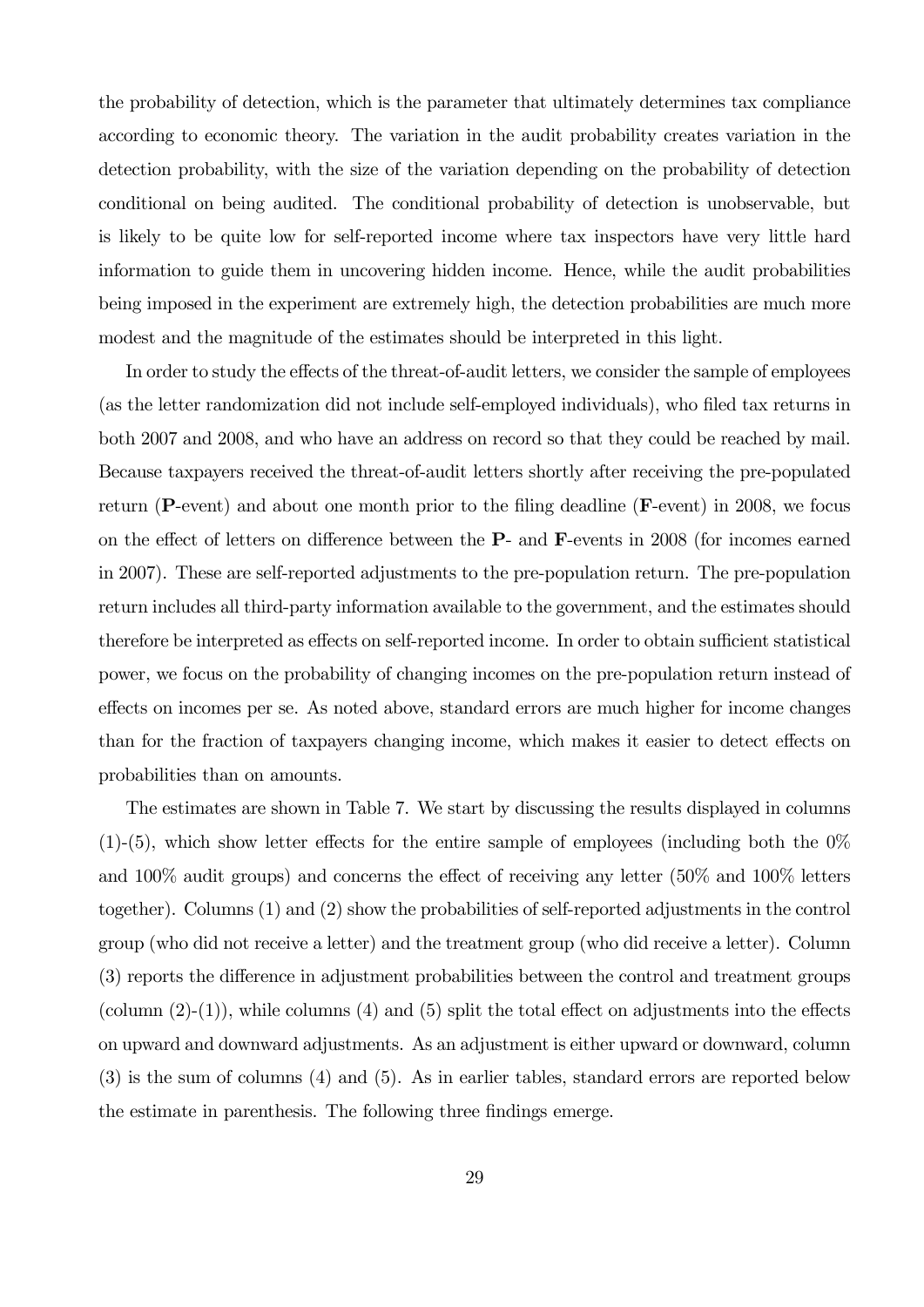the probability of detection, which is the parameter that ultimately determines tax compliance according to economic theory. The variation in the audit probability creates variation in the detection probability, with the size of the variation depending on the probability of detection conditional on being audited. The conditional probability of detection is unobservable, but is likely to be quite low for self-reported income where tax inspectors have very little hard information to guide them in uncovering hidden income. Hence, while the audit probabilities being imposed in the experiment are extremely high, the detection probabilities are much more modest and the magnitude of the estimates should be interpreted in this light.

In order to study the effects of the threat-of-audit letters, we consider the sample of employees (as the letter randomization did not include self-employed individuals), who filed tax returns in both 2007 and 2008, and who have an address on record so that they could be reached by mail. Because taxpayers received the threat-of-audit letters shortly after receiving the pre-populated return (P-event) and about one month prior to the filing deadline (F-event) in 2008, we focus on the effect of letters on difference between the P- and F-events in 2008 (for incomes earned in 2007). These are self-reported adjustments to the pre-population return. The pre-population return includes all third-party information available to the government, and the estimates should therefore be interpreted as effects on self-reported income. In order to obtain sufficient statistical power, we focus on the probability of changing incomes on the pre-population return instead of effects on incomes per se. As noted above, standard errors are much higher for income changes than for the fraction of taxpayers changing income, which makes it easier to detect effects on probabilities than on amounts.

The estimates are shown in Table 7. We start by discussing the results displayed in columns  $(1)-(5)$ , which show letter effects for the entire sample of employees (including both the  $0\%$ and 100% audit groups) and concerns the effect of receiving any letter (50% and 100% letters together). Columns (1) and (2) show the probabilities of self-reported adjustments in the control group (who did not receive a letter) and the treatment group (who did receive a letter). Column (3) reports the difference in adjustment probabilities between the control and treatment groups (column  $(2)-(1)$ ), while columns  $(4)$  and  $(5)$  split the total effect on adjustments into the effects on upward and downward adjustments. As an adjustment is either upward or downward, column (3) is the sum of columns (4) and (5). As in earlier tables, standard errors are reported below the estimate in parenthesis. The following three findings emerge.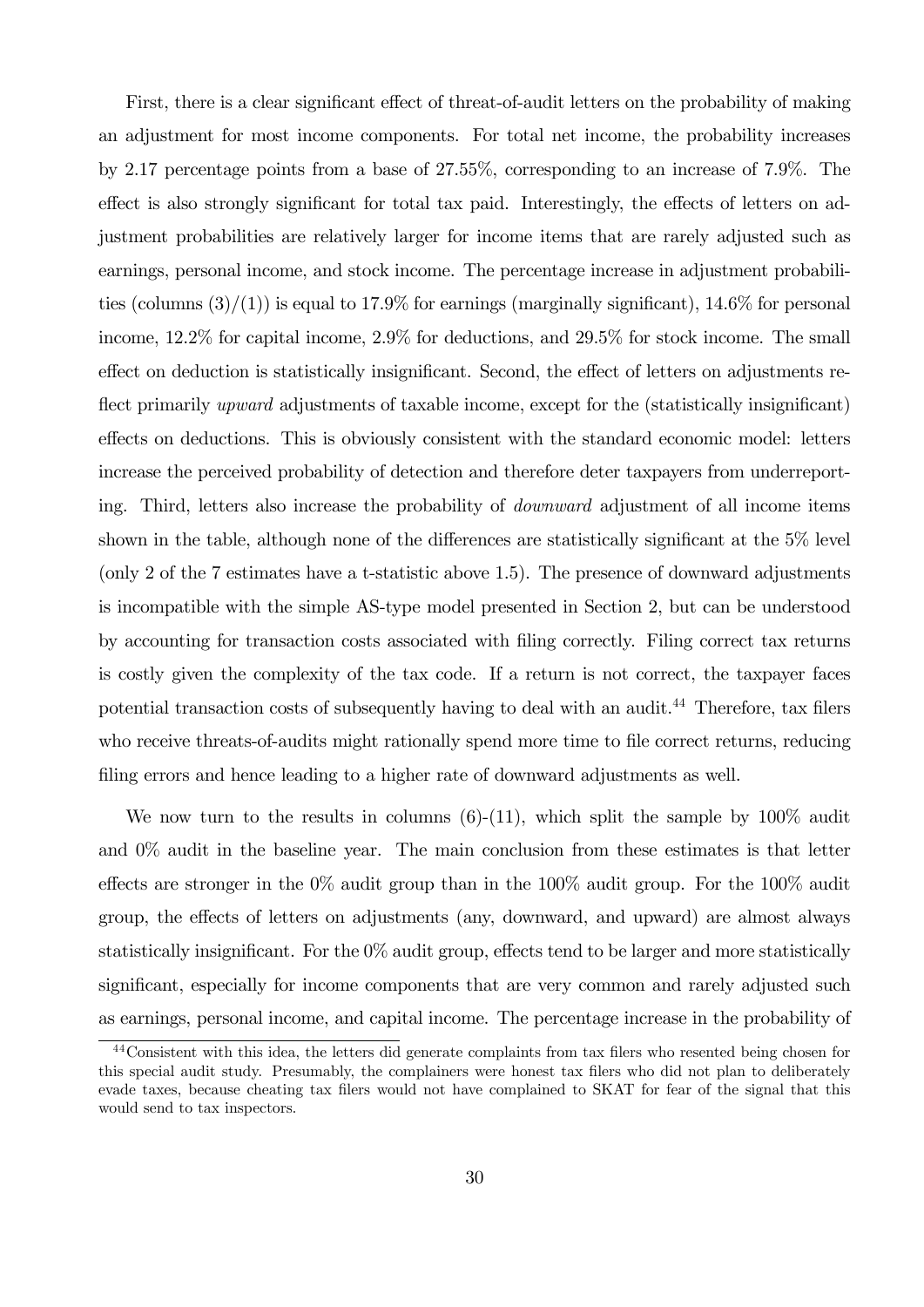First, there is a clear significant effect of threat-of-audit letters on the probability of making an adjustment for most income components. For total net income, the probability increases by 2.17 percentage points from a base of 27.55%, corresponding to an increase of 7.9%. The effect is also strongly significant for total tax paid. Interestingly, the effects of letters on adjustment probabilities are relatively larger for income items that are rarely adjusted such as earnings, personal income, and stock income. The percentage increase in adjustment probabilities (columns  $(3)/(1)$ ) is equal to 17.9% for earnings (marginally significant), 14.6% for personal income, 12.2% for capital income, 2.9% for deductions, and 29.5% for stock income. The small effect on deduction is statistically insignificant. Second, the effect of letters on adjustments reflect primarily *upward* adjustments of taxable income, except for the (statistically insignificant) effects on deductions. This is obviously consistent with the standard economic model: letters increase the perceived probability of detection and therefore deter taxpayers from underreporting. Third, letters also increase the probability of downward adjustment of all income items shown in the table, although none of the differences are statistically significant at the 5% level (only 2 of the 7 estimates have a t-statistic above 1.5). The presence of downward adjustments is incompatible with the simple AS-type model presented in Section 2, but can be understood by accounting for transaction costs associated with filing correctly. Filing correct tax returns is costly given the complexity of the tax code. If a return is not correct, the taxpayer faces potential transaction costs of subsequently having to deal with an audit.<sup>44</sup> Therefore, tax filers who receive threats-of-audits might rationally spend more time to file correct returns, reducing filing errors and hence leading to a higher rate of downward adjustments as well.

We now turn to the results in columns  $(6)-(11)$ , which split the sample by  $100\%$  audit and 0% audit in the baseline year. The main conclusion from these estimates is that letter effects are stronger in the 0% audit group than in the 100% audit group. For the 100% audit group, the effects of letters on adjustments (any, downward, and upward) are almost always statistically insignificant. For the  $0\%$  audit group, effects tend to be larger and more statistically significant, especially for income components that are very common and rarely adjusted such as earnings, personal income, and capital income. The percentage increase in the probability of

<sup>44</sup>Consistent with this idea, the letters did generate complaints from tax filers who resented being chosen for this special audit study. Presumably, the complainers were honest tax filers who did not plan to deliberately evade taxes, because cheating tax filers would not have complained to SKAT for fear of the signal that this would send to tax inspectors.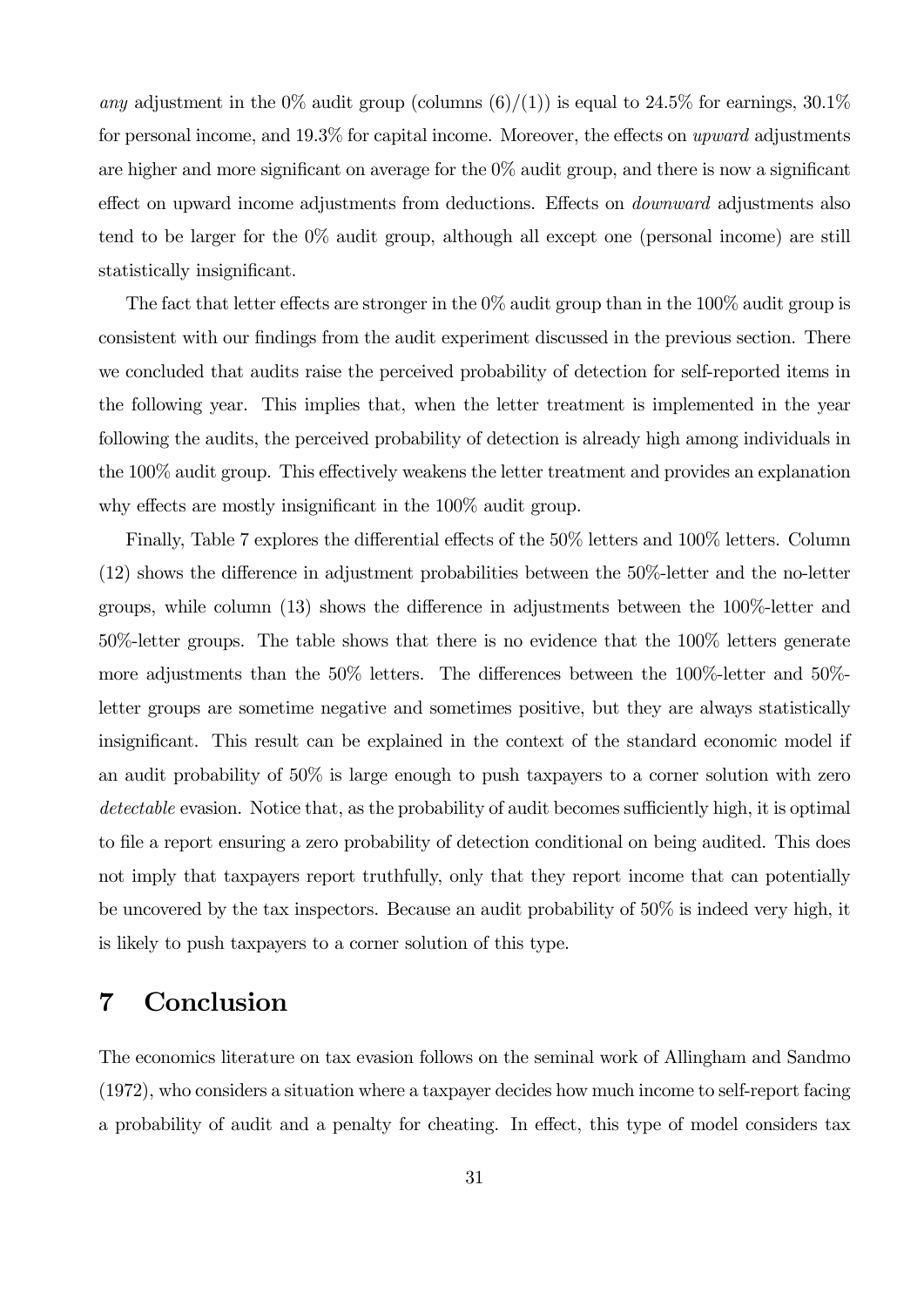any adjustment in the 0% audit group (columns  $(6)/(1)$ ) is equal to 24.5% for earnings, 30.1% for personal income, and 19.3% for capital income. Moreover, the effects on upward adjustments are higher and more significant on average for the 0% audit group, and there is now a significant effect on upward income adjustments from deductions. Effects on *downward* adjustments also tend to be larger for the 0% audit group, although all except one (personal income) are still statistically insignificant.

The fact that letter effects are stronger in the  $0\%$  audit group than in the  $100\%$  audit group is consistent with our findings from the audit experiment discussed in the previous section. There we concluded that audits raise the perceived probability of detection for self-reported items in the following year. This implies that, when the letter treatment is implemented in the year following the audits, the perceived probability of detection is already high among individuals in the 100% audit group. This effectively weakens the letter treatment and provides an explanation why effects are mostly insignificant in the 100% audit group.

Finally, Table 7 explores the differential effects of the 50% letters and 100% letters. Column (12) shows the difference in adjustment probabilities between the 50%-letter and the no-letter groups, while column (13) shows the difference in adjustments between the 100%-letter and 50%-letter groups. The table shows that there is no evidence that the 100% letters generate more adjustments than the 50% letters. The differences between the 100%-letter and 50% letter groups are sometime negative and sometimes positive, but they are always statistically insignificant. This result can be explained in the context of the standard economic model if an audit probability of 50% is large enough to push taxpayers to a corner solution with zero detectable evasion. Notice that, as the probability of audit becomes sufficiently high, it is optimal to file a report ensuring a zero probability of detection conditional on being audited. This does not imply that taxpayers report truthfully, only that they report income that can potentially be uncovered by the tax inspectors. Because an audit probability of 50% is indeed very high, it is likely to push taxpayers to a corner solution of this type.

## 7 Conclusion

The economics literature on tax evasion follows on the seminal work of Allingham and Sandmo (1972), who considers a situation where a taxpayer decides how much income to self-report facing a probability of audit and a penalty for cheating. In effect, this type of model considers tax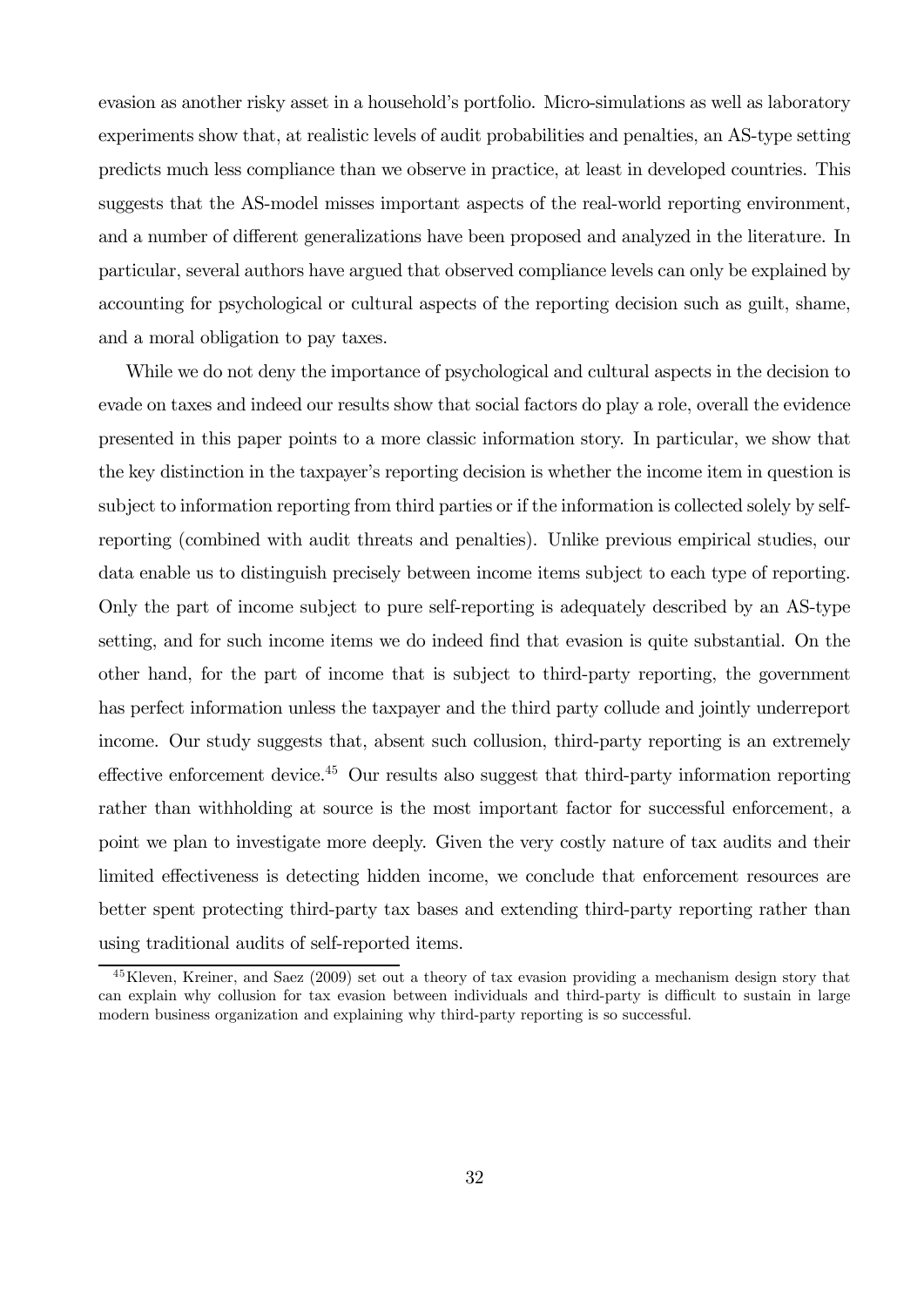evasion as another risky asset in a household's portfolio. Micro-simulations as well as laboratory experiments show that, at realistic levels of audit probabilities and penalties, an AS-type setting predicts much less compliance than we observe in practice, at least in developed countries. This suggests that the AS-model misses important aspects of the real-world reporting environment, and a number of different generalizations have been proposed and analyzed in the literature. In particular, several authors have argued that observed compliance levels can only be explained by accounting for psychological or cultural aspects of the reporting decision such as guilt, shame, and a moral obligation to pay taxes.

While we do not deny the importance of psychological and cultural aspects in the decision to evade on taxes and indeed our results show that social factors do play a role, overall the evidence presented in this paper points to a more classic information story. In particular, we show that the key distinction in the taxpayer's reporting decision is whether the income item in question is subject to information reporting from third parties or if the information is collected solely by selfreporting (combined with audit threats and penalties). Unlike previous empirical studies, our data enable us to distinguish precisely between income items subject to each type of reporting. Only the part of income subject to pure self-reporting is adequately described by an AS-type setting, and for such income items we do indeed find that evasion is quite substantial. On the other hand, for the part of income that is subject to third-party reporting, the government has perfect information unless the taxpayer and the third party collude and jointly underreport income. Our study suggests that, absent such collusion, third-party reporting is an extremely effective enforcement device.<sup>45</sup> Our results also suggest that third-party information reporting rather than withholding at source is the most important factor for successful enforcement, a point we plan to investigate more deeply. Given the very costly nature of tax audits and their limited effectiveness is detecting hidden income, we conclude that enforcement resources are better spent protecting third-party tax bases and extending third-party reporting rather than using traditional audits of self-reported items.

<sup>45</sup>Kleven, Kreiner, and Saez (2009) set out a theory of tax evasion providing a mechanism design story that can explain why collusion for tax evasion between individuals and third-party is difficult to sustain in large modern business organization and explaining why third-party reporting is so successful.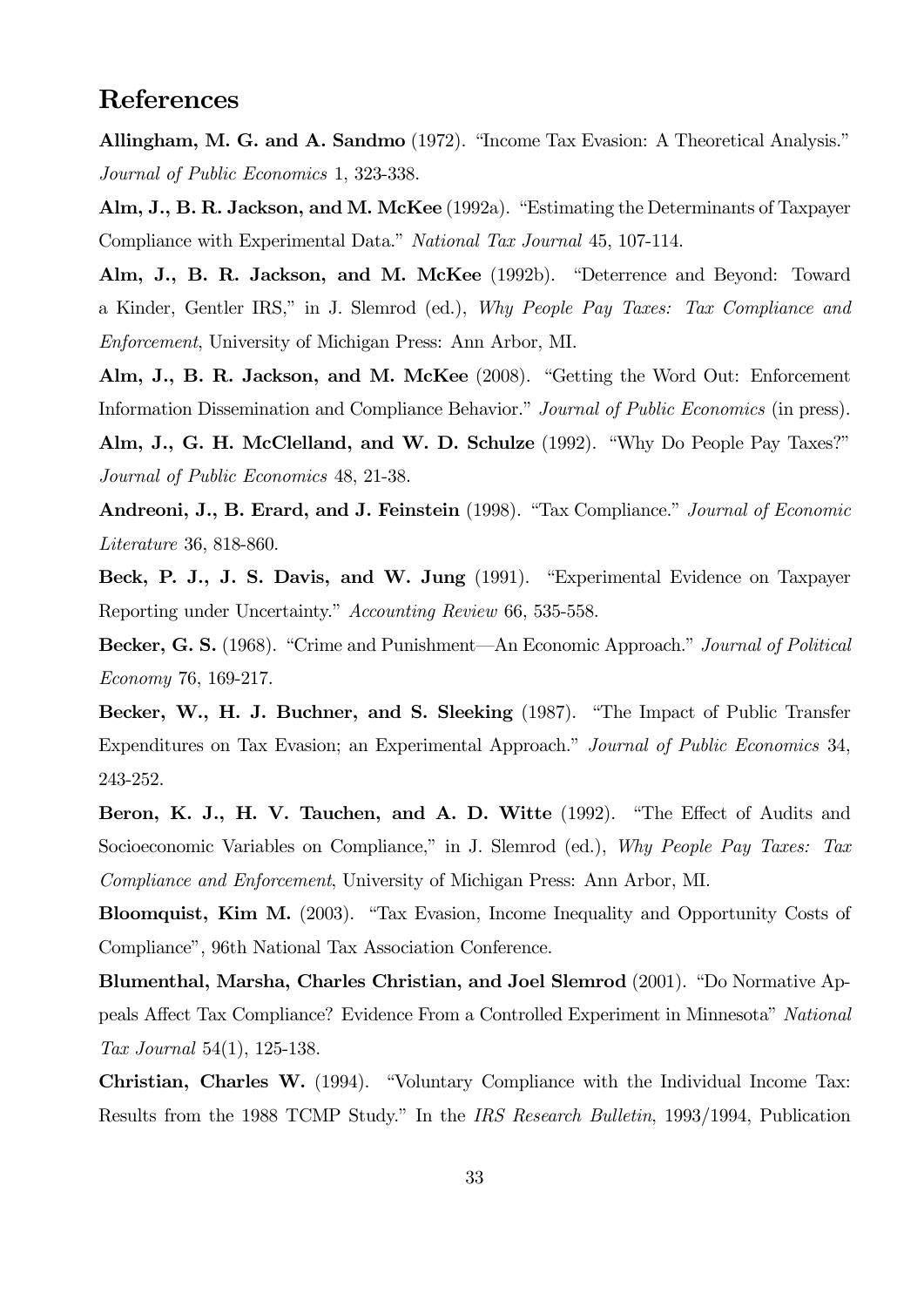## References

Allingham, M. G. and A. Sandmo (1972). "Income Tax Evasion: A Theoretical Analysis." Journal of Public Economics 1, 323-338.

Alm, J., B. R. Jackson, and M. McKee (1992a). "Estimating the Determinants of Taxpayer Compliance with Experimental Data." National Tax Journal 45, 107-114.

Alm, J., B. R. Jackson, and M. McKee (1992b). "Deterrence and Beyond: Toward a Kinder, Gentler IRS," in J. Slemrod (ed.), Why People Pay Taxes: Tax Compliance and Enforcement, University of Michigan Press: Ann Arbor, MI.

Alm, J., B. R. Jackson, and M. McKee (2008). "Getting the Word Out: Enforcement Information Dissemination and Compliance Behavior." Journal of Public Economics (in press).

Alm, J., G. H. McClelland, and W. D. Schulze (1992). "Why Do People Pay Taxes?" Journal of Public Economics 48, 21-38.

Andreoni, J., B. Erard, and J. Feinstein (1998). "Tax Compliance." Journal of Economic Literature 36, 818-860.

Beck, P. J., J. S. Davis, and W. Jung (1991). "Experimental Evidence on Taxpayer Reporting under Uncertainty." Accounting Review 66, 535-558.

Becker, G. S. (1968). "Crime and Punishment—An Economic Approach." Journal of Political Economy 76, 169-217.

Becker, W., H. J. Buchner, and S. Sleeking (1987). "The Impact of Public Transfer Expenditures on Tax Evasion; an Experimental Approach." Journal of Public Economics 34, 243-252.

Beron, K. J., H. V. Tauchen, and A. D. Witte (1992). "The Effect of Audits and Socioeconomic Variables on Compliance," in J. Slemrod (ed.), Why People Pay Taxes: Tax Compliance and Enforcement, University of Michigan Press: Ann Arbor, MI.

Bloomquist, Kim M. (2003). "Tax Evasion, Income Inequality and Opportunity Costs of Compliance", 96th National Tax Association Conference.

Blumenthal, Marsha, Charles Christian, and Joel Slemrod (2001). "Do Normative Appeals Affect Tax Compliance? Evidence From a Controlled Experiment in Minnesota" National Tax Journal 54(1), 125-138.

Christian, Charles W. (1994). "Voluntary Compliance with the Individual Income Tax: Results from the 1988 TCMP Study." In the IRS Research Bulletin, 1993/1994, Publication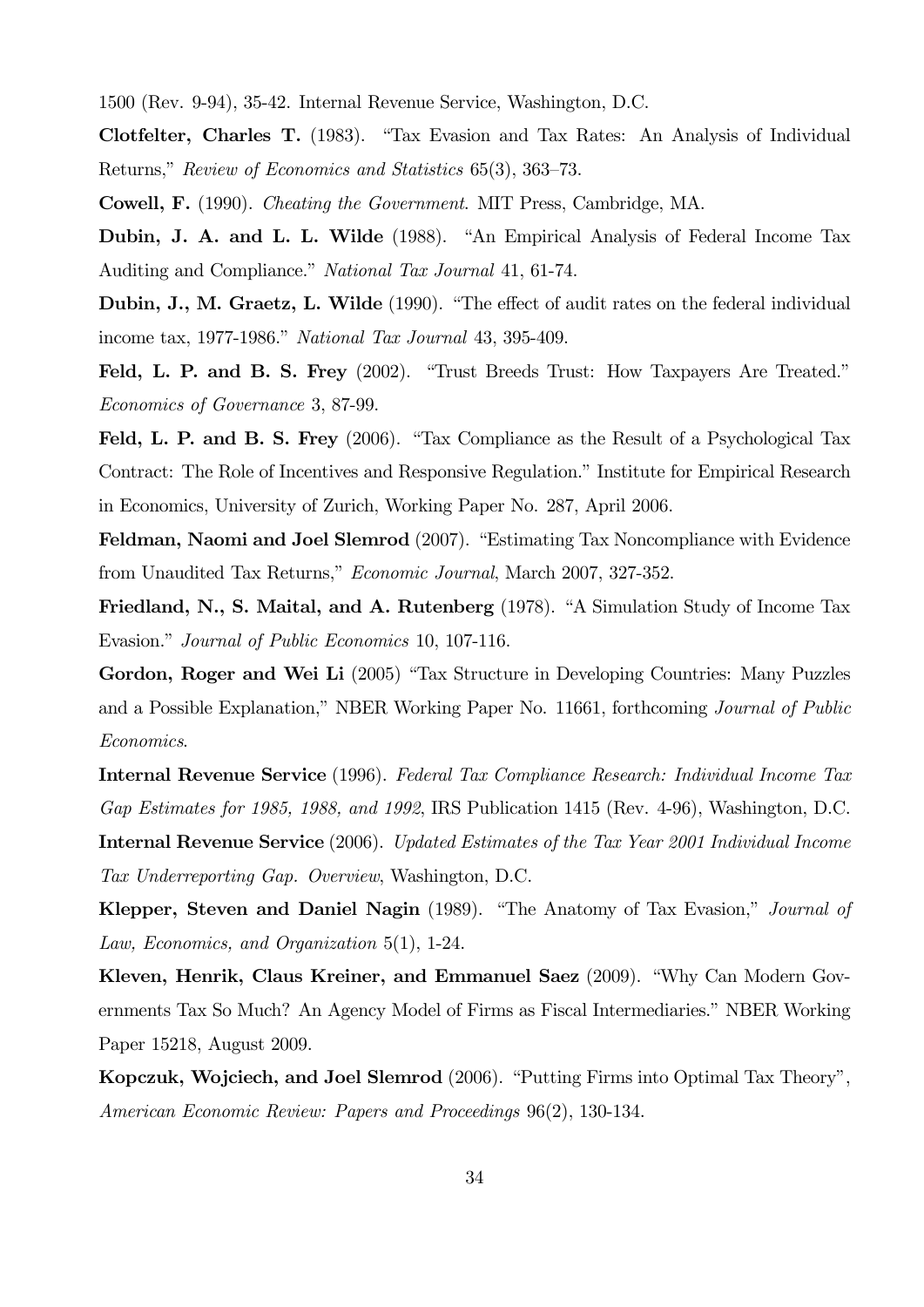1500 (Rev. 9-94), 35-42. Internal Revenue Service, Washington, D.C.

Clotfelter, Charles T. (1983). "Tax Evasion and Tax Rates: An Analysis of Individual Returns," Review of Economics and Statistics 65(3), 363—73.

Cowell, F. (1990). Cheating the Government. MIT Press, Cambridge, MA.

Dubin, J. A. and L. L. Wilde (1988). "An Empirical Analysis of Federal Income Tax Auditing and Compliance." National Tax Journal 41, 61-74.

Dubin, J., M. Graetz, L. Wilde (1990). "The effect of audit rates on the federal individual income tax, 1977-1986." National Tax Journal 43, 395-409.

Feld, L. P. and B. S. Frey (2002). "Trust Breeds Trust: How Taxpayers Are Treated." Economics of Governance 3, 87-99.

Feld, L. P. and B. S. Frey (2006). "Tax Compliance as the Result of a Psychological Tax Contract: The Role of Incentives and Responsive Regulation." Institute for Empirical Research in Economics, University of Zurich, Working Paper No. 287, April 2006.

Feldman, Naomi and Joel Slemrod (2007). "Estimating Tax Noncompliance with Evidence from Unaudited Tax Returns," Economic Journal, March 2007, 327-352.

Friedland, N., S. Maital, and A. Rutenberg (1978). "A Simulation Study of Income Tax Evasion." Journal of Public Economics 10, 107-116.

Gordon, Roger and Wei Li (2005) "Tax Structure in Developing Countries: Many Puzzles and a Possible Explanation," NBER Working Paper No. 11661, forthcoming Journal of Public Economics.

Internal Revenue Service (1996). Federal Tax Compliance Research: Individual Income Tax Gap Estimates for 1985, 1988, and 1992, IRS Publication 1415 (Rev. 4-96), Washington, D.C. Internal Revenue Service (2006). Updated Estimates of the Tax Year 2001 Individual Income Tax Underreporting Gap. Overview, Washington, D.C.

Klepper, Steven and Daniel Nagin (1989). "The Anatomy of Tax Evasion," Journal of Law, Economics, and Organization 5(1), 1-24.

Kleven, Henrik, Claus Kreiner, and Emmanuel Saez (2009). "Why Can Modern Governments Tax So Much? An Agency Model of Firms as Fiscal Intermediaries." NBER Working Paper 15218, August 2009.

Kopczuk, Wojciech, and Joel Slemrod (2006). "Putting Firms into Optimal Tax Theory", American Economic Review: Papers and Proceedings 96(2), 130-134.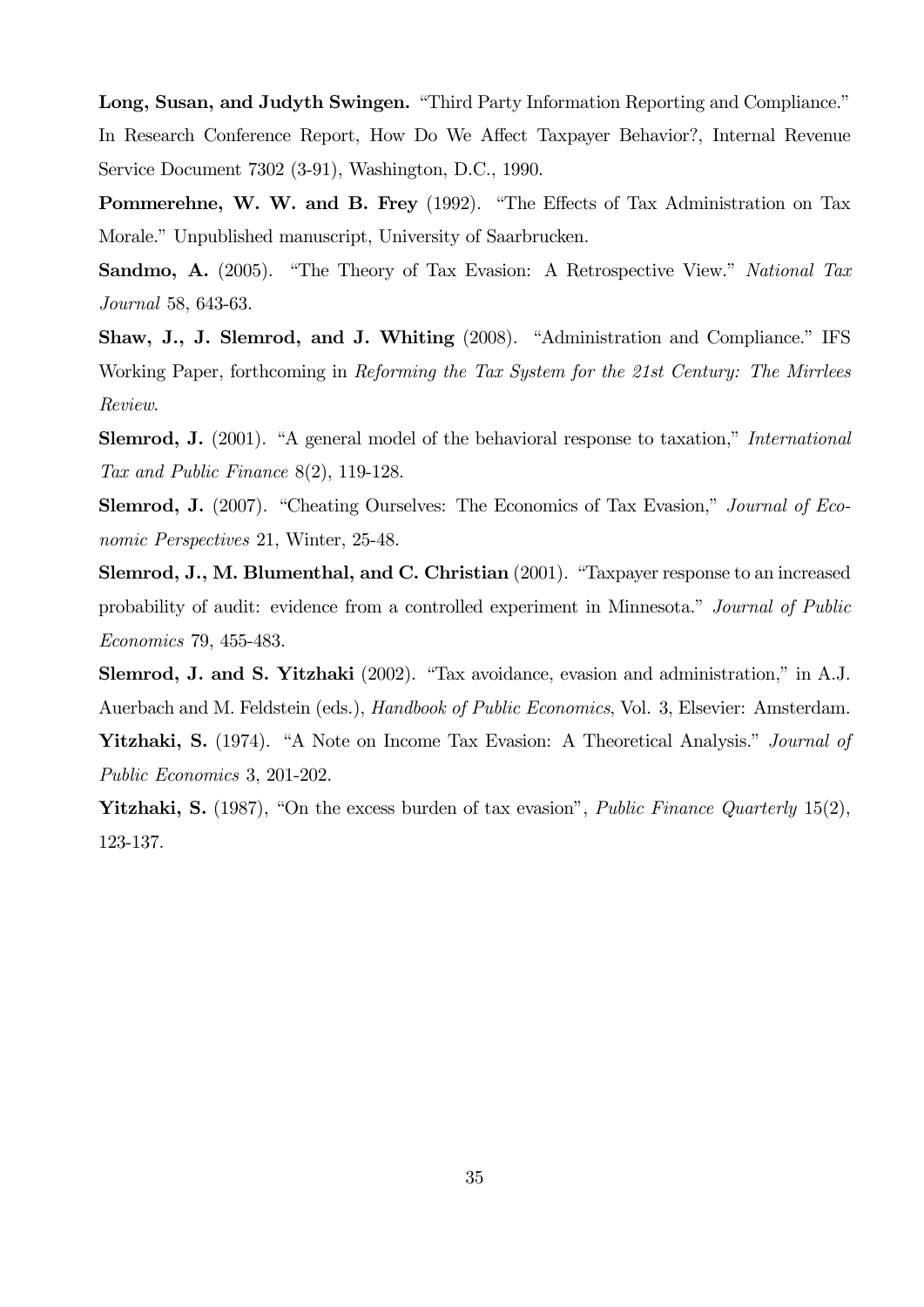Long, Susan, and Judyth Swingen. "Third Party Information Reporting and Compliance." In Research Conference Report, How Do We Affect Taxpayer Behavior?, Internal Revenue Service Document 7302 (3-91), Washington, D.C., 1990.

Pommerehne, W. W. and B. Frey (1992). "The Effects of Tax Administration on Tax Morale." Unpublished manuscript, University of Saarbrucken.

Sandmo, A. (2005). "The Theory of Tax Evasion: A Retrospective View." National Tax Journal 58, 643-63.

Shaw, J., J. Slemrod, and J. Whiting (2008). "Administration and Compliance." IFS Working Paper, forthcoming in Reforming the Tax System for the 21st Century: The Mirrlees Review.

Slemrod, J. (2001). "A general model of the behavioral response to taxation," *International* Tax and Public Finance 8(2), 119-128.

Slemrod, J. (2007). "Cheating Ourselves: The Economics of Tax Evasion," Journal of Economic Perspectives 21, Winter, 25-48.

Slemrod, J., M. Blumenthal, and C. Christian (2001). "Taxpayer response to an increased probability of audit: evidence from a controlled experiment in Minnesota." Journal of Public Economics 79, 455-483.

Slemrod, J. and S. Yitzhaki (2002). "Tax avoidance, evasion and administration," in A.J. Auerbach and M. Feldstein (eds.), Handbook of Public Economics, Vol. 3, Elsevier: Amsterdam.

Yitzhaki, S. (1974). "A Note on Income Tax Evasion: A Theoretical Analysis." *Journal of* Public Economics 3, 201-202.

Yitzhaki, S. (1987), "On the excess burden of tax evasion", *Public Finance Quarterly* 15(2), 123-137.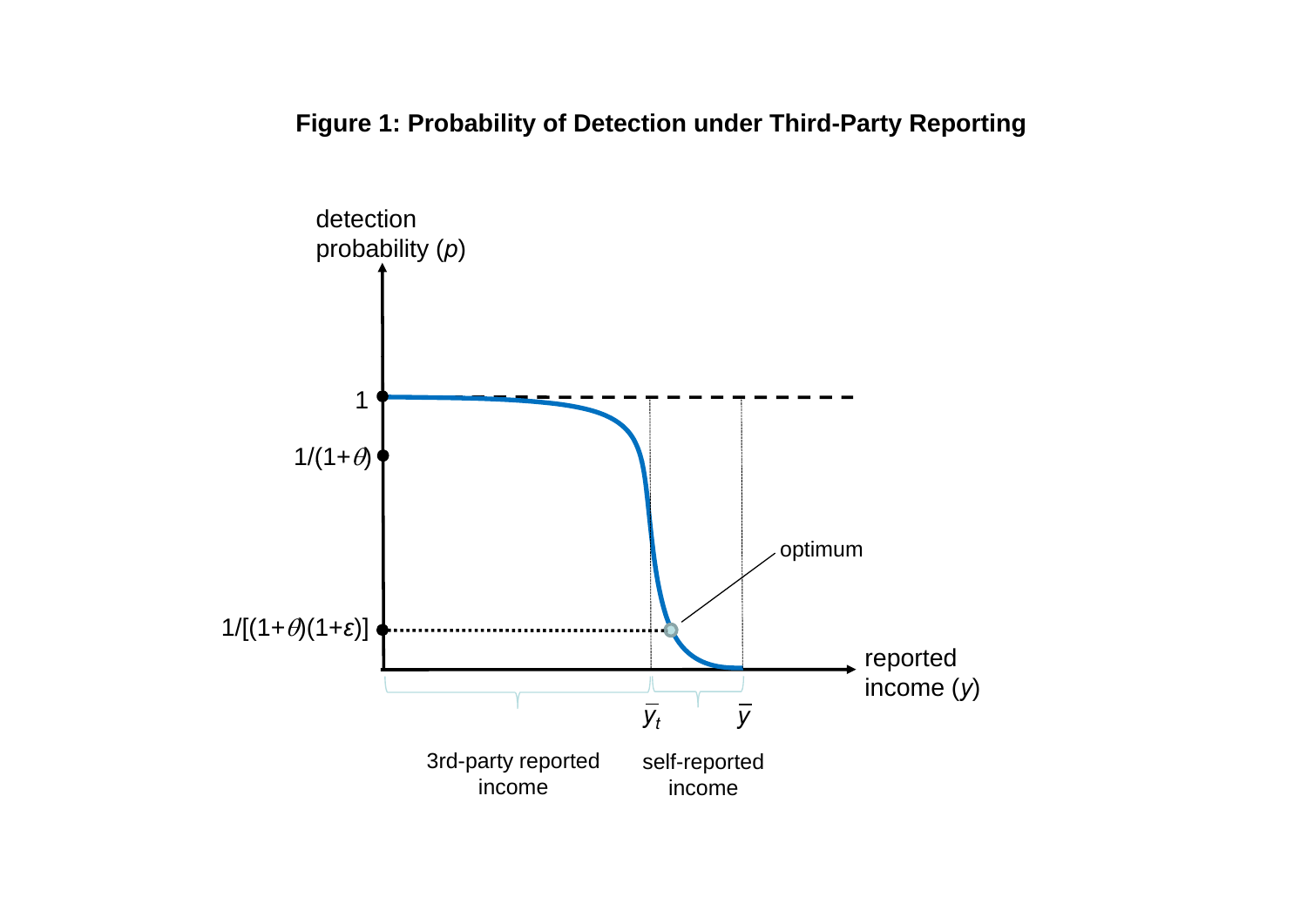**Figure 1: Probability of Detection under Third-Party Reporting**

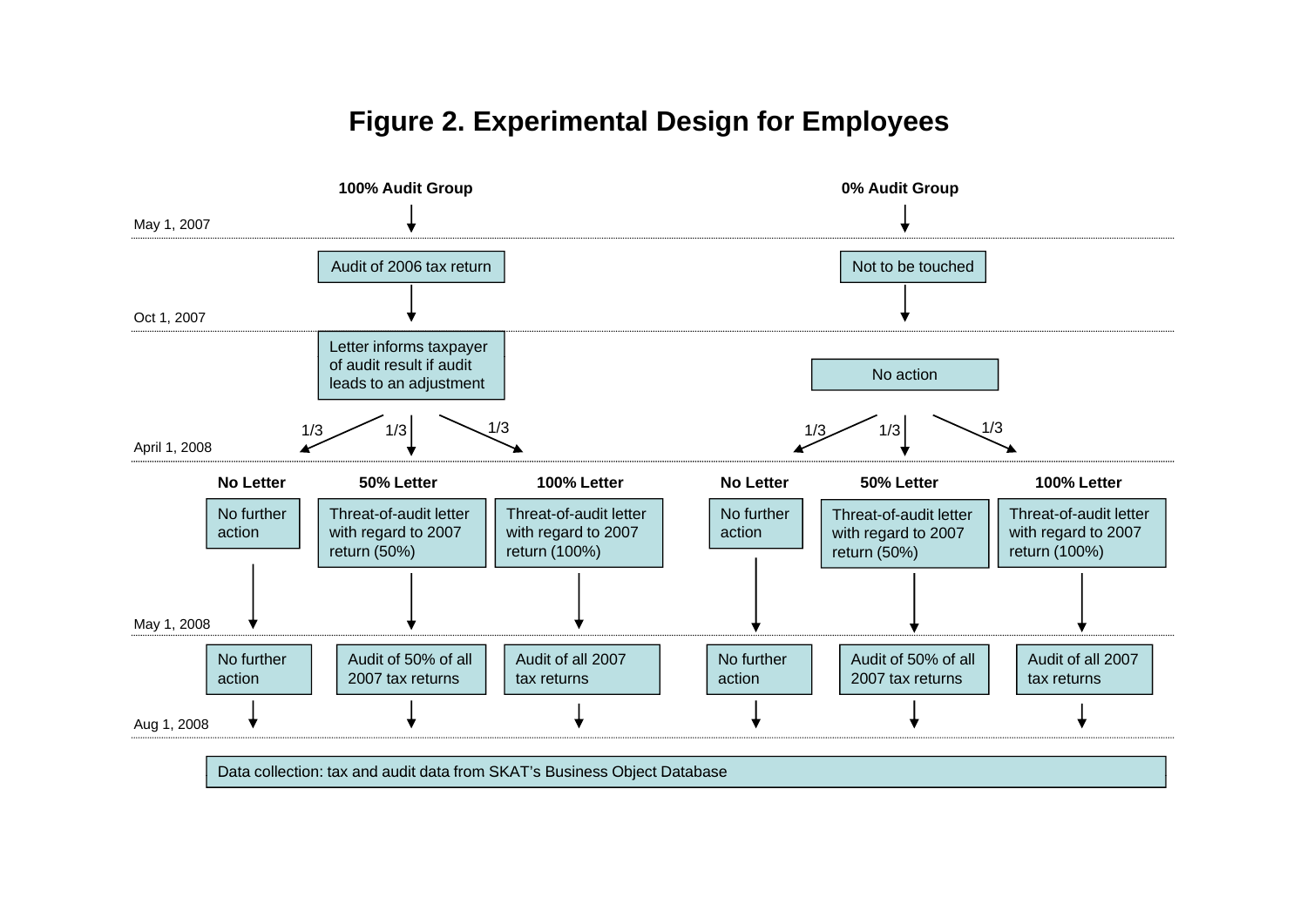# **Figure 2. Experimental Design for Employees**

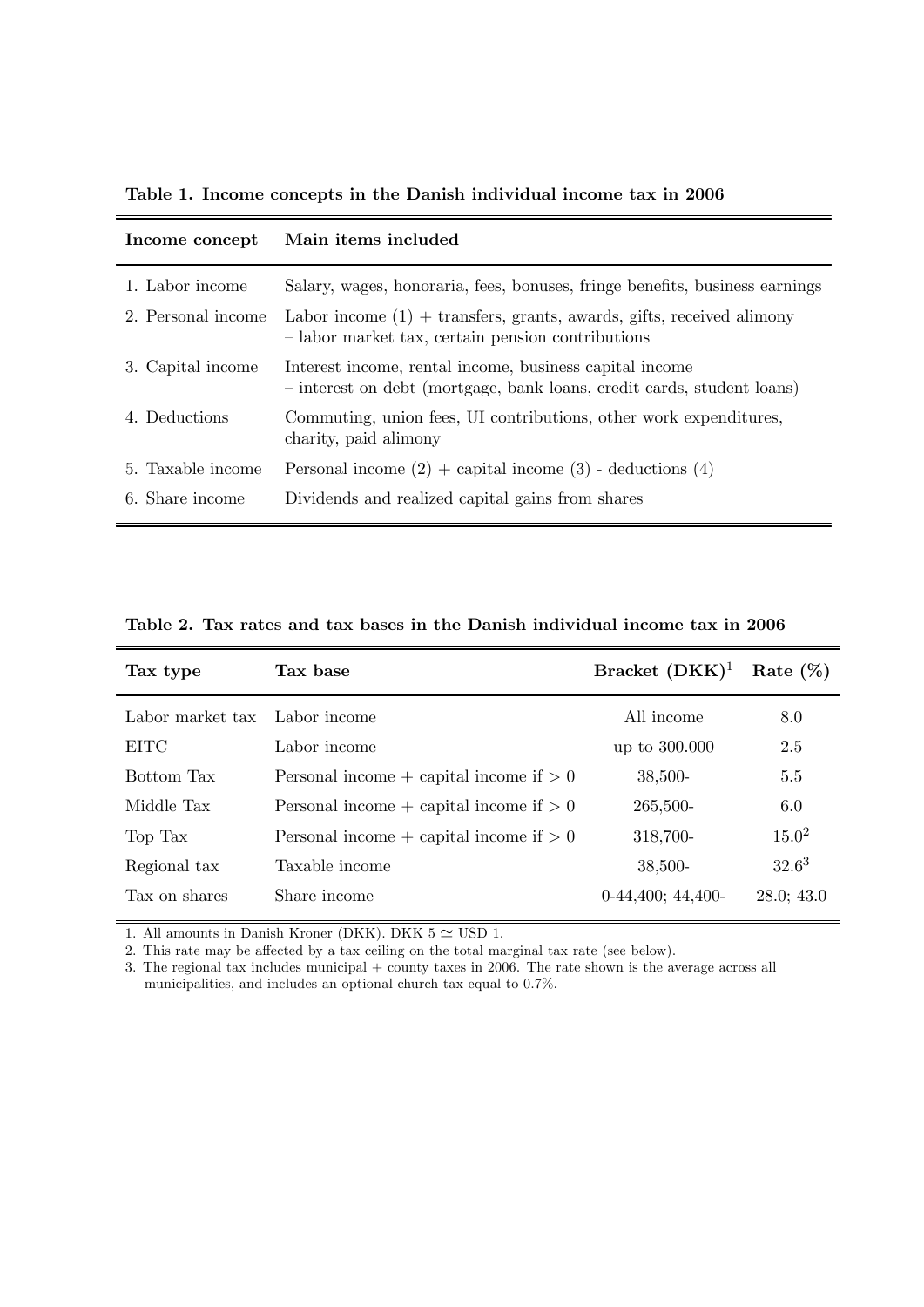Table 1. Income concepts in the Danish individual income tax in 2006

| Income concept     | Main items included                                                                                                               |
|--------------------|-----------------------------------------------------------------------------------------------------------------------------------|
| 1. Labor income    | Salary, wages, honoraria, fees, bonuses, fringe benefits, business earnings                                                       |
| 2. Personal income | Labor income $(1)$ + transfers, grants, awards, gifts, received alimony<br>- labor market tax, certain pension contributions      |
| 3. Capital income  | Interest income, rental income, business capital income<br>- interest on debt (mortgage, bank loans, credit cards, student loans) |
| 4. Deductions      | Commuting, union fees, UI contributions, other work expenditures,<br>charity, paid alimony                                        |
| 5. Taxable income  | Personal income $(2)$ + capital income $(3)$ - deductions $(4)$                                                                   |
| 6. Share income    | Dividends and realized capital gains from shares                                                                                  |

Table 2. Tax rates and tax bases in the Danish individual income tax in 2006

| Tax type         | Tax base                                    | Bracket $(DKK)^1$   | Rate $(\%)$ |
|------------------|---------------------------------------------|---------------------|-------------|
| Labor market tax | Labor income                                | All income          | 8.0         |
| <b>EITC</b>      | Labor income                                | up to 300.000       | 2.5         |
| Bottom Tax       | Personal income + capital income if $> 0$   | $38,500-$           | 5.5         |
| Middle Tax       | Personal income $+$ capital income if $> 0$ | 265,500-            | 6.0         |
| Top Tax          | Personal income + capital income if $> 0$   | 318,700-            | $15.0^{2}$  |
| Regional tax     | Taxable income                              | $38,500-$           | $32.6^3$    |
| Tax on shares    | Share income                                | $0-44,400; 44,400-$ | 28.0; 43.0  |

1. All amounts in Danish Kroner (DKK). DKK  $5 \simeq \text{USD}$  1.

2. This rate may be affected by a tax ceiling on the total marginal tax rate (see below).

3. The regional tax includes municipal + county taxes in 2006. The rate shown is the average across all municipalities, and includes an optional church tax equal to 0.7%.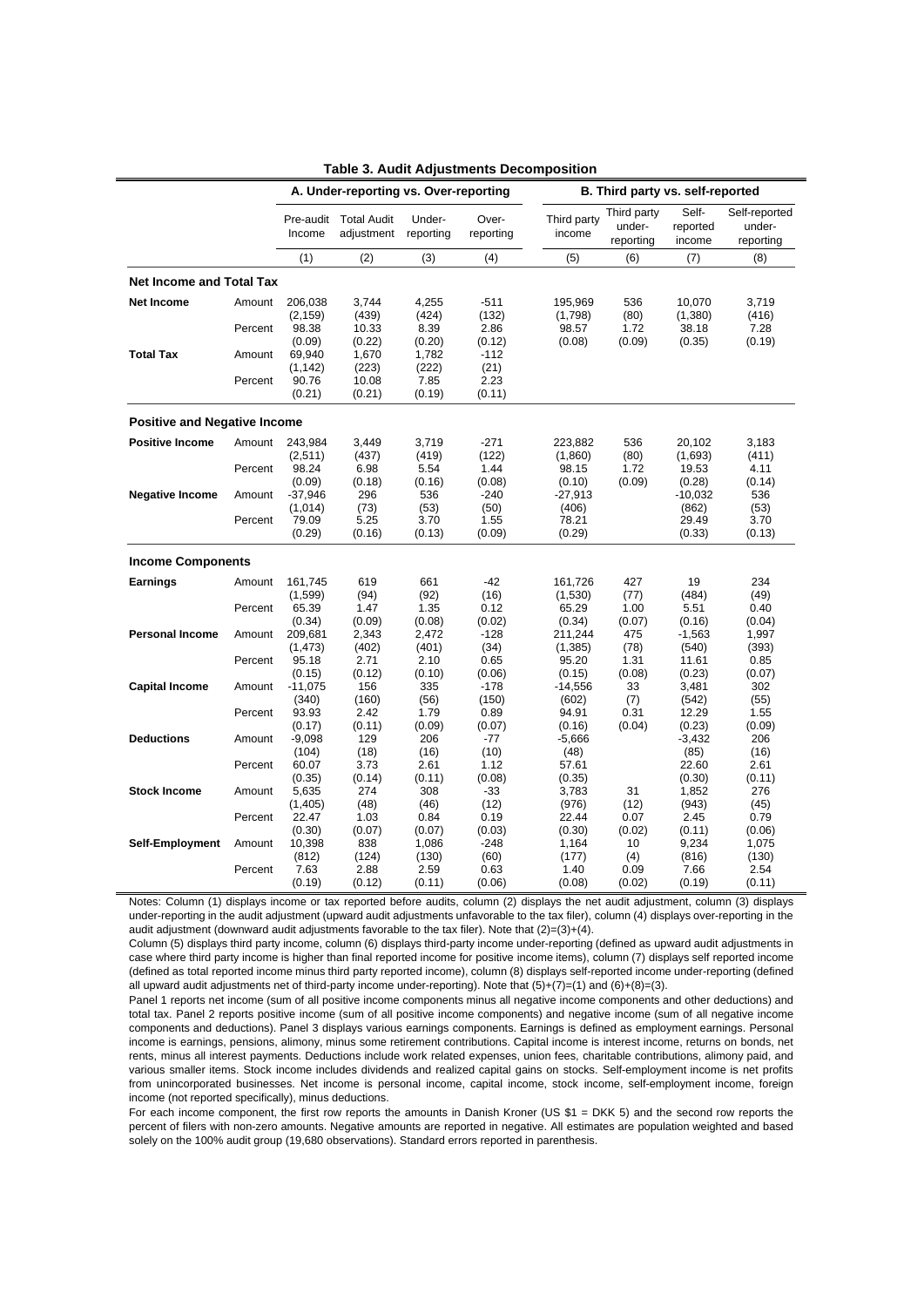|                                     |                   |                               | A. Under-reporting vs. Over-reporting |                        |                         | B. Third party vs. self-reported |                                    |                             |                                      |  |  |  |  |
|-------------------------------------|-------------------|-------------------------------|---------------------------------------|------------------------|-------------------------|----------------------------------|------------------------------------|-----------------------------|--------------------------------------|--|--|--|--|
|                                     |                   | Pre-audit<br>Income           | <b>Total Audit</b><br>adjustment      | Under-<br>reporting    | Over-<br>reporting      | Third party<br>income            | Third party<br>under-<br>reporting | Self-<br>reported<br>income | Self-reported<br>under-<br>reporting |  |  |  |  |
|                                     |                   | (1)                           | (2)                                   | (3)                    | (4)                     | (5)                              | (6)                                | (7)                         | (8)                                  |  |  |  |  |
| <b>Net Income and Total Tax</b>     |                   |                               |                                       |                        |                         |                                  |                                    |                             |                                      |  |  |  |  |
| <b>Net Income</b>                   | Amount            | 206,038<br>(2, 159)           | 3,744<br>(439)                        | 4,255<br>(424)         | $-511$<br>(132)         | 195,969<br>(1,798)               | 536<br>(80)                        | 10,070<br>(1,380)           | 3,719<br>(416)                       |  |  |  |  |
|                                     | Percent           | 98.38<br>(0.09)               | 10.33<br>(0.22)                       | 8.39<br>(0.20)         | 2.86<br>(0.12)          | 98.57<br>(0.08)                  | 1.72<br>(0.09)                     | 38.18<br>(0.35)             | 7.28<br>(0.19)                       |  |  |  |  |
| <b>Total Tax</b>                    | Amount            | 69,940<br>(1, 142)            | 1,670<br>(223)                        | 1,782<br>(222)         | $-112$<br>(21)          |                                  |                                    |                             |                                      |  |  |  |  |
|                                     | Percent           | 90.76<br>(0.21)               | 10.08<br>(0.21)                       | 7.85<br>(0.19)         | 2.23<br>(0.11)          |                                  |                                    |                             |                                      |  |  |  |  |
| <b>Positive and Negative Income</b> |                   |                               |                                       |                        |                         |                                  |                                    |                             |                                      |  |  |  |  |
| <b>Positive Income</b>              | Amount            | 243,984<br>(2, 511)           | 3,449<br>(437)                        | 3,719<br>(419)         | $-271$<br>(122)         | 223,882<br>(1,860)               | 536<br>(80)                        | 20,102<br>(1,693)           | 3,183<br>(411)                       |  |  |  |  |
|                                     | Percent           | 98.24<br>(0.09)               | 6.98<br>(0.18)                        | 5.54<br>(0.16)         | 1.44<br>(0.08)          | 98.15<br>(0.10)                  | 1.72<br>(0.09)                     | 19.53<br>(0.28)             | 4.11<br>(0.14)                       |  |  |  |  |
| <b>Negative Income</b>              | Amount<br>Percent | $-37,946$<br>(1,014)<br>79.09 | 296<br>(73)<br>5.25                   | 536<br>(53)<br>3.70    | $-240$<br>(50)<br>1.55  | $-27,913$<br>(406)<br>78.21      |                                    | $-10,032$<br>(862)<br>29.49 | 536<br>(53)<br>3.70                  |  |  |  |  |
|                                     |                   | (0.29)                        | (0.16)                                | (0.13)                 | (0.09)                  | (0.29)                           |                                    | (0.33)                      | (0.13)                               |  |  |  |  |
| <b>Income Components</b>            |                   |                               |                                       |                        |                         |                                  |                                    |                             |                                      |  |  |  |  |
| <b>Earnings</b>                     | Amount            | 161,745<br>(1,599)            | 619<br>(94)                           | 661<br>(92)            | $-42$<br>(16)           | 161,726<br>(1,530)               | 427<br>(77)                        | 19<br>(484)                 | 234<br>(49)                          |  |  |  |  |
|                                     | Percent           | 65.39<br>(0.34)               | 1.47<br>(0.09)                        | 1.35<br>(0.08)         | 0.12<br>(0.02)          | 65.29<br>(0.34)                  | 1.00<br>(0.07)                     | 5.51<br>(0.16)              | 0.40<br>(0.04)                       |  |  |  |  |
| <b>Personal Income</b>              | Amount<br>Percent | 209,681<br>(1, 473)<br>95.18  | 2,343<br>(402)<br>2.71                | 2,472<br>(401)<br>2.10 | $-128$<br>(34)<br>0.65  | 211,244<br>(1,385)<br>95.20      | 475<br>(78)<br>1.31                | $-1,563$<br>(540)<br>11.61  | 1,997<br>(393)<br>0.85               |  |  |  |  |
| <b>Capital Income</b>               | Amount            | (0.15)<br>$-11,075$           | (0.12)<br>156                         | (0.10)<br>335          | (0.06)<br>$-178$        | (0.15)<br>$-14,556$              | (0.08)<br>33                       | (0.23)<br>3,481             | (0.07)<br>302                        |  |  |  |  |
|                                     | Percent           | (340)<br>93.93                | (160)<br>2.42                         | (56)<br>1.79           | (150)<br>0.89           | (602)<br>94.91                   | (7)<br>0.31                        | (542)<br>12.29              | (55)<br>1.55                         |  |  |  |  |
| <b>Deductions</b>                   | Amount            | (0.17)<br>$-9,098$            | (0.11)<br>129                         | (0.09)<br>206          | (0.07)<br>$-77$         | (0.16)<br>$-5,666$               | (0.04)                             | (0.23)<br>$-3,432$          | (0.09)<br>206                        |  |  |  |  |
|                                     | Percent           | (104)<br>60.07                | (18)<br>3.73                          | (16)<br>2.61           | (10)<br>1.12            | (48)<br>57.61                    |                                    | (85)<br>22.60               | (16)<br>2.61                         |  |  |  |  |
| <b>Stock Income</b>                 | Amount            | (0.35)<br>5,635<br>(1,405)    | (0.14)<br>274<br>(48)                 | (0.11)<br>308<br>(46)  | (0.08)<br>$-33$<br>(12) | (0.35)<br>3,783<br>(976)         | 31<br>(12)                         | (0.30)<br>1,852<br>(943)    | (0.11)<br>276<br>(45)                |  |  |  |  |
|                                     | Percent           | 22.47<br>(0.30)               | 1.03<br>(0.07)                        | 0.84<br>(0.07)         | 0.19<br>(0.03)          | 22.44<br>(0.30)                  | 0.07<br>(0.02)                     | 2.45<br>(0.11)              | 0.79<br>(0.06)                       |  |  |  |  |
| Self-Employment                     | Amount            | 10,398<br>(812)               | 838<br>(124)                          | 1,086<br>(130)         | $-248$<br>(60)          | 1,164<br>(177)                   | 10<br>(4)                          | 9,234<br>(816)              | 1,075<br>(130)                       |  |  |  |  |
|                                     | Percent           | 7.63<br>(0.19)                | 2.88<br>(0.12)                        | 2.59<br>(0.11)         | 0.63<br>(0.06)          | 1.40<br>(0.08)                   | 0.09<br>(0.02)                     | 7.66<br>(0.19)              | 2.54<br>(0.11)                       |  |  |  |  |

| <b>Table 3. Audit Adjustments Decomposition</b> |  |  |  |  |  |  |
|-------------------------------------------------|--|--|--|--|--|--|
|-------------------------------------------------|--|--|--|--|--|--|

Notes: Column (1) displays income or tax reported before audits, column (2) displays the net audit adjustment, column (3) displays under-reporting in the audit adjustment (upward audit adjustments unfavorable to the tax filer), column (4) displays over-reporting in the audit adjustment (downward audit adjustments favorable to the tax filer). Note that (2)=(3)+(4).

Column (5) displays third party income, column (6) displays third-party income under-reporting (defined as upward audit adjustments in case where third party income is higher than final reported income for positive income items), column (7) displays self reported income (defined as total reported income minus third party reported income), column (8) displays self-reported income under-reporting (defined all upward audit adjustments net of third-party income under-reporting). Note that (5)+(7)=(1) and (6)+(8)=(3).

Panel 1 reports net income (sum of all positive income components minus all negative income components and other deductions) and total tax. Panel 2 reports positive income (sum of all positive income components) and negative income (sum of all negative income components and deductions). Panel 3 displays various earnings components. Earnings is defined as employment earnings. Personal income is earnings, pensions, alimony, minus some retirement contributions. Capital income is interest income, returns on bonds, net rents, minus all interest payments. Deductions include work related expenses, union fees, charitable contributions, alimony paid, and various smaller items. Stock income includes dividends and realized capital gains on stocks. Self-employment income is net profits from unincorporated businesses. Net income is personal income, capital income, stock income, self-employment income, foreign income (not reported specifically), minus deductions.

For each income component, the first row reports the amounts in Danish Kroner (US \$1 = DKK 5) and the second row reports the percent of filers with non-zero amounts. Negative amounts are reported in negative. All estimates are population weighted and based solely on the 100% audit group (19,680 observations). Standard errors reported in parenthesis.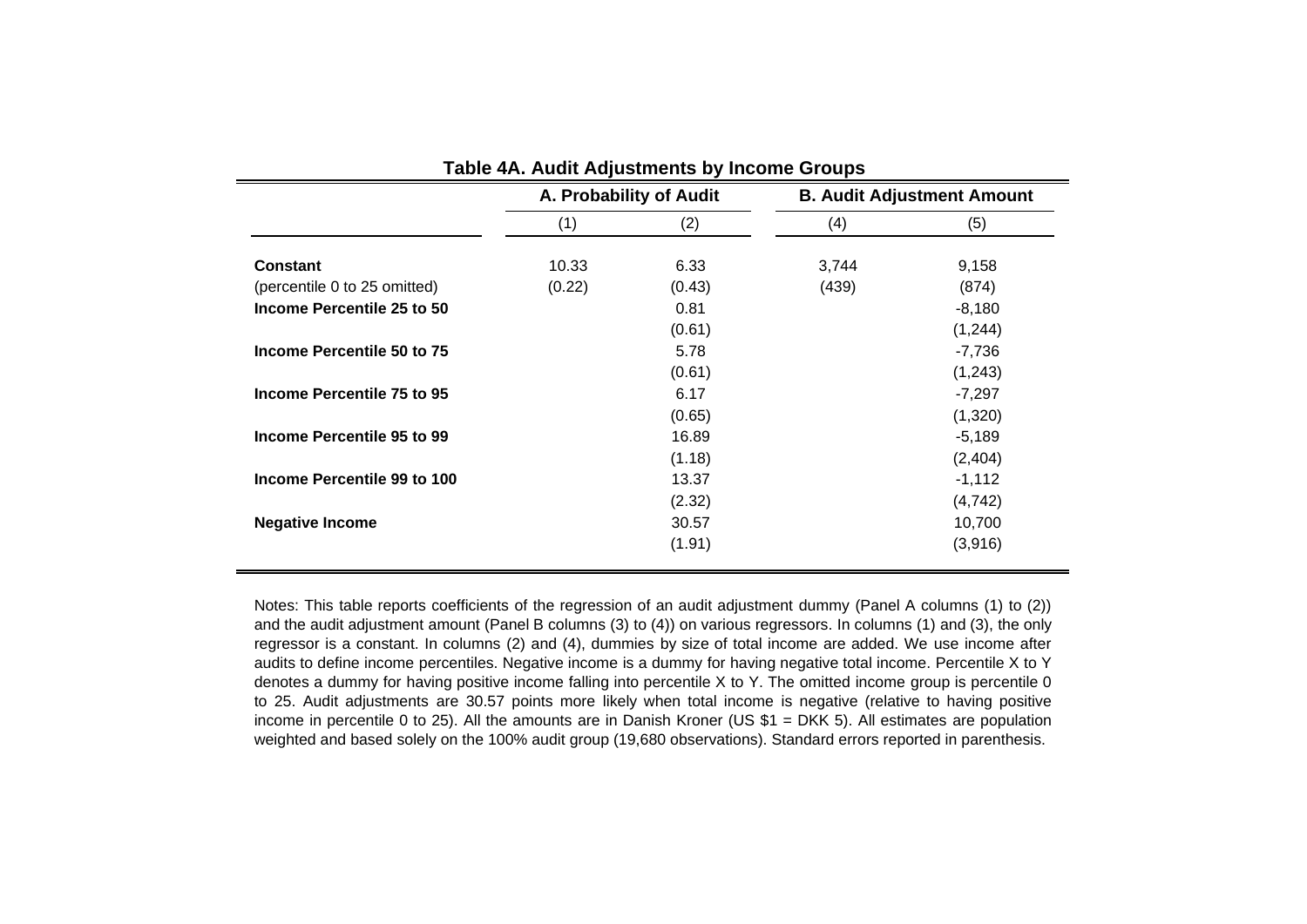|                              |        | A. Probability of Audit | <b>B. Audit Adjustment Amount</b> |          |  |  |  |
|------------------------------|--------|-------------------------|-----------------------------------|----------|--|--|--|
|                              | (1)    | (2)                     | (4)                               | (5)      |  |  |  |
| <b>Constant</b>              | 10.33  | 6.33                    | 3,744                             | 9,158    |  |  |  |
| (percentile 0 to 25 omitted) | (0.22) | (0.43)                  | (439)                             | (874)    |  |  |  |
| Income Percentile 25 to 50   |        | 0.81                    |                                   | $-8,180$ |  |  |  |
|                              |        | (0.61)                  |                                   | (1,244)  |  |  |  |
| Income Percentile 50 to 75   |        | 5.78                    |                                   | $-7,736$ |  |  |  |
|                              |        | (0.61)                  |                                   | (1,243)  |  |  |  |
| Income Percentile 75 to 95   |        | 6.17                    |                                   | $-7,297$ |  |  |  |
|                              |        | (0.65)                  |                                   | (1,320)  |  |  |  |
| Income Percentile 95 to 99   |        | 16.89                   |                                   | $-5,189$ |  |  |  |
|                              |        | (1.18)                  |                                   | (2,404)  |  |  |  |
| Income Percentile 99 to 100  |        | 13.37                   |                                   | $-1,112$ |  |  |  |
|                              |        | (2.32)                  |                                   | (4, 742) |  |  |  |
| <b>Negative Income</b>       |        | 30.57                   |                                   | 10,700   |  |  |  |
|                              |        | (1.91)                  |                                   | (3,916)  |  |  |  |

Notes: This table reports coefficients of the regression of an audit adjustment dummy (Panel A columns (1) to (2)) and the audit adjustment amount (Panel B columns (3) to (4)) on various regressors. In columns (1) and (3), the only regressor is <sup>a</sup> constant. In columns (2) and (4), dummies by size of total income are added. We use income after audits to define income percentiles. Negative income is <sup>a</sup> dummy for having negative total income. Percentile X to Y denotes <sup>a</sup> dummy for having positive income falling into percentile X to Y. The omitted income group is percentile 0 to 25. Audit adjustments are 30.57 points more likely when total income is negative (relative to having positive income in percentile 0 to 25). All the amounts are in Danish Kroner (US \$1 <sup>=</sup> DKK 5). All estimates are population weighted and based solely on the 100% audit group (19,680 observations). Standard errors reported in parenthesis.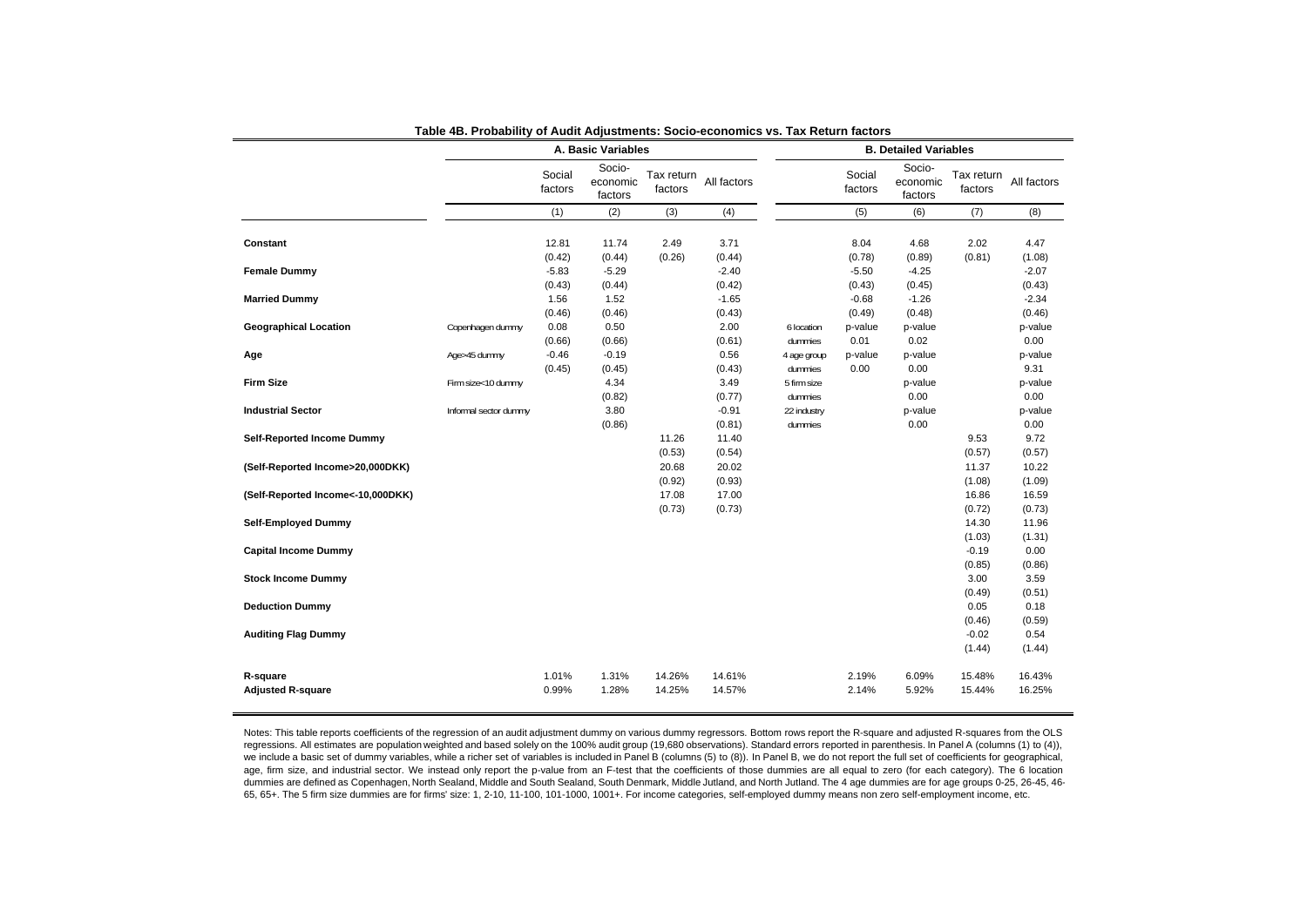|                                   |                       |                   | A. Basic Variables            |                       | <b>B. Detailed Variables</b> |             |                   |                               |                       |                |  |  |
|-----------------------------------|-----------------------|-------------------|-------------------------------|-----------------------|------------------------------|-------------|-------------------|-------------------------------|-----------------------|----------------|--|--|
|                                   |                       | Social<br>factors | Socio-<br>economic<br>factors | Tax return<br>factors | All factors                  |             | Social<br>factors | Socio-<br>economic<br>factors | Tax return<br>factors | All factors    |  |  |
|                                   |                       | (1)               | (2)                           | (3)                   | (4)                          |             | (5)               | (6)                           | (7)                   | (8)            |  |  |
|                                   |                       |                   |                               |                       |                              |             |                   |                               |                       |                |  |  |
| Constant                          |                       | 12.81             | 11.74                         | 2.49                  | 3.71                         |             | 8.04              | 4.68                          | 2.02                  | 4.47           |  |  |
|                                   |                       | (0.42)            | (0.44)                        | (0.26)                | (0.44)                       |             | (0.78)            | (0.89)                        | (0.81)                | (1.08)         |  |  |
| <b>Female Dummy</b>               |                       | $-5.83$           | $-5.29$                       |                       | $-2.40$                      |             | $-5.50$           | $-4.25$                       |                       | $-2.07$        |  |  |
|                                   |                       | (0.43)            | (0.44)                        |                       | (0.42)                       |             | (0.43)            | (0.45)                        |                       | (0.43)         |  |  |
| <b>Married Dummy</b>              |                       | 1.56              | 1.52                          |                       | $-1.65$                      |             | $-0.68$           | $-1.26$                       |                       | $-2.34$        |  |  |
|                                   |                       | (0.46)            | (0.46)                        |                       | (0.43)                       |             | (0.49)            | (0.48)                        |                       | (0.46)         |  |  |
| <b>Geographical Location</b>      | Copenhagen dummy      | 0.08              | 0.50                          |                       | 2.00                         | 6 location  | p-value           | p-value                       |                       | p-value        |  |  |
|                                   |                       | (0.66)            | (0.66)                        |                       | (0.61)                       | dummies     | 0.01              | 0.02                          |                       | 0.00           |  |  |
| Age                               | Age>45 dummy          | $-0.46$           | $-0.19$                       |                       | 0.56                         | 4 age group | p-value           | p-value                       |                       | p-value        |  |  |
|                                   |                       | (0.45)            | (0.45)                        |                       | (0.43)                       | dummies     | 0.00              | 0.00                          |                       | 9.31           |  |  |
| <b>Firm Size</b>                  | Firm size<10 dummy    |                   | 4.34                          |                       | 3.49                         | 5 firm size |                   | p-value                       |                       | p-value        |  |  |
|                                   |                       |                   | (0.82)                        |                       | (0.77)                       | dummies     |                   | 0.00                          |                       | 0.00           |  |  |
| <b>Industrial Sector</b>          | Informal sector dummy |                   | 3.80                          |                       | $-0.91$                      | 22 industry |                   | p-value                       |                       | p-value        |  |  |
|                                   |                       |                   | (0.86)                        |                       | (0.81)                       | dummies     |                   | 0.00                          |                       | 0.00           |  |  |
| <b>Self-Reported Income Dummy</b> |                       |                   |                               | 11.26                 | 11.40                        |             |                   |                               | 9.53                  | 9.72           |  |  |
|                                   |                       |                   |                               | (0.53)                | (0.54)                       |             |                   |                               | (0.57)                | (0.57)         |  |  |
| (Self-Reported Income>20,000DKK)  |                       |                   |                               | 20.68                 | 20.02                        |             |                   |                               | 11.37                 | 10.22          |  |  |
|                                   |                       |                   |                               | (0.92)                | (0.93)                       |             |                   |                               | (1.08)                | (1.09)         |  |  |
| (Self-Reported Income<-10,000DKK) |                       |                   |                               | 17.08                 | 17.00                        |             |                   |                               | 16.86                 | 16.59          |  |  |
|                                   |                       |                   |                               | (0.73)                | (0.73)                       |             |                   |                               | (0.72)                | (0.73)         |  |  |
| <b>Self-Employed Dummy</b>        |                       |                   |                               |                       |                              |             |                   |                               | 14.30                 | 11.96          |  |  |
|                                   |                       |                   |                               |                       |                              |             |                   |                               | (1.03)                | (1.31)         |  |  |
| <b>Capital Income Dummy</b>       |                       |                   |                               |                       |                              |             |                   |                               | $-0.19$               | 0.00           |  |  |
|                                   |                       |                   |                               |                       |                              |             |                   |                               | (0.85)<br>3.00        | (0.86)         |  |  |
| <b>Stock Income Dummy</b>         |                       |                   |                               |                       |                              |             |                   |                               | (0.49)                | 3.59           |  |  |
| <b>Deduction Dummy</b>            |                       |                   |                               |                       |                              |             |                   |                               | 0.05                  | (0.51)<br>0.18 |  |  |
|                                   |                       |                   |                               |                       |                              |             |                   |                               | (0.46)                | (0.59)         |  |  |
| <b>Auditing Flag Dummy</b>        |                       |                   |                               |                       |                              |             |                   |                               | $-0.02$               | 0.54           |  |  |
|                                   |                       |                   |                               |                       |                              |             |                   |                               | (1.44)                | (1.44)         |  |  |
|                                   |                       |                   |                               |                       |                              |             |                   |                               |                       |                |  |  |
| R-square                          |                       | 1.01%             | 1.31%                         | 14.26%                | 14.61%                       |             | 2.19%             | 6.09%                         | 15.48%                | 16.43%         |  |  |
| <b>Adjusted R-square</b>          |                       | 0.99%             | 1.28%                         | 14.25%                | 14.57%                       |             | 2.14%             | 5.92%                         | 15.44%                | 16.25%         |  |  |
|                                   |                       |                   |                               |                       |                              |             |                   |                               |                       |                |  |  |

|  |  |  |  |  |  |  |  |  |  |  |  |  |  |  |  |  | Table 4B. Probability of Audit Adiustments: Socio-economics vs. Tax Return factors |  |  |  |  |  |  |  |  |  |  |
|--|--|--|--|--|--|--|--|--|--|--|--|--|--|--|--|--|------------------------------------------------------------------------------------|--|--|--|--|--|--|--|--|--|--|
|--|--|--|--|--|--|--|--|--|--|--|--|--|--|--|--|--|------------------------------------------------------------------------------------|--|--|--|--|--|--|--|--|--|--|

Notes: This table reports coefficients of the regression of an audit adjustment dummy on various dummy regressors. Bottom rows report the R-square and adjusted R-squares from the OLS regressions. All estimates are population weighted and based solely on the 100% audit group (19,680 observations). Standard errors reported in parenthesis. In Panel A (columns (1) to (4)), we include a basic set of dummy variables, while a richer set of variables is included in Panel B (columns (5) to (8)). In Panel B, we do not report the full set of coefficients for geographical, age, firm size, and industrial sector. We instead only report the p-value from an F-test that the coefficients of those dummies are all equal to zero (for each category). The 6 location dummies are defined as Copenhagen, North Sealand, Middle and South Sealand, South Denmark, Middle Jutland, and North Jutland. The 4 age dummies are for age groups 0-25, 26-45, 46- 65, 65+. The 5 firm size dummies are for firms' size: 1, 2-10, 11-100, 101-1000, 1001+. For income categories, self-employed dummy means non zero self-employment income, etc.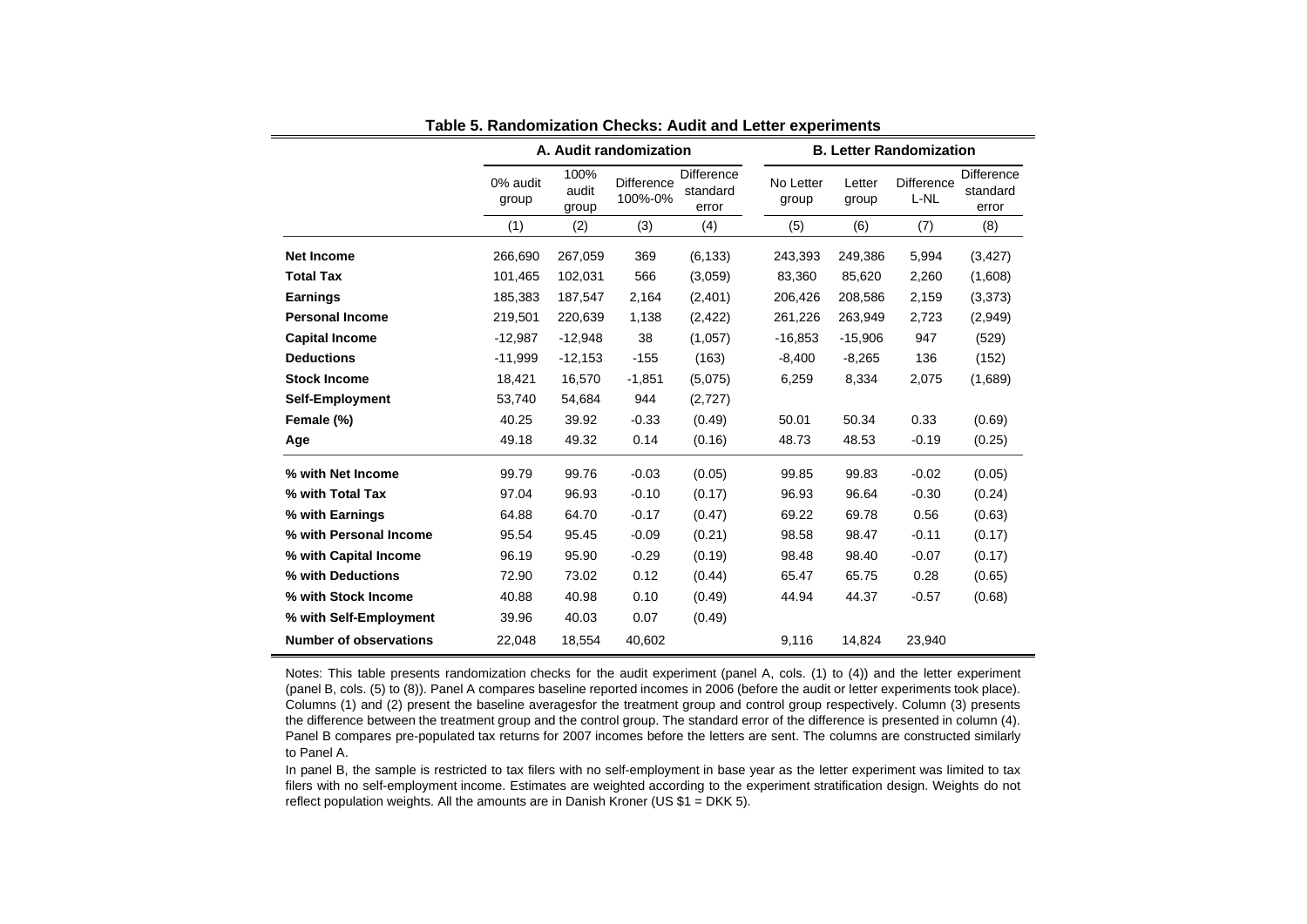|                               |                   |                        | A. Audit randomization       |                                 |                    |                 | <b>B. Letter Randomization</b> |                                 |
|-------------------------------|-------------------|------------------------|------------------------------|---------------------------------|--------------------|-----------------|--------------------------------|---------------------------------|
|                               | 0% audit<br>group | 100%<br>audit<br>group | <b>Difference</b><br>100%-0% | Difference<br>standard<br>error | No Letter<br>group | Letter<br>group | <b>Difference</b><br>L-NL      | Difference<br>standard<br>error |
|                               | (1)               | (2)                    | (3)                          | (4)                             | (5)                | (6)             | (7)                            | (8)                             |
| <b>Net Income</b>             | 266,690           | 267,059                | 369                          | (6, 133)                        | 243,393            | 249,386         | 5,994                          | (3, 427)                        |
| <b>Total Tax</b>              | 101,465           | 102,031                | 566                          | (3,059)                         | 83,360             | 85,620          | 2,260                          | (1,608)                         |
| <b>Earnings</b>               | 185,383           | 187,547                | 2,164                        | (2,401)                         | 206,426            | 208,586         | 2,159                          | (3, 373)                        |
| <b>Personal Income</b>        | 219,501           | 220,639                | 1,138                        | (2, 422)                        | 261,226            | 263,949         | 2,723                          | (2,949)                         |
| <b>Capital Income</b>         | $-12,987$         | $-12,948$              | 38                           | (1,057)                         | $-16,853$          | $-15,906$       | 947                            | (529)                           |
| <b>Deductions</b>             | $-11,999$         | $-12,153$              | $-155$                       | (163)                           | $-8,400$           | $-8,265$        | 136                            | (152)                           |
| <b>Stock Income</b>           | 18,421            | 16,570                 | $-1,851$                     | (5,075)                         | 6,259              | 8,334           | 2,075                          | (1,689)                         |
| <b>Self-Employment</b>        | 53,740            | 54,684                 | 944                          | (2,727)                         |                    |                 |                                |                                 |
| Female (%)                    | 40.25             | 39.92                  | $-0.33$                      | (0.49)                          | 50.01              | 50.34           | 0.33                           | (0.69)                          |
| Age                           | 49.18             | 49.32                  | 0.14                         | (0.16)                          | 48.73              | 48.53           | $-0.19$                        | (0.25)                          |
| % with Net Income             | 99.79             | 99.76                  | $-0.03$                      | (0.05)                          | 99.85              | 99.83           | $-0.02$                        | (0.05)                          |
| % with Total Tax              | 97.04             | 96.93                  | $-0.10$                      | (0.17)                          | 96.93              | 96.64           | $-0.30$                        | (0.24)                          |
| % with Earnings               | 64.88             | 64.70                  | $-0.17$                      | (0.47)                          | 69.22              | 69.78           | 0.56                           | (0.63)                          |
| % with Personal Income        | 95.54             | 95.45                  | $-0.09$                      | (0.21)                          | 98.58              | 98.47           | $-0.11$                        | (0.17)                          |
| % with Capital Income         | 96.19             | 95.90                  | $-0.29$                      | (0.19)                          | 98.48              | 98.40           | $-0.07$                        | (0.17)                          |
| % with Deductions             | 72.90             | 73.02                  | 0.12                         | (0.44)                          | 65.47              | 65.75           | 0.28                           | (0.65)                          |
| % with Stock Income           | 40.88             | 40.98                  | 0.10                         | (0.49)                          | 44.94              | 44.37           | $-0.57$                        | (0.68)                          |
| % with Self-Employment        | 39.96             | 40.03                  | 0.07                         | (0.49)                          |                    |                 |                                |                                 |
| <b>Number of observations</b> | 22,048            | 18,554                 | 40,602                       |                                 | 9,116              | 14,824          | 23,940                         |                                 |

**Table 5. Randomization Checks: Audit and Letter experiments**

Notes: This table presents randomization checks for the audit experiment (panel A, cols. (1) to (4)) and the letter experiment (panel B, cols. (5) to (8)). Panel A compares baseline reported incomes in 2006 (before the audit or letter experiments took place). Columns (1) and (2) present the baseline averagesfor the treatment group and control group respectively. Column (3) presents the difference between the treatment group and the control group. The standard error of the difference is presented in column (4). Panel B compares pre-populated tax returns for 2007 incomes before the letters are sent. The columns are constructed similarly to Panel A.

In panel B, the sample is restricted to tax filers with no self-employment in base year as the letter experiment was limited to tax filers with no self-employment income. Estimates are weighted according to the experiment stratification design. Weights do not reflect population weights. All the amounts are in Danish Kroner (US \$1 = DKK 5).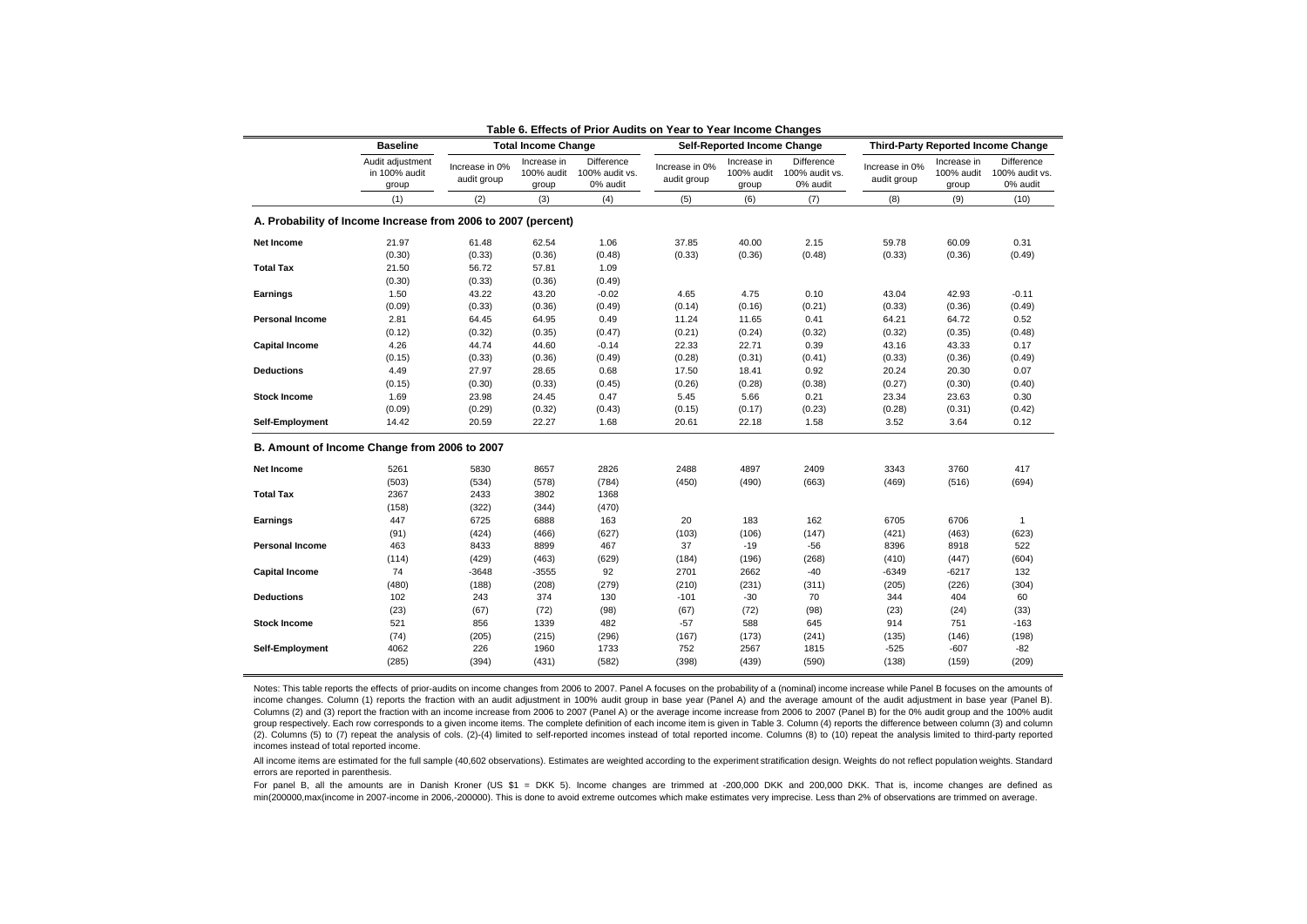|                        | <b>Baseline</b>                                               |                               | <b>Total Income Change</b>         |                                          |                               | <b>Self-Reported Income Change</b> |                                          |                               |                                    | <b>Third-Party Reported Income Change</b> |
|------------------------|---------------------------------------------------------------|-------------------------------|------------------------------------|------------------------------------------|-------------------------------|------------------------------------|------------------------------------------|-------------------------------|------------------------------------|-------------------------------------------|
|                        | Audit adjustment<br>in 100% audit<br>group                    | Increase in 0%<br>audit group | Increase in<br>100% audit<br>group | Difference<br>100% audit vs.<br>0% audit | Increase in 0%<br>audit group | Increase in<br>100% audit<br>group | Difference<br>100% audit vs.<br>0% audit | Increase in 0%<br>audit group | Increase in<br>100% audit<br>group | Difference<br>100% audit vs.<br>0% audit  |
|                        | (1)                                                           | (2)                           | (3)                                | (4)                                      | (5)                           | (6)                                | (7)                                      | (8)                           | (9)                                | (10)                                      |
|                        | A. Probability of Income Increase from 2006 to 2007 (percent) |                               |                                    |                                          |                               |                                    |                                          |                               |                                    |                                           |
| Net Income             | 21.97                                                         | 61.48                         | 62.54                              | 1.06                                     | 37.85                         | 40.00                              | 2.15                                     | 59.78                         | 60.09                              | 0.31                                      |
|                        | (0.30)                                                        | (0.33)                        | (0.36)                             | (0.48)                                   | (0.33)                        | (0.36)                             | (0.48)                                   | (0.33)                        | (0.36)                             | (0.49)                                    |
| <b>Total Tax</b>       | 21.50                                                         | 56.72                         | 57.81                              | 1.09                                     |                               |                                    |                                          |                               |                                    |                                           |
|                        | (0.30)                                                        | (0.33)                        | (0.36)                             | (0.49)                                   |                               |                                    |                                          |                               |                                    |                                           |
| Earnings               | 1.50                                                          | 43.22                         | 43.20                              | $-0.02$                                  | 4.65                          | 4.75                               | 0.10                                     | 43.04                         | 42.93                              | $-0.11$                                   |
|                        | (0.09)                                                        | (0.33)                        | (0.36)                             | (0.49)                                   | (0.14)                        | (0.16)                             | (0.21)                                   | (0.33)                        | (0.36)                             | (0.49)                                    |
| <b>Personal Income</b> | 2.81                                                          | 64.45                         | 64.95                              | 0.49                                     | 11.24                         | 11.65                              | 0.41                                     | 64.21                         | 64.72                              | 0.52                                      |
|                        | (0.12)                                                        | (0.32)                        | (0.35)                             | (0.47)                                   | (0.21)                        | (0.24)                             | (0.32)                                   | (0.32)                        | (0.35)                             | (0.48)                                    |
| <b>Capital Income</b>  | 4.26                                                          | 44.74                         | 44.60                              | $-0.14$                                  | 22.33                         | 22.71                              | 0.39                                     | 43.16                         | 43.33                              | 0.17                                      |
|                        | (0.15)                                                        | (0.33)                        | (0.36)                             | (0.49)                                   | (0.28)                        | (0.31)                             | (0.41)                                   | (0.33)                        | (0.36)                             | (0.49)                                    |
| <b>Deductions</b>      | 4.49                                                          | 27.97                         | 28.65                              | 0.68                                     | 17.50                         | 18.41                              | 0.92                                     | 20.24                         | 20.30                              | 0.07                                      |
|                        | (0.15)                                                        | (0.30)                        | (0.33)                             | (0.45)                                   | (0.26)                        | (0.28)                             | (0.38)                                   | (0.27)                        | (0.30)                             | (0.40)                                    |
| <b>Stock Income</b>    | 1.69                                                          | 23.98                         | 24.45                              | 0.47                                     | 5.45                          | 5.66                               | 0.21                                     | 23.34                         | 23.63                              | 0.30                                      |
|                        | (0.09)                                                        | (0.29)                        | (0.32)                             | (0.43)                                   | (0.15)                        | (0.17)                             | (0.23)                                   | (0.28)                        | (0.31)                             | (0.42)                                    |
| Self-Employment        | 14.42                                                         | 20.59                         | 22.27                              | 1.68                                     | 20.61                         | 22.18                              | 1.58                                     | 3.52                          | 3.64                               | 0.12                                      |
|                        |                                                               |                               |                                    |                                          |                               |                                    |                                          |                               |                                    |                                           |
|                        | B. Amount of Income Change from 2006 to 2007                  |                               |                                    |                                          |                               |                                    |                                          |                               |                                    |                                           |
| <b>Net Income</b>      | 5261                                                          | 5830                          | 8657                               | 2826                                     | 2488                          | 4897                               | 2409                                     | 3343                          | 3760                               | 417                                       |
|                        | (503)                                                         | (534)                         | (578)                              | (784)                                    | (450)                         | (490)                              | (663)                                    | (469)                         | (516)                              | (694)                                     |
| <b>Total Tax</b>       | 2367                                                          | 2433                          | 3802                               | 1368                                     |                               |                                    |                                          |                               |                                    |                                           |
|                        | (158)                                                         | (322)                         | (344)                              | (470)                                    |                               |                                    |                                          |                               |                                    |                                           |
| Earnings               | 447                                                           | 6725                          | 6888                               | 163                                      | 20                            | 183                                | 162                                      | 6705                          | 6706                               | $\mathbf{1}$                              |
|                        | (91)                                                          | (424)                         | (466)                              | (627)                                    | (103)                         | (106)                              | (147)                                    | (421)                         | (463)                              | (623)                                     |
| <b>Personal Income</b> | 463                                                           | 8433                          | 8899                               | 467                                      | 37                            | $-19$                              | -56                                      | 8396                          | 8918                               | 522                                       |
|                        | (114)                                                         | (429)                         | (463)                              | (629)                                    | (184)                         | (196)                              | (268)                                    | (410)                         | (447)                              | (604)                                     |
| <b>Capital Income</b>  | 74                                                            | $-3648$                       | $-3555$                            | 92                                       | 2701                          | 2662                               | $-40$                                    | $-6349$                       | $-6217$                            | 132                                       |
|                        | (480)                                                         | (188)                         | (208)                              | (279)                                    | (210)                         | (231)                              | (311)                                    | (205)                         | (226)                              | (304)                                     |
| <b>Deductions</b>      |                                                               |                               |                                    |                                          |                               |                                    |                                          |                               |                                    |                                           |
|                        | 102                                                           | 243                           | 374                                | 130                                      | $-101$                        | $-30$                              | 70                                       | 344                           | 404                                | 60                                        |
|                        | (23)                                                          | (67)                          | (72)                               | (98)                                     | (67)                          | (72)                               | (98)                                     | (23)                          | (24)                               | (33)                                      |
| <b>Stock Income</b>    | 521                                                           | 856                           | 1339                               | 482                                      | $-57$                         | 588                                | 645                                      | 914                           | 751                                | $-163$                                    |
|                        | (74)                                                          | (205)                         | (215)                              | (296)                                    | (167)                         | (173)                              | (241)                                    | (135)                         | (146)                              | (198)                                     |
| Self-Employment        | 4062                                                          | 226                           | 1960                               | 1733                                     | 752                           | 2567                               | 1815                                     | $-525$                        | $-607$                             | -82                                       |
|                        | (285)                                                         | (394)                         | (431)                              | (582)                                    | (398)                         | (439)                              | (590)                                    | (138)                         | (159)                              | (209)                                     |

#### **Table 6. Effects of Prior Audits on Year to Year Income Changes**

Notes: This table reports the effects of prior-audits on income changes from 2006 to 2007. Panel A focuses on the probability of a (nominal) income increase while Panel B focuses on the amounts of income changes. Column (1) reports the fraction with an audit adjustment in 100% audit group in base year (Panel A) and the average amount of the audit adjustment in base year (Panel B). Columns (2) and (3) report the fraction with an income increase from 2006 to 2007 (Panel A) or the average income increase from 2006 to 2007 (Panel B) for the 0% audit group and the 100% audit group respectively. Each row corresponds to a given income items. The complete definition of each income item is given in Table 3. Column (4) reports the difference between column (3) and column (2). Columns (5) to (7) repeat the analysis of cols. (2)-(4) limited to self-reported incomes instead of total reported income. Columns (8) to (10) repeat the analysis limited to third-party reported incomes instead of total reported income.

All income items are estimated for the full sample (40,602 observations). Estimates are weighted according to the experiment stratification design. Weights do not reflect population weights. Standard errors are reported in parenthesis.

For panel B, all the amounts are in Danish Kroner (US \$1 = DKK 5). Income changes are trimmed at -200,000 DKK and 200,000 DKK. That is, income changes are defined as min(200000,max(income in 2007-income in 2006,-200000). This is done to avoid extreme outcomes which make estimates very imprecise. Less than 2% of observations are trimmed on average.